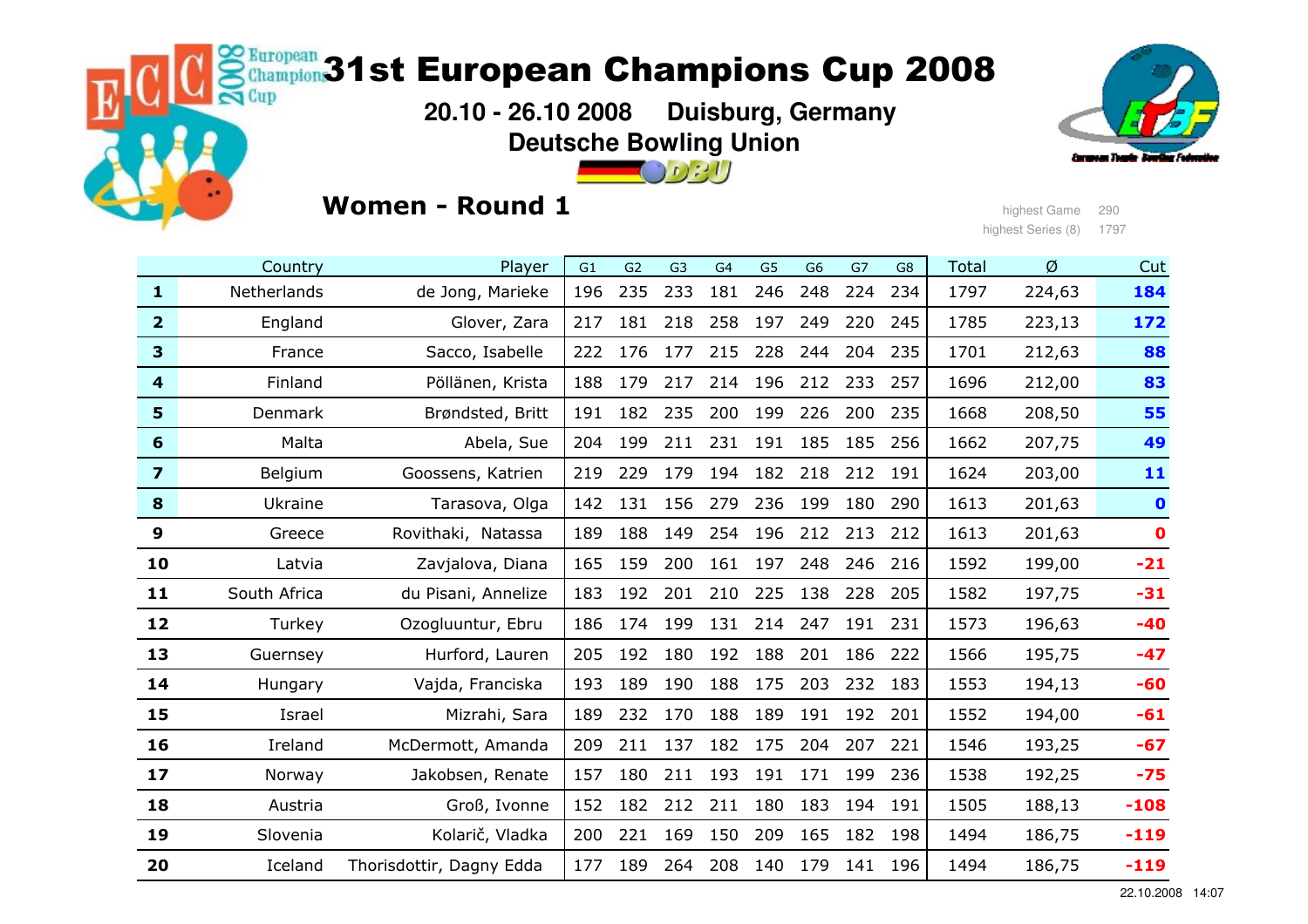# **kuropean 31st European Champions Cup 2008**

 **20.10 - 26.10 2008 Duisburg, GermanyDeutsche Bowling Union** $\Box$  021



## Women - Round 1

highest Game <sup>290</sup> highest Series (8) 1797

|                         | Country      | Player                   | G1  | G2  | G <sub>3</sub> | G <sub>4</sub> | G <sub>5</sub> | G <sub>6</sub> | G7  | G <sub>8</sub> | <b>Total</b> | Ø      | Cut         |
|-------------------------|--------------|--------------------------|-----|-----|----------------|----------------|----------------|----------------|-----|----------------|--------------|--------|-------------|
| $\mathbf{1}$            | Netherlands  | de Jong, Marieke         | 196 | 235 | 233            | 181            | 246            | 248            | 224 | 234            | 1797         | 224,63 | 184         |
| $\overline{2}$          | England      | Glover, Zara             | 217 | 181 | 218            | 258            | 197            | 249            | 220 | 245            | 1785         | 223,13 | 172         |
| $\overline{\mathbf{3}}$ | France       | Sacco, Isabelle          | 222 | 176 | 177            | 215            | 228            | 244            | 204 | 235            | 1701         | 212,63 | 88          |
| $\overline{\mathbf{4}}$ | Finland      | Pöllänen, Krista         | 188 | 179 | 217            | 214            | 196            | 212            | 233 | 257            | 1696         | 212,00 | 83          |
| $5\phantom{1}$          | Denmark      | Brøndsted, Britt         | 191 | 182 | 235            | 200            | 199            | 226            | 200 | 235            | 1668         | 208,50 | 55          |
| 6                       | Malta        | Abela, Sue               | 204 | 199 | 211            | 231            | 191            | 185            | 185 | 256            | 1662         | 207,75 | 49          |
| $\overline{\mathbf{z}}$ | Belgium      | Goossens, Katrien        | 219 | 229 | 179            | 194            | 182            | 218            | 212 | 191            | 1624         | 203,00 | 11          |
| 8                       | Ukraine      | Tarasova, Olga           | 142 | 131 | 156            | 279            | 236            | 199            | 180 | 290            | 1613         | 201,63 | $\bullet$   |
| 9                       | Greece       | Rovithaki, Natassa       | 189 | 188 | 149            | 254            | 196            | 212            | 213 | 212            | 1613         | 201,63 | $\mathbf 0$ |
| 10                      | Latvia       | Zavjalova, Diana         | 165 | 159 | 200            | 161            | 197            | 248            | 246 | 216            | 1592         | 199,00 | $-21$       |
| 11                      | South Africa | du Pisani, Annelize      | 183 | 192 | 201            | 210            | 225            | 138            | 228 | 205            | 1582         | 197,75 | $-31$       |
| 12                      | Turkey       | Ozogluuntur, Ebru        | 186 | 174 | 199            | 131            | 214            | 247            | 191 | 231            | 1573         | 196,63 | $-40$       |
| 13                      | Guernsey     | Hurford, Lauren          | 205 | 192 | 180            | 192            | 188            | 201            | 186 | 222            | 1566         | 195,75 | $-47$       |
| 14                      | Hungary      | Vajda, Franciska         | 193 | 189 | 190            | 188            | 175            | 203            | 232 | 183            | 1553         | 194,13 | $-60$       |
| 15                      | Israel       | Mizrahi, Sara            | 189 | 232 | 170            | 188            | 189            | 191            | 192 | 201            | 1552         | 194,00 | $-61$       |
| 16                      | Ireland      | McDermott, Amanda        | 209 | 211 | 137            | 182            | 175            | 204            | 207 | 221            | 1546         | 193,25 | $-67$       |
| 17                      | Norway       | Jakobsen, Renate         | 157 | 180 | 211            | 193            | 191            | 171            | 199 | 236            | 1538         | 192,25 | $-75$       |
| 18                      | Austria      | Groß, Ivonne             | 152 | 182 | 212            | 211            | 180            | 183            | 194 | 191            | 1505         | 188,13 | $-108$      |
| 19                      | Slovenia     | Kolarič, Vladka          | 200 | 221 | 169            | 150            | 209            | 165            | 182 | 198            | 1494         | 186,75 | $-119$      |
| 20                      | Iceland      | Thorisdottir, Dagny Edda | 177 | 189 | 264            | 208            | 140            | 179            | 141 | 196            | 1494         | 186,75 | $-119$      |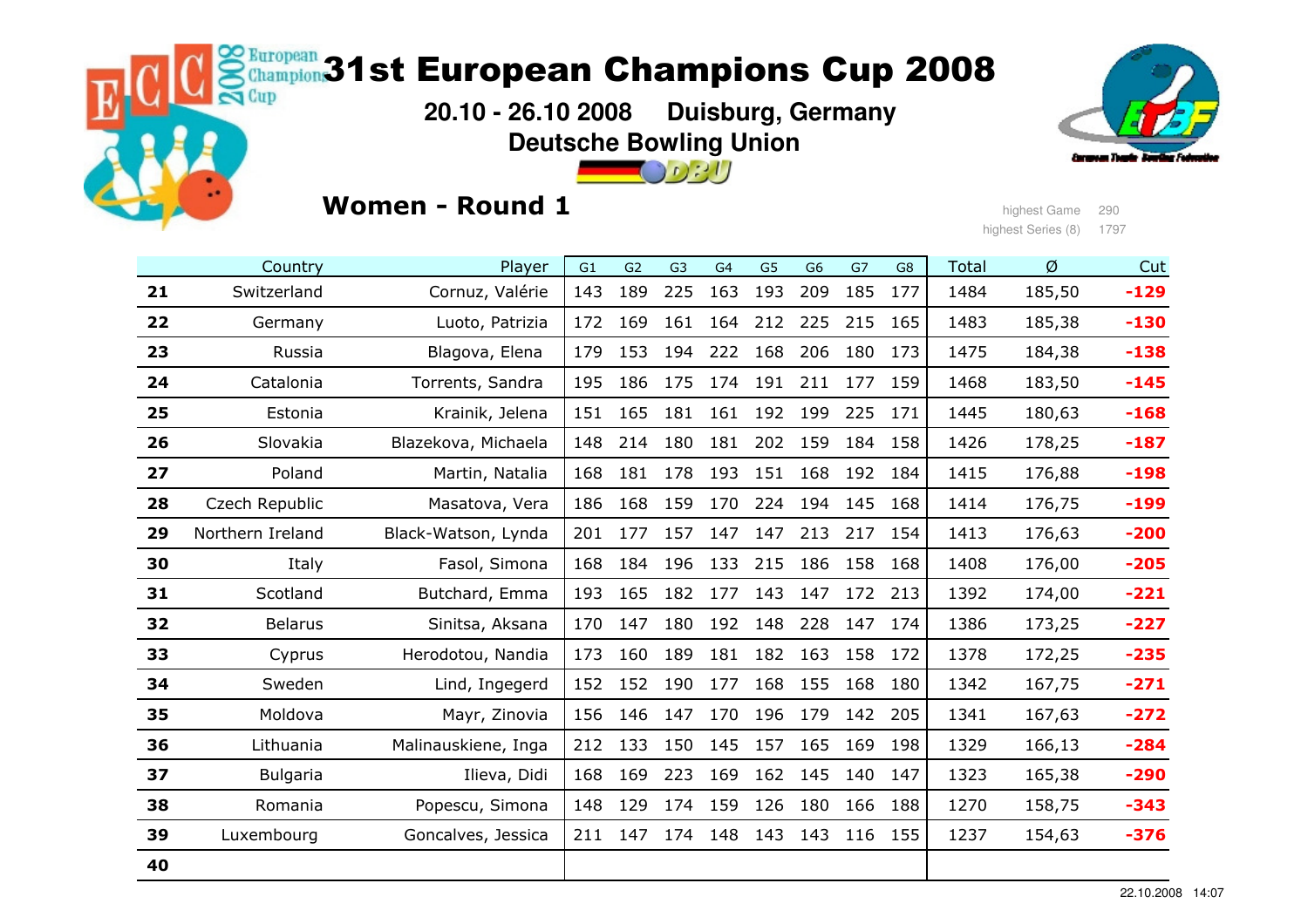# **kuropean 31st European Champions Cup 2008**

 **20.10 - 26.10 2008 Duisburg, GermanyDeutsche Bowling Union** $\Box$   $\Omega$  :  $\Box$ 



## Women - Round 1

highest Game <sup>290</sup> highest Series (8) 1797

|    | Country          | Player              | G <sub>1</sub> | G2  | G <sub>3</sub> | G <sub>4</sub> | G <sub>5</sub> | G <sub>6</sub> | G7  | G8  | <b>Total</b> | Ø      | Cut    |
|----|------------------|---------------------|----------------|-----|----------------|----------------|----------------|----------------|-----|-----|--------------|--------|--------|
| 21 | Switzerland      | Cornuz, Valérie     | 143            | 189 | 225            | 163            | 193            | 209            | 185 | 177 | 1484         | 185,50 | $-129$ |
| 22 | Germany          | Luoto, Patrizia     | 172            | 169 | 161            | 164            | 212            | 225            | 215 | 165 | 1483         | 185,38 | $-130$ |
| 23 | Russia           | Blagova, Elena      | 179            | 153 | 194            | 222            | 168            | 206            | 180 | 173 | 1475         | 184,38 | $-138$ |
| 24 | Catalonia        | Torrents, Sandra    | 195            | 186 | 175            | 174            | 191            | 211            | 177 | 159 | 1468         | 183,50 | $-145$ |
| 25 | Estonia          | Krainik, Jelena     | 151            | 165 | 181            | 161            | 192            | 199            | 225 | 171 | 1445         | 180,63 | $-168$ |
| 26 | Slovakia         | Blazekova, Michaela | 148            | 214 | 180            | 181            | 202            | 159            | 184 | 158 | 1426         | 178,25 | $-187$ |
| 27 | Poland           | Martin, Natalia     | 168            | 181 | 178            | 193            | 151            | 168            | 192 | 184 | 1415         | 176,88 | $-198$ |
| 28 | Czech Republic   | Masatova, Vera      | 186            | 168 | 159            | 170            | 224            | 194            | 145 | 168 | 1414         | 176,75 | $-199$ |
| 29 | Northern Ireland | Black-Watson, Lynda | 201            | 177 | 157            | 147            | 147            | 213            | 217 | 154 | 1413         | 176,63 | $-200$ |
| 30 | Italy            | Fasol, Simona       | 168            | 184 | 196            | 133            | 215            | 186            | 158 | 168 | 1408         | 176,00 | $-205$ |
| 31 | Scotland         | Butchard, Emma      | 193            | 165 | 182            | 177            | 143            | 147            | 172 | 213 | 1392         | 174,00 | $-221$ |
| 32 | <b>Belarus</b>   | Sinitsa, Aksana     | 170            | 147 | 180            | 192            | 148            | 228            | 147 | 174 | 1386         | 173,25 | $-227$ |
| 33 | Cyprus           | Herodotou, Nandia   | 173            | 160 | 189            | 181            | 182            | 163            | 158 | 172 | 1378         | 172,25 | $-235$ |
| 34 | Sweden           | Lind, Ingegerd      | 152            | 152 | 190            | 177            | 168            | 155            | 168 | 180 | 1342         | 167,75 | $-271$ |
| 35 | Moldova          | Mayr, Zinovia       | 156            | 146 | 147            | 170            | 196            | 179            | 142 | 205 | 1341         | 167,63 | $-272$ |
| 36 | Lithuania        | Malinauskiene, Inga | 212            | 133 | 150            | 145            | 157            | 165            | 169 | 198 | 1329         | 166,13 | $-284$ |
| 37 | <b>Bulgaria</b>  | Ilieva, Didi        | 168            | 169 | 223            | 169            | 162            | 145            | 140 | 147 | 1323         | 165,38 | $-290$ |
| 38 | Romania          | Popescu, Simona     | 148            | 129 | 174            | 159            | 126            | 180            | 166 | 188 | 1270         | 158,75 | $-343$ |
| 39 | Luxembourg       | Goncalves, Jessica  | 211            | 147 | 174            | 148            | 143            | 143            | 116 | 155 | 1237         | 154,63 | $-376$ |
| 40 |                  |                     |                |     |                |                |                |                |     |     |              |        |        |
|    |                  |                     |                |     |                |                |                |                |     |     |              |        |        |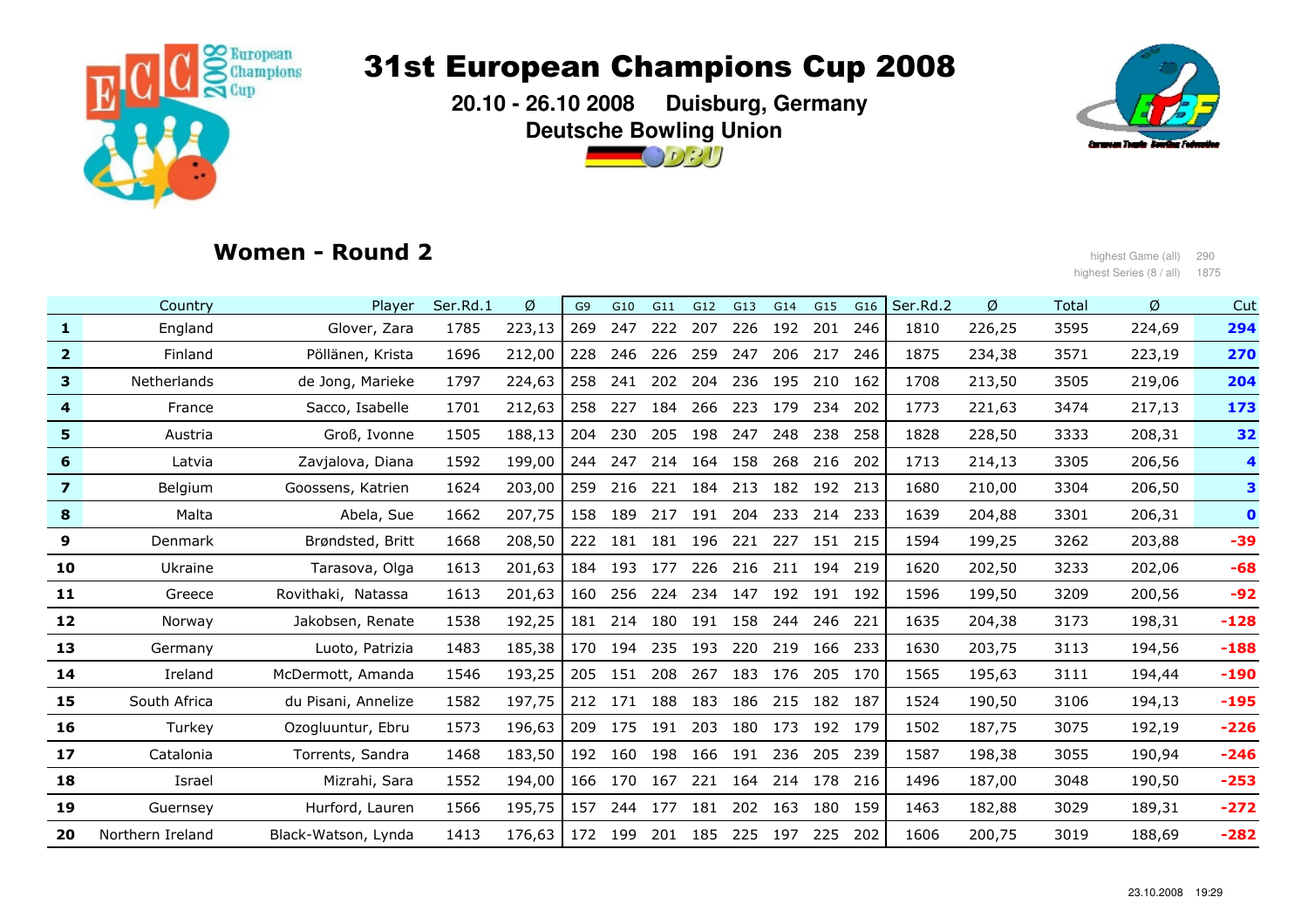

 **20.10 - 26.10 2008 Duisburg, GermanyDeutsche Bowling Union**



## Women - Round 2

highest Game (all) 290 مرد المستخدم المستخدم المستخدم المستخدم المستخدم المستخدم المستخدم المستخدم المستخدم ال<br>187 ـ المستخدم المستخدم المستخدم المستخدم المستخدم المستخدم المستخدم المستخدم المستخدم المستخدم المستخدم المست highest Series (8 / all) 1875

|                         | Country          | Player              | Ser.Rd.1 | Ø      | G <sub>9</sub> | G10 | G11 | G12     | G13     | G14 | G15     | G16     | Ser.Rd.2 | Ø      | <b>Total</b> | Ø      | Cut         |
|-------------------------|------------------|---------------------|----------|--------|----------------|-----|-----|---------|---------|-----|---------|---------|----------|--------|--------------|--------|-------------|
| $\mathbf{1}$            | England          | Glover, Zara        | 1785     | 223,13 | 269            | 247 | 222 | 207     | 226     | 192 | 201     | 246     | 1810     | 226,25 | 3595         | 224,69 | 294         |
| $\overline{2}$          | Finland          | Pöllänen, Krista    | 1696     | 212,00 | 228            | 246 | 226 | 259     | 247     | 206 | 217     | 246     | 1875     | 234,38 | 3571         | 223,19 | 270         |
| 3                       | Netherlands      | de Jong, Marieke    | 1797     | 224,63 | 258            | 241 | 202 | 204     | 236     | 195 | 210     | 162     | 1708     | 213,50 | 3505         | 219,06 | 204         |
| 4                       | France           | Sacco, Isabelle     | 1701     | 212,63 | 258            | 227 | 184 | 266     | 223     | 179 | 234     | 202     | 1773     | 221,63 | 3474         | 217,13 | 173         |
| 5                       | Austria          | Groß, Ivonne        | 1505     | 188,13 | 204            | 230 | 205 | 198     | 247     | 248 | 238     | 258     | 1828     | 228,50 | 3333         | 208,31 | 32          |
| 6                       | Latvia           | Zavjalova, Diana    | 1592     | 199,00 | 244            | 247 | 214 | 164     | 158     | 268 | 216     | 202     | 1713     | 214,13 | 3305         | 206,56 | 4           |
| $\overline{\mathbf{z}}$ | Belgium          | Goossens, Katrien   | 1624     | 203,00 | 259            | 216 | 221 | 184 213 |         | 182 | 192 213 |         | 1680     | 210,00 | 3304         | 206,50 | 3           |
| 8                       | Malta            | Abela, Sue          | 1662     | 207,75 | 158            | 189 | 217 | 191     | 204     | 233 | 214     | 233     | 1639     | 204,88 | 3301         | 206,31 | $\mathbf 0$ |
| 9                       | Denmark          | Brøndsted, Britt    | 1668     | 208,50 | 222            | 181 | 181 | 196     | 221     | 227 |         | 151 215 | 1594     | 199,25 | 3262         | 203,88 | $-39$       |
| 10                      | Ukraine          | Tarasova, Olga      | 1613     | 201,63 | 184            | 193 | 177 | 226     | 216     | 211 | 194     | 219     | 1620     | 202,50 | 3233         | 202,06 | $-68$       |
| 11                      | Greece           | Rovithaki, Natassa  | 1613     | 201,63 | 160            | 256 | 224 | 234     | 147     |     | 192 191 | 192     | 1596     | 199,50 | 3209         | 200,56 | $-92$       |
| 12                      | Norway           | Jakobsen, Renate    | 1538     | 192,25 | 181            | 214 | 180 | 191     | 158     | 244 | 246     | 221     | 1635     | 204,38 | 3173         | 198,31 | $-128$      |
| 13                      | Germany          | Luoto, Patrizia     | 1483     | 185,38 | 170            | 194 | 235 | 193     | 220     | 219 | 166     | 233     | 1630     | 203,75 | 3113         | 194,56 | $-188$      |
| 14                      | Ireland          | McDermott, Amanda   | 1546     | 193,25 | 205            | 151 | 208 | 267     | 183     | 176 | 205     | 170     | 1565     | 195,63 | 3111         | 194,44 | $-190$      |
| 15                      | South Africa     | du Pisani, Annelize | 1582     | 197,75 | 212            | 171 | 188 | 183     | 186     | 215 | 182     | 187     | 1524     | 190,50 | 3106         | 194,13 | $-195$      |
| 16                      | Turkey           | Ozogluuntur, Ebru   | 1573     | 196,63 | 209            | 175 | 191 | 203     | 180     | 173 | 192     | 179     | 1502     | 187,75 | 3075         | 192,19 | $-226$      |
| 17                      | Catalonia        | Torrents, Sandra    | 1468     | 183,50 | 192            | 160 | 198 |         | 166 191 | 236 | 205     | 239     | 1587     | 198,38 | 3055         | 190,94 | $-246$      |
| 18                      | Israel           | Mizrahi, Sara       | 1552     | 194,00 | 166            | 170 | 167 | 221     | 164     | 214 | 178     | 216     | 1496     | 187,00 | 3048         | 190,50 | $-253$      |
| 19                      | Guernsey         | Hurford, Lauren     | 1566     | 195,75 | 157            | 244 | 177 | 181     | 202     | 163 | 180     | 159     | 1463     | 182,88 | 3029         | 189,31 | $-272$      |
| 20                      | Northern Ireland | Black-Watson, Lynda | 1413     | 176,63 | 172            | 199 | 201 | 185     | 225     | 197 | 225     | 202     | 1606     | 200,75 | 3019         | 188,69 | $-282$      |
|                         |                  |                     |          |        |                |     |     |         |         |     |         |         |          |        |              |        |             |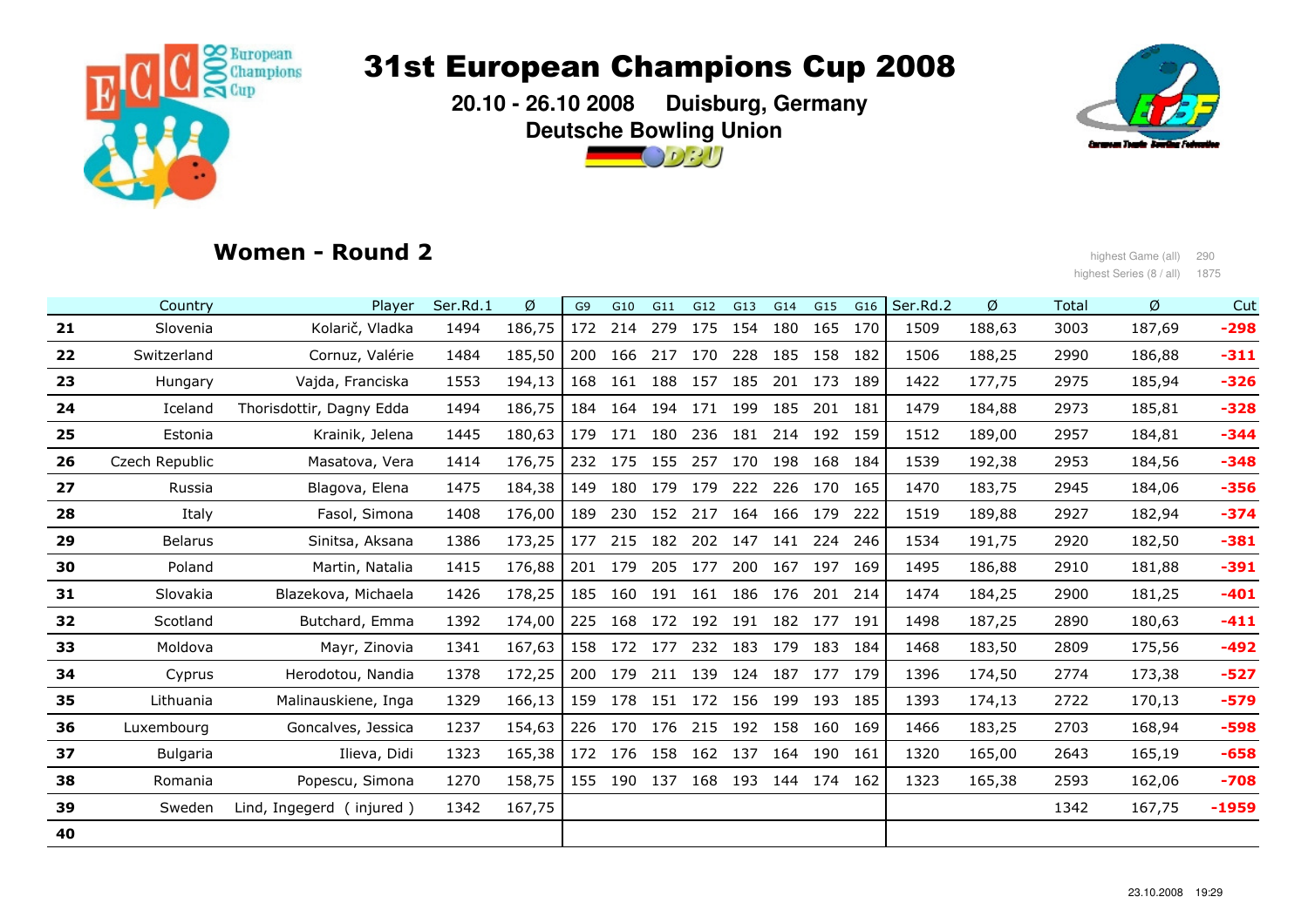

 **20.10 - 26.10 2008 Duisburg, GermanyDeutsche Bowling Union**



## Women - Round 2

 highest Game (all) <sup>290</sup> highest Series (8 / all) 1875

|    | Country        | Player                   | Ser.Rd.1 | Ø      | G <sub>9</sub> | G10 | G11         | G12                 | G13     | G14         | G15                     | G16     | Ser.Rd.2 | Ø      | Total | Ø      | Cut     |
|----|----------------|--------------------------|----------|--------|----------------|-----|-------------|---------------------|---------|-------------|-------------------------|---------|----------|--------|-------|--------|---------|
| 21 | Slovenia       | Kolarič, Vladka          | 1494     | 186,75 | 172            | 214 | 279         | 175                 | 154     | 180         |                         | 165 170 | 1509     | 188,63 | 3003  | 187,69 | $-298$  |
| 22 | Switzerland    | Cornuz, Valérie          | 1484     | 185,50 | 200            | 166 | 217         | 170                 | 228     | 185         | 158                     | 182     | 1506     | 188,25 | 2990  | 186,88 | $-311$  |
| 23 | Hungary        | Vajda, Franciska         | 1553     | 194,13 | 168            |     | 161 188 157 |                     | 185     |             | 201 173                 | 189     | 1422     | 177,75 | 2975  | 185,94 | $-326$  |
| 24 | Iceland        | Thorisdottir, Dagny Edda | 1494     | 186,75 | 184            | 164 | 194         | 171                 | 199     | 185         | 201 181                 |         | 1479     | 184,88 | 2973  | 185,81 | $-328$  |
| 25 | Estonia        | Krainik, Jelena          | 1445     | 180,63 | 179            |     | 171 180     | 236                 |         |             | 181 214 192 159         |         | 1512     | 189,00 | 2957  | 184,81 | $-344$  |
| 26 | Czech Republic | Masatova, Vera           | 1414     | 176,75 | 232            | 175 | 155         | 257                 | 170     | 198         | 168                     | 184     | 1539     | 192,38 | 2953  | 184,56 | $-348$  |
| 27 | Russia         | Blagova, Elena           | 1475     | 184,38 | 149            |     | 180 179     | 179                 | 222     | 226         | 170                     | 165     | 1470     | 183,75 | 2945  | 184,06 | $-356$  |
| 28 | Italy          | Fasol, Simona            | 1408     | 176,00 | 189            |     | 230 152 217 |                     |         | 164 166 179 |                         | 222     | 1519     | 189,88 | 2927  | 182,94 | $-374$  |
| 29 | <b>Belarus</b> | Sinitsa, Aksana          | 1386     | 173,25 | 177            |     |             | 215 182 202 147     |         | 141         | 224                     | 246     | 1534     | 191,75 | 2920  | 182,50 | $-381$  |
| 30 | Poland         | Martin, Natalia          | 1415     | 176,88 | 201            | 179 |             | 205 177             | 200     | 167         | 197                     | 169     | 1495     | 186,88 | 2910  | 181,88 | $-391$  |
| 31 | Slovakia       | Blazekova, Michaela      | 1426     | 178,25 | 185            |     | 160 191     | 161                 | 186     | 176         | 201                     | 214     | 1474     | 184,25 | 2900  | 181,25 | $-401$  |
| 32 | Scotland       | Butchard, Emma           | 1392     | 174,00 | 225            |     |             |                     |         |             | 168 172 192 191 182 177 | 191     | 1498     | 187,25 | 2890  | 180,63 | $-411$  |
| 33 | Moldova        | Mayr, Zinovia            | 1341     | 167,63 | 158            |     | 172 177     |                     | 232 183 | 179         |                         | 183 184 | 1468     | 183,50 | 2809  | 175,56 | $-492$  |
| 34 | Cyprus         | Herodotou, Nandia        | 1378     | 172,25 | 200            | 179 | 211 139     |                     | 124     | 187         | 177 179                 |         | 1396     | 174,50 | 2774  | 173,38 | $-527$  |
| 35 | Lithuania      | Malinauskiene, Inga      | 1329     | 166,13 | 159            | 178 | 151         | 172                 | 156     | 199         | 193                     | 185     | 1393     | 174,13 | 2722  | 170,13 | $-579$  |
| 36 | Luxembourg     | Goncalves, Jessica       | 1237     | 154,63 | 226            |     | 170 176     | 215                 | 192     | 158         | 160                     | 169     | 1466     | 183,25 | 2703  | 168,94 | $-598$  |
| 37 | Bulgaria       | Ilieva, Didi             | 1323     | 165,38 |                |     |             | 172 176 158 162 137 |         | 164         | 190                     | 161     | 1320     | 165,00 | 2643  | 165,19 | $-658$  |
| 38 | Romania        | Popescu, Simona          | 1270     | 158,75 | 155            |     |             | 190 137 168 193     |         | 144         | 174 162                 |         | 1323     | 165,38 | 2593  | 162,06 | $-708$  |
| 39 | Sweden         | Lind, Ingegerd (injured) | 1342     | 167,75 |                |     |             |                     |         |             |                         |         |          |        | 1342  | 167,75 | $-1959$ |
| 40 |                |                          |          |        |                |     |             |                     |         |             |                         |         |          |        |       |        |         |
|    |                |                          |          |        |                |     |             |                     |         |             |                         |         |          |        |       |        |         |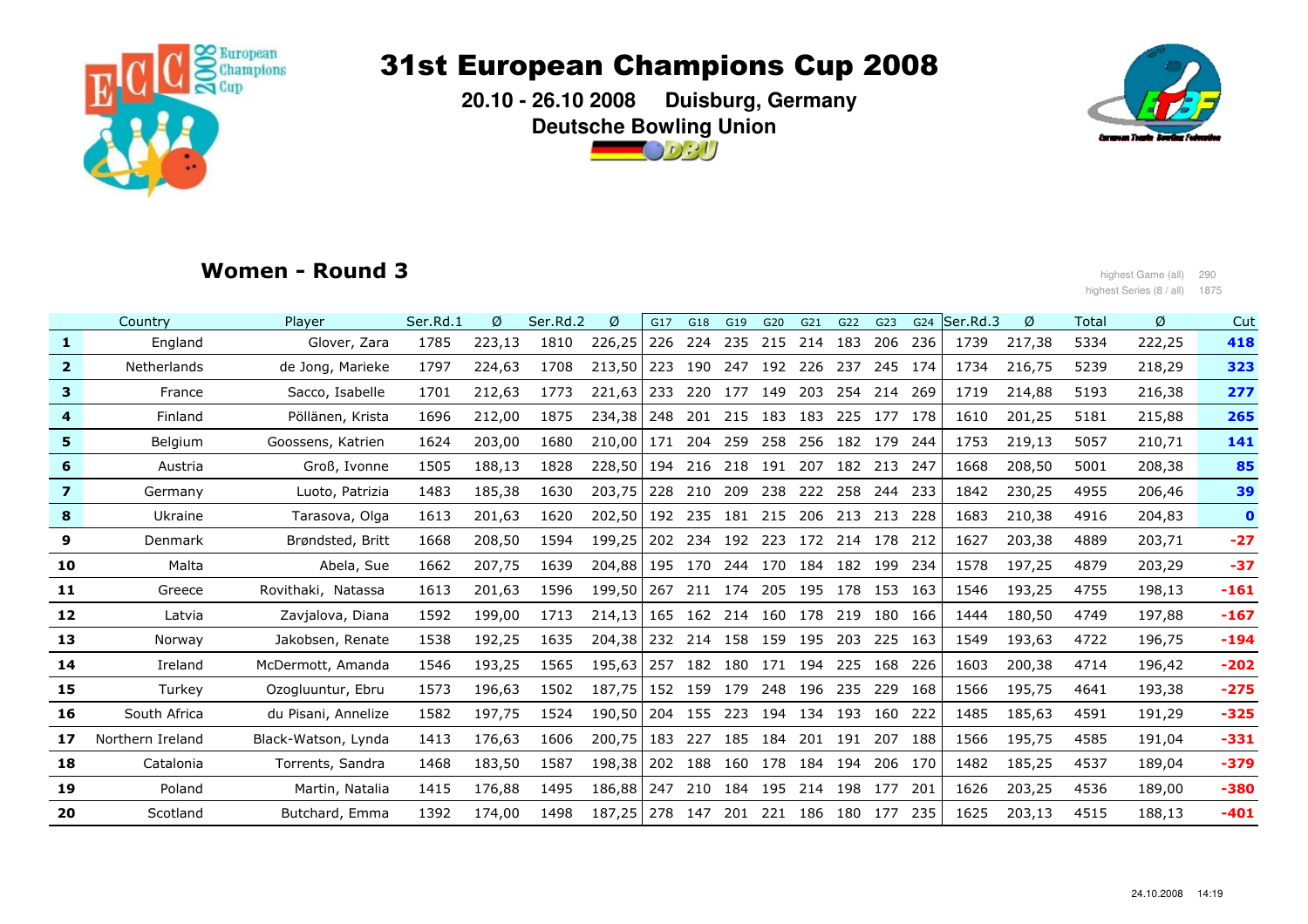

 **20.10 - 26.10 2008 Duisburg, GermanyDeutsche Bowling Union** $\bigcirc$  or  $\eta$ 



## Women - Round 3

highest Game (all) 290<br>highest Game (all) 290<br>highest Series (8 / all) 187 highest Series (8 / all) 1875

|                | Country            | Player              | Ser.Rd.1 | Ø      | Ser.Rd.2 | Ø      | G17 | G18     | G19                 | G20 | G21 | G22     | G23     | G24  | Ser Rd.3 | Ø      | Total | Ø      | Cut         |
|----------------|--------------------|---------------------|----------|--------|----------|--------|-----|---------|---------------------|-----|-----|---------|---------|------|----------|--------|-------|--------|-------------|
| $\mathbf{1}$   | England            | Glover, Zara        | 1785     | 223,13 | 1810     | 226,25 | 226 | 224     | 235                 | 215 | 214 | 183     | 206     | 236  | 1739     | 217,38 | 5334  | 222,25 | 418         |
| $\mathbf{2}$   | <b>Netherlands</b> | de Jong, Marieke    | 1797     | 224,63 | 1708     | 213,50 | 223 | 190     | 247                 | 192 | 226 | 237     | 245     | 174  | 1734     | 216,75 | 5239  | 218,29 | 323         |
| 3              | France             | Sacco, Isabelle     | 1701     | 212,63 | 1773     | 221,63 | 233 |         | 220 177             | 149 | 203 | 254     | 214     | 269  | 1719     | 214,88 | 5193  | 216,38 | 277         |
| 4              | Finland            | Pöllänen, Krista    | 1696     | 212,00 | 1875     | 234,38 | 248 | 201     | 215                 | 183 | 183 | 225     | 177     | 178  | 1610     | 201,25 | 5181  | 215,88 | 265         |
| 5              | Belgium            | Goossens, Katrien   | 1624     | 203,00 | 1680     | 210.00 | 171 | 204     | 259                 | 258 | 256 | 182     | 179     | 244  | 1753     | 219,13 | 5057  | 210,71 | 141         |
| 6              | Austria            | Groß, Ivonne        | 1505     | 188,13 | 1828     | 228,50 |     | 194 216 | 218 191             |     | 207 |         | 182 213 | 247  | 1668     | 208,50 | 5001  | 208,38 | 85          |
| $\overline{z}$ | Germany            | Luoto, Patrizia     | 1483     | 185,38 | 1630     | 203,75 |     | 228 210 | 209                 | 238 | 222 | 258 244 |         | -233 | 1842     | 230,25 | 4955  | 206,46 | 39          |
| 8              | Ukraine            | Tarasova, Olga      | 1613     | 201,63 | 1620     | 202,50 |     | 192 235 | 181 215             |     | 206 | 213 213 |         | 228  | 1683     | 210,38 | 4916  | 204,83 | $\mathbf 0$ |
| 9              | Denmark            | Brøndsted, Britt    | 1668     | 208,50 | 1594     | 199,25 | 202 | 234     | 192                 | 223 | 172 | 214     | 178     | 212  | 1627     | 203,38 | 4889  | 203,71 | $-27$       |
| 10             | Malta              | Abela, Sue          | 1662     | 207,75 | 1639     | 204,88 | 195 | 170     | 244                 | 170 | 184 | 182     | 199     | 234  | 1578     | 197.25 | 4879  | 203,29 | $-37$       |
| 11             | Greece             | Rovithaki, Natassa  | 1613     | 201,63 | 1596     | 199,50 | 267 |         | 211 174 205         |     | 195 | 178 153 |         | 163  | 1546     | 193,25 | 4755  | 198,13 | $-161$      |
| 12             | Latvia             | Zavjalova, Diana    | 1592     | 199,00 | 1713     | 214,13 |     |         | 165 162 214 160 178 |     |     |         | 219 180 | 166  | 1444     | 180,50 | 4749  | 197,88 | $-167$      |
| 13             | Norway             | Jakobsen, Renate    | 1538     | 192,25 | 1635     | 204,38 |     |         | 232 214 158         | 159 | 195 |         | 203 225 | 163  | 1549     | 193,63 | 4722  | 196,75 | $-194$      |
| 14             | Ireland            | McDermott, Amanda   | 1546     | 193,25 | 1565     | 195,63 | 257 | 182     | 180                 | 171 | 194 | 225     | 168     | 226  | 1603     | 200,38 | 4714  | 196,42 | $-202$      |
| 15             | Turkey             | Ozogluuntur, Ebru   | 1573     | 196,63 | 1502     | 187.75 | 152 | 159     | 179                 | 248 | 196 | 235 229 |         | 168  | 1566     | 195,75 | 4641  | 193,38 | $-275$      |
| 16             | South Africa       | du Pisani, Annelize | 1582     | 197,75 | 1524     | 190,50 |     | 204 155 | 223                 | 194 | 134 | 193     | 160     | 222  | 1485     | 185,63 | 4591  | 191,29 | $-325$      |
| 17             | Northern Ireland   | Black-Watson, Lynda | 1413     | 176,63 | 1606     | 200,75 | 183 | 227     | 185                 | 184 | 201 | 191     | 207     | 188  | 1566     | 195,75 | 4585  | 191,04 | $-331$      |
| 18             | Catalonia          | Torrents, Sandra    | 1468     | 183,50 | 1587     | 198,38 | 202 |         | 188 160             | 178 | 184 | 194     | 206     | 170  | 1482     | 185,25 | 4537  | 189,04 | $-379$      |
| 19             | Poland             | Martin, Natalia     | 1415     | 176,88 | 1495     | 186,88 | 247 | 210     | 184                 | 195 | 214 | 198     | 177     | 201  | 1626     | 203,25 | 4536  | 189,00 | $-380$      |
| 20             | Scotland           | Butchard, Emma      | 1392     | 174,00 | 1498     | 187,25 | 278 | 147     | 201                 | 221 | 186 |         | 180 177 | 235  | 1625     | 203,13 | 4515  | 188,13 | $-401$      |
|                |                    |                     |          |        |          |        |     |         |                     |     |     |         |         |      |          |        |       |        |             |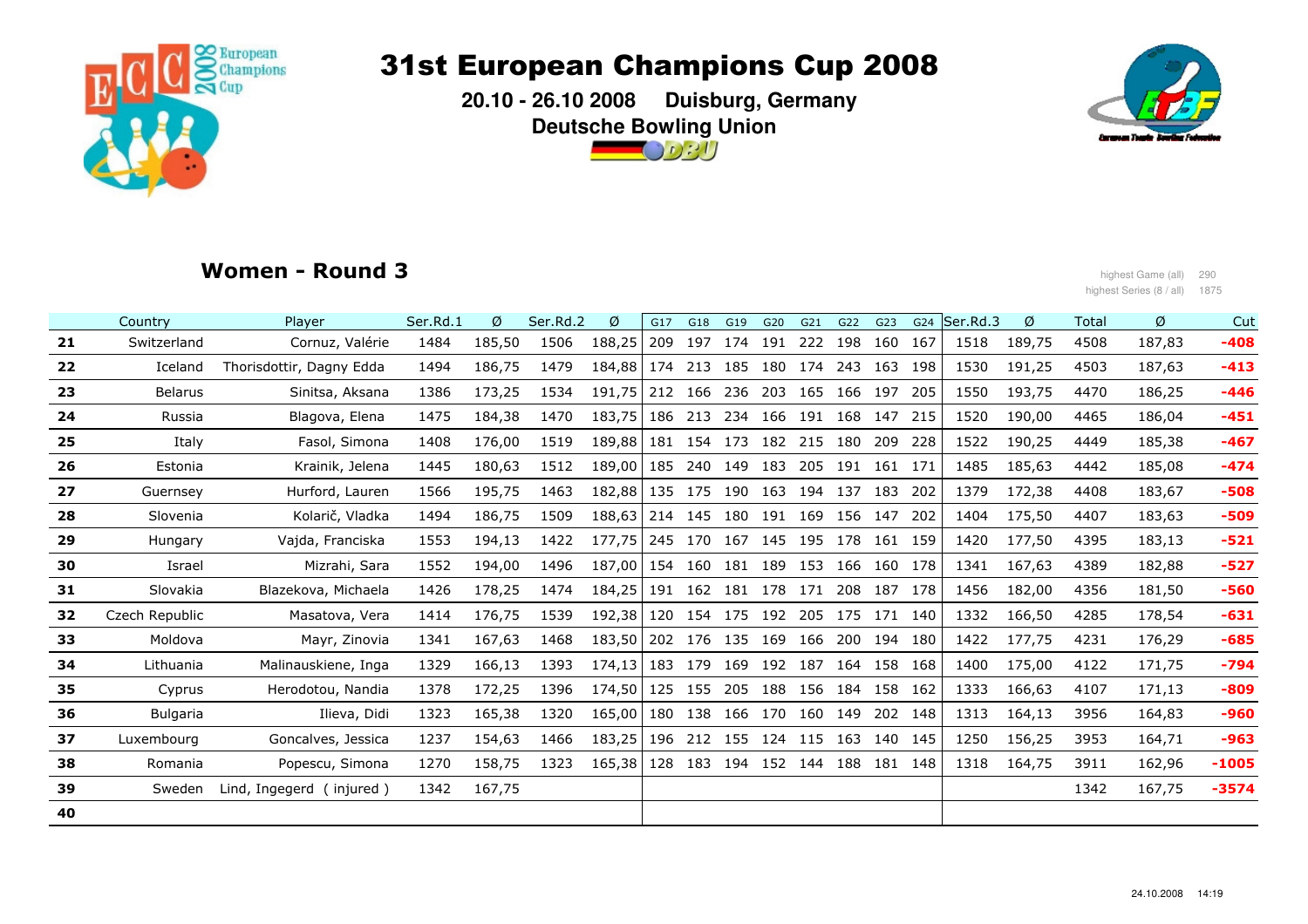

 **20.10 - 26.10 2008 Duisburg, GermanyDeutsche Bowling Union** $\bigcirc$  or  $\eta$ 



## Women - Round 3

highest Game (all) 290<br>highest Game (all) 290<br>highest Series (8 / all) 187 highest Series (8 / all) 1875

|    | Country         | Player                     | Ser.Rd.1 | Ø      | Ser.Rd.2 | Ø      | G17 | G18     | G19         | G20 | G21                             | G22         | G23             | G24 | Ser.Rd.3 | Ø      | Total | Ø      | Cut     |
|----|-----------------|----------------------------|----------|--------|----------|--------|-----|---------|-------------|-----|---------------------------------|-------------|-----------------|-----|----------|--------|-------|--------|---------|
| 21 | Switzerland     | Cornuz, Valérie            | 1484     | 185,50 | 1506     | 188,25 | 209 | 197     | 174 191     |     | 222                             | 198 160     |                 | 167 | 1518     | 189,75 | 4508  | 187,83 | $-408$  |
| 22 | Iceland         | Thorisdottir, Dagny Edda   | 1494     | 186,75 | 1479     | 184,88 | 174 | 213     | 185 180 174 |     |                                 |             | 243 163         | 198 | 1530     | 191,25 | 4503  | 187,63 | $-413$  |
| 23 | <b>Belarus</b>  | Sinitsa, Aksana            | 1386     | 173,25 | 1534     | 191.75 | 212 |         | 166 236 203 |     |                                 | 165 166 197 |                 | 205 | 1550     | 193,75 | 4470  | 186,25 | $-446$  |
| 24 | Russia          | Blagova, Elena             | 1475     | 184,38 | 1470     | 183,75 |     | 186 213 |             |     | 234 166 191 168 147             |             |                 | 215 | 1520     | 190,00 | 4465  | 186,04 | $-451$  |
| 25 | Italy           | Fasol, Simona              | 1408     | 176,00 | 1519     | 189,88 | 181 | 154     | 173 182     |     | 215                             | 180         | 209             | 228 | 1522     | 190,25 | 4449  | 185,38 | $-467$  |
| 26 | Estonia         | Krainik, Jelena            | 1445     | 180,63 | 1512     | 189,00 | 185 |         | 240 149 183 |     |                                 |             | 205 191 161 171 |     | 1485     | 185,63 | 4442  | 185,08 | $-474$  |
| 27 | Guernsey        | Hurford, Lauren            | 1566     | 195,75 | 1463     | 182,88 | 135 |         |             |     | 175 190 163 194 137 183         |             |                 | 202 | 1379     | 172,38 | 4408  | 183,67 | $-508$  |
| 28 | Slovenia        | Kolarič, Vladka            | 1494     | 186,75 | 1509     | 188,63 |     |         |             |     | 214 145 180 191 169 156 147     |             |                 | 202 | 1404     | 175,50 | 4407  | 183,63 | $-509$  |
| 29 | Hungary         | Vajda, Franciska           | 1553     | 194,13 | 1422     | 177,75 | 245 |         |             |     | 170 167 145 195 178 161 159     |             |                 |     | 1420     | 177,50 | 4395  | 183,13 | $-521$  |
| 30 | Israel          | Mizrahi, Sara              | 1552     | 194,00 | 1496     | 187,00 | 154 | 160     | 181 189     |     |                                 |             | 153 166 160     | 178 | 1341     | 167,63 | 4389  | 182,88 | $-527$  |
| 31 | Slovakia        | Blazekova, Michaela        | 1426     | 178,25 | 1474     | 184,25 | 191 |         |             |     | 162 181 178 171 208 187         |             |                 | 178 | 1456     | 182,00 | 4356  | 181,50 | $-560$  |
| 32 | Czech Republic  | Masatova, Vera             | 1414     | 176.75 | 1539     | 192,38 |     |         |             |     | 120 154 175 192 205 175 171 140 |             |                 |     | 1332     | 166,50 | 4285  | 178,54 | $-631$  |
| 33 | Moldova         | Mayr, Zinovia              | 1341     | 167,63 | 1468     | 183,50 |     |         |             |     | 202 176 135 169 166 200 194 180 |             |                 |     | 1422     | 177,75 | 4231  | 176,29 | $-685$  |
| 34 | Lithuania       | Malinauskiene, Inga        | 1329     | 166,13 | 1393     | 174.13 |     | 183 179 |             |     | 169 192 187 164 158 168         |             |                 |     | 1400     | 175,00 | 4122  | 171,75 | $-794$  |
| 35 | Cyprus          | Herodotou, Nandia          | 1378     | 172,25 | 1396     | 174,50 | 125 | 155     |             |     | 205 188 156 184 158             |             |                 | 162 | 1333     | 166,63 | 4107  | 171,13 | $-809$  |
| 36 | <b>Bulgaria</b> | Ilieva, Didi               | 1323     | 165,38 | 1320     | 165,00 | 180 | 138     | 166 170     |     |                                 | 160 149     | 202             | 148 | 1313     | 164,13 | 3956  | 164,83 | $-960$  |
| 37 | Luxembourg      | Goncalves, Jessica         | 1237     | 154,63 | 1466     | 183,25 |     |         |             |     | 196 212 155 124 115 163 140     |             |                 | 145 | 1250     | 156,25 | 3953  | 164,71 | $-963$  |
| 38 | Romania         | Popescu, Simona            | 1270     | 158,75 | 1323     | 165,38 | 128 | 183     |             |     | 194 152 144                     |             | 188 181         | 148 | 1318     | 164,75 | 3911  | 162,96 | $-1005$ |
| 39 | Sweden          | Lind, Ingegerd<br>injured) | 1342     | 167,75 |          |        |     |         |             |     |                                 |             |                 |     |          |        | 1342  | 167,75 | $-3574$ |
| 40 |                 |                            |          |        |          |        |     |         |             |     |                                 |             |                 |     |          |        |       |        |         |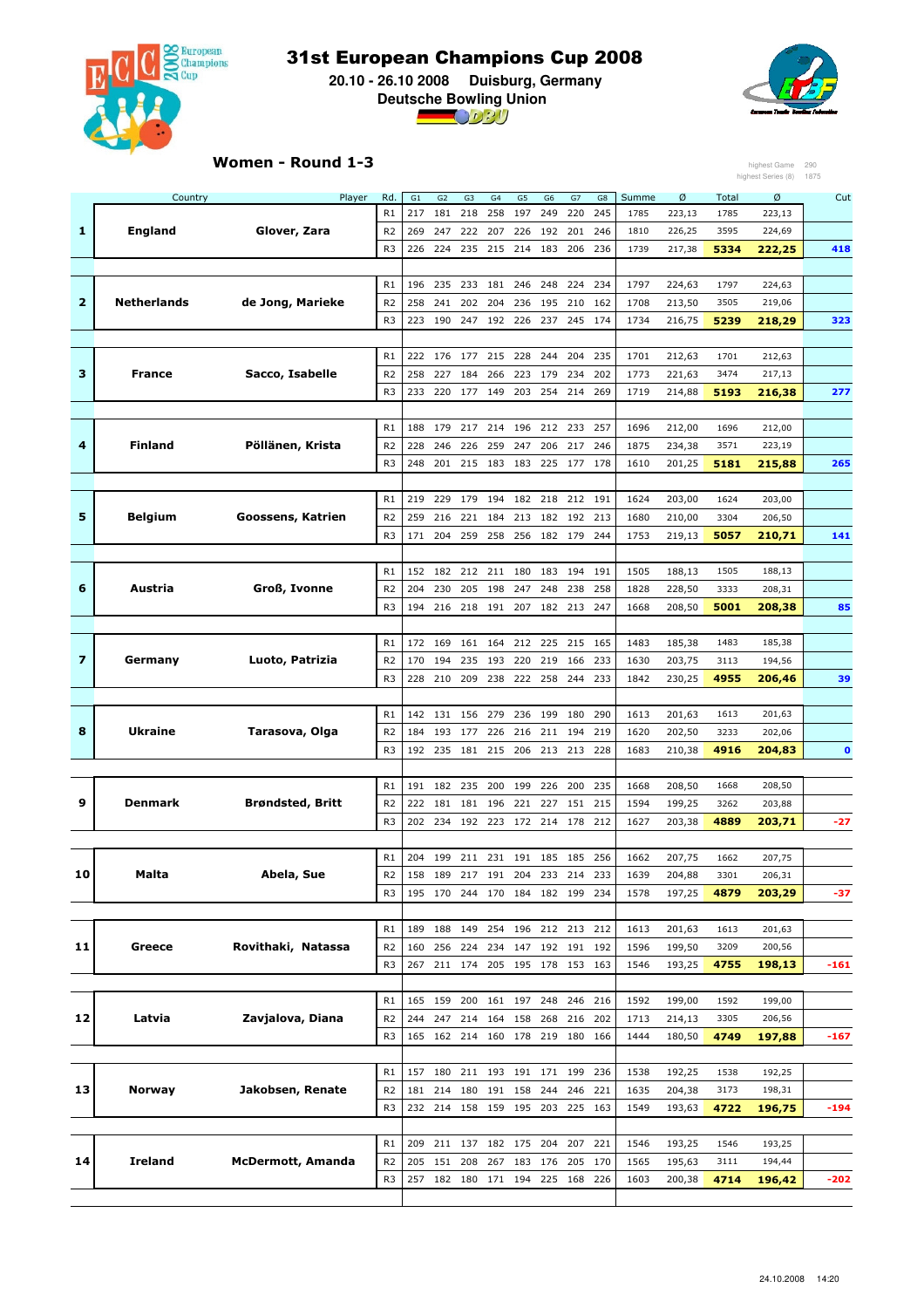

 **20.10 - 26.10 2008 Duisburg, Germany Deutsche Bowling Union**



### Women - Round 1-3

| highest Series (8)<br>Rd.<br>Ø<br>Country<br>Player<br>G1<br>G <sub>2</sub><br>G <sub>3</sub><br>G4<br>G5<br>G <sub>6</sub><br>G7<br>Summe<br>Total<br>Ø<br>Cut<br>G8<br>R1<br>217<br>181<br>218<br>258<br>197<br>249<br>220<br>245<br>1785<br>223,13<br>1785<br>223,13<br>1<br><b>England</b><br>Glover, Zara<br>R <sub>2</sub><br>269<br>247<br>222<br>207<br>226<br>192<br>201<br>246<br>1810<br>226,25<br>3595<br>224,69<br>R <sub>3</sub><br>224<br>235<br>215<br>214<br>183<br>206<br>236<br>217,38<br>5334<br>222,25<br>226<br>1739<br>418<br>234<br>R1<br>196<br>235<br>233<br>181<br>246<br>248<br>224<br>1797<br>224,63<br>1797<br>224,63<br>$\overline{\mathbf{2}}$<br><b>Netherlands</b><br>de Jong, Marieke<br>202<br>204<br>3505<br>R <sub>2</sub><br>258<br>241<br>236<br>195<br>210<br>162<br>1708<br>213,50<br>219,06<br>5239<br>323<br>R <sub>3</sub><br>223<br>190<br>192<br>226<br>237<br>245<br>174<br>1734<br>216,75<br>218,29<br>247<br>R1<br>222<br>176<br>177<br>215<br>228<br>244<br>204<br>235<br>1701<br>212,63<br>1701<br>212,63<br>з<br>Sacco, Isabelle<br><b>France</b><br>R <sub>2</sub><br>258<br>227<br>184<br>266<br>223<br>179<br>234<br>202<br>3474<br>217,13<br>1773<br>221,63<br>R <sub>3</sub><br>233<br>220<br>177<br>149<br>203<br>254<br>214<br>269<br>1719<br>214,88<br>5193<br>216,38<br>277<br>257<br>R1<br>188<br>179<br>217<br>214<br>196<br>212 233<br>1696<br>212,00<br>1696<br>212,00<br>4<br>Finland<br>Pöllänen, Krista<br>217<br>R <sub>2</sub><br>228<br>246<br>226<br>259<br>247<br>206<br>246<br>1875<br>234,38<br>3571<br>223,19<br>201<br>215 183<br>183<br>225 177<br>178<br>R <sub>3</sub><br>248<br>1610<br>201,25<br>5181<br>215,88<br>265<br>R1<br>219<br>229<br>179<br>194<br>182<br>218<br>212<br>191<br>1624<br>203,00<br>1624<br>203,00<br>5<br>Belgium<br>Goossens, Katrien<br>R <sub>2</sub><br>259<br>216<br>221<br>184<br>213<br>182<br>192<br>213<br>1680<br>210,00<br>3304<br>206,50<br>R <sub>3</sub><br>204<br>259<br>258<br>256<br>182 179<br>171<br>244<br>1753<br>219,13<br>5057<br>141<br>210,71<br>R1<br>152<br>182<br>212<br>211<br>180<br>183<br>194<br>191<br>1505<br>188,13<br>1505<br>188,13<br>6<br>Austria<br>Groß, Ivonne<br>230<br>205<br>198<br>247<br>248<br>238<br>258<br>3333<br>R <sub>2</sub><br>204<br>1828<br>228,50<br>208,31<br>R <sub>3</sub><br>194<br>216<br>218<br>191<br>207<br>182<br>213<br>247<br>208,50<br>5001<br>208,38<br>85<br>1668<br>R1<br>169<br>161<br>164<br>212<br>225<br>215<br>165<br>1483<br>185,38<br>1483<br>185,38<br>172<br>7<br>Luoto, Patrizia<br>220<br>Germany<br>R <sub>2</sub><br>170<br>194<br>235<br>193<br>219 166<br>233<br>1630<br>203,75<br>3113<br>194,56<br>R <sub>3</sub><br>228<br>210<br>209<br>238<br>222<br>258<br>244<br>233<br>1842<br>230,25<br>39<br>4955<br>206,46<br>142<br>131<br>156<br>279<br>R1<br>236<br>199<br>180<br>290<br>1613<br>201,63<br>1613<br>201,63<br>8<br>Ukraine<br>Tarasova, Olga<br>184<br>193<br>177<br>226<br>216<br>211<br>194<br>219<br>1620<br>202,50<br>R <sub>2</sub><br>3233<br>202,06<br>R <sub>3</sub><br>192<br>235<br>181<br>215<br>206<br>213<br>213<br>228<br>1683<br>210,38<br>4916<br>204,83<br>$\mathbf 0$<br>R1<br>191<br>182<br>235<br>200<br>199<br>226<br>200<br>235<br>208,50<br>1668<br>208,50<br>1668<br>9<br>Denmark<br><b>Brøndsted, Britt</b><br>181<br>227<br>151<br>215<br>R <sub>2</sub><br>222<br>181<br>196<br>221<br>1594<br>199,25<br>3262<br>203,88<br>R <sub>3</sub><br>202<br>234<br>192<br>223<br>214<br>212<br>$-27$<br>172<br>178<br>1627<br>203,38<br>4889<br>203,71<br>207,75<br>204<br>199<br>211 231 191 185 185<br>256<br>1662<br>1662<br>207,75<br>R1<br>10<br>Malta<br>Abela, Sue<br>233<br>214<br>204,88<br>R <sub>2</sub><br>158<br>189<br>217<br>191<br>204<br>233<br>1639<br>3301<br>206,31<br>195 170 244 170 184 182 199<br>R <sub>3</sub><br>234<br>1578<br>197,25<br>4879<br>203,29<br>$-37$<br>254 196 212 213 212<br>R1<br>189<br>188<br>149<br>201,63<br>1613<br>1613<br>201,63<br>11<br>Greece<br>Rovithaki, Natassa<br>256<br>192 191 192<br>R <sub>2</sub><br>160<br>224<br>234<br>147<br>1596<br>199,50<br>3209<br>200,56<br>R <sub>3</sub><br>211 174<br>205 195 178 153 163<br>1546<br>193,25<br>4755<br>267<br>198,13<br>-161<br>R1<br>159<br>200<br>161 197<br>248<br>246<br>216<br>1592<br>199,00<br>165<br>1592<br>199,00<br>12<br>Latvia<br>Zavjalova, Diana<br>244<br>247<br>214<br>164<br>158<br>268<br>216<br>202<br>1713<br>214,13<br>3305<br>206,56<br>R <sub>2</sub><br>160<br>219<br>4749<br>197,88<br>R3<br>165<br>162<br>214<br>178<br>180<br>166<br>1444<br>180,50<br>-167<br>R1<br>157<br>180<br>211 193 191 171 199<br>236<br>1538<br>192,25<br>192,25<br>1538<br>13<br>Jakobsen, Renate<br>Norway<br>R <sub>2</sub><br>181<br>214<br>180<br>191<br>158<br>244<br>246<br>221<br>1635<br>204,38<br>3173<br>198,31<br>4722<br>196,75<br>R <sub>3</sub><br>232 214 158 159 195<br>203 225<br>163<br>193,63<br>$-194$<br>1549<br>182 175<br>R1<br>209<br>211 137<br>204<br>207<br>221<br>193,25<br>1546<br>1546<br>193,25<br>Ireland<br>14<br><b>McDermott, Amanda</b><br>151<br>205<br>208<br>267<br>183<br>176<br>205<br>170<br>1565<br>195,63<br>3111<br>194,44<br>R <sub>2</sub><br>4714<br>R <sub>3</sub><br>257<br>182<br>180<br>171<br>194<br>225<br>168<br>226<br>1603<br>200,38<br>196,42<br>-202 |  | Women - Round 1-3 |  |  |  |  |  |  | highest Game | 290<br>1875 |
|---------------------------------------------------------------------------------------------------------------------------------------------------------------------------------------------------------------------------------------------------------------------------------------------------------------------------------------------------------------------------------------------------------------------------------------------------------------------------------------------------------------------------------------------------------------------------------------------------------------------------------------------------------------------------------------------------------------------------------------------------------------------------------------------------------------------------------------------------------------------------------------------------------------------------------------------------------------------------------------------------------------------------------------------------------------------------------------------------------------------------------------------------------------------------------------------------------------------------------------------------------------------------------------------------------------------------------------------------------------------------------------------------------------------------------------------------------------------------------------------------------------------------------------------------------------------------------------------------------------------------------------------------------------------------------------------------------------------------------------------------------------------------------------------------------------------------------------------------------------------------------------------------------------------------------------------------------------------------------------------------------------------------------------------------------------------------------------------------------------------------------------------------------------------------------------------------------------------------------------------------------------------------------------------------------------------------------------------------------------------------------------------------------------------------------------------------------------------------------------------------------------------------------------------------------------------------------------------------------------------------------------------------------------------------------------------------------------------------------------------------------------------------------------------------------------------------------------------------------------------------------------------------------------------------------------------------------------------------------------------------------------------------------------------------------------------------------------------------------------------------------------------------------------------------------------------------------------------------------------------------------------------------------------------------------------------------------------------------------------------------------------------------------------------------------------------------------------------------------------------------------------------------------------------------------------------------------------------------------------------------------------------------------------------------------------------------------------------------------------------------------------------------------------------------------------------------------------------------------------------------------------------------------------------------------------------------------------------------------------------------------------------------------------------------------------------------------------------------------------------------------------------------------------------------------------------------------------------------------------------------------------------------------------------------------------------------------------------------------------------------------------------------------------------------------------------------------------------------------------------------------------------------------------------------------------------------------------------------------------------------------------------------------------------------------------------------------------------------------------------------------------------------------------------------------------------------------------------------------------------------------------------------------------------------------------------------------------------------------------------------------------------------------------------------------------------------------------------------------------------------------------------------------------------------------------------------------------------------------------------------------------------------------------------------------------------------------------------------------------------|--|-------------------|--|--|--|--|--|--|--------------|-------------|
|                                                                                                                                                                                                                                                                                                                                                                                                                                                                                                                                                                                                                                                                                                                                                                                                                                                                                                                                                                                                                                                                                                                                                                                                                                                                                                                                                                                                                                                                                                                                                                                                                                                                                                                                                                                                                                                                                                                                                                                                                                                                                                                                                                                                                                                                                                                                                                                                                                                                                                                                                                                                                                                                                                                                                                                                                                                                                                                                                                                                                                                                                                                                                                                                                                                                                                                                                                                                                                                                                                                                                                                                                                                                                                                                                                                                                                                                                                                                                                                                                                                                                                                                                                                                                                                                                                                                                                                                                                                                                                                                                                                                                                                                                                                                                                                                                                                                                                                                                                                                                                                                                                                                                                                                                                                                                                                                                                     |  |                   |  |  |  |  |  |  |              |             |
|                                                                                                                                                                                                                                                                                                                                                                                                                                                                                                                                                                                                                                                                                                                                                                                                                                                                                                                                                                                                                                                                                                                                                                                                                                                                                                                                                                                                                                                                                                                                                                                                                                                                                                                                                                                                                                                                                                                                                                                                                                                                                                                                                                                                                                                                                                                                                                                                                                                                                                                                                                                                                                                                                                                                                                                                                                                                                                                                                                                                                                                                                                                                                                                                                                                                                                                                                                                                                                                                                                                                                                                                                                                                                                                                                                                                                                                                                                                                                                                                                                                                                                                                                                                                                                                                                                                                                                                                                                                                                                                                                                                                                                                                                                                                                                                                                                                                                                                                                                                                                                                                                                                                                                                                                                                                                                                                                                     |  |                   |  |  |  |  |  |  |              |             |
|                                                                                                                                                                                                                                                                                                                                                                                                                                                                                                                                                                                                                                                                                                                                                                                                                                                                                                                                                                                                                                                                                                                                                                                                                                                                                                                                                                                                                                                                                                                                                                                                                                                                                                                                                                                                                                                                                                                                                                                                                                                                                                                                                                                                                                                                                                                                                                                                                                                                                                                                                                                                                                                                                                                                                                                                                                                                                                                                                                                                                                                                                                                                                                                                                                                                                                                                                                                                                                                                                                                                                                                                                                                                                                                                                                                                                                                                                                                                                                                                                                                                                                                                                                                                                                                                                                                                                                                                                                                                                                                                                                                                                                                                                                                                                                                                                                                                                                                                                                                                                                                                                                                                                                                                                                                                                                                                                                     |  |                   |  |  |  |  |  |  |              |             |
|                                                                                                                                                                                                                                                                                                                                                                                                                                                                                                                                                                                                                                                                                                                                                                                                                                                                                                                                                                                                                                                                                                                                                                                                                                                                                                                                                                                                                                                                                                                                                                                                                                                                                                                                                                                                                                                                                                                                                                                                                                                                                                                                                                                                                                                                                                                                                                                                                                                                                                                                                                                                                                                                                                                                                                                                                                                                                                                                                                                                                                                                                                                                                                                                                                                                                                                                                                                                                                                                                                                                                                                                                                                                                                                                                                                                                                                                                                                                                                                                                                                                                                                                                                                                                                                                                                                                                                                                                                                                                                                                                                                                                                                                                                                                                                                                                                                                                                                                                                                                                                                                                                                                                                                                                                                                                                                                                                     |  |                   |  |  |  |  |  |  |              |             |
|                                                                                                                                                                                                                                                                                                                                                                                                                                                                                                                                                                                                                                                                                                                                                                                                                                                                                                                                                                                                                                                                                                                                                                                                                                                                                                                                                                                                                                                                                                                                                                                                                                                                                                                                                                                                                                                                                                                                                                                                                                                                                                                                                                                                                                                                                                                                                                                                                                                                                                                                                                                                                                                                                                                                                                                                                                                                                                                                                                                                                                                                                                                                                                                                                                                                                                                                                                                                                                                                                                                                                                                                                                                                                                                                                                                                                                                                                                                                                                                                                                                                                                                                                                                                                                                                                                                                                                                                                                                                                                                                                                                                                                                                                                                                                                                                                                                                                                                                                                                                                                                                                                                                                                                                                                                                                                                                                                     |  |                   |  |  |  |  |  |  |              |             |
|                                                                                                                                                                                                                                                                                                                                                                                                                                                                                                                                                                                                                                                                                                                                                                                                                                                                                                                                                                                                                                                                                                                                                                                                                                                                                                                                                                                                                                                                                                                                                                                                                                                                                                                                                                                                                                                                                                                                                                                                                                                                                                                                                                                                                                                                                                                                                                                                                                                                                                                                                                                                                                                                                                                                                                                                                                                                                                                                                                                                                                                                                                                                                                                                                                                                                                                                                                                                                                                                                                                                                                                                                                                                                                                                                                                                                                                                                                                                                                                                                                                                                                                                                                                                                                                                                                                                                                                                                                                                                                                                                                                                                                                                                                                                                                                                                                                                                                                                                                                                                                                                                                                                                                                                                                                                                                                                                                     |  |                   |  |  |  |  |  |  |              |             |
|                                                                                                                                                                                                                                                                                                                                                                                                                                                                                                                                                                                                                                                                                                                                                                                                                                                                                                                                                                                                                                                                                                                                                                                                                                                                                                                                                                                                                                                                                                                                                                                                                                                                                                                                                                                                                                                                                                                                                                                                                                                                                                                                                                                                                                                                                                                                                                                                                                                                                                                                                                                                                                                                                                                                                                                                                                                                                                                                                                                                                                                                                                                                                                                                                                                                                                                                                                                                                                                                                                                                                                                                                                                                                                                                                                                                                                                                                                                                                                                                                                                                                                                                                                                                                                                                                                                                                                                                                                                                                                                                                                                                                                                                                                                                                                                                                                                                                                                                                                                                                                                                                                                                                                                                                                                                                                                                                                     |  |                   |  |  |  |  |  |  |              |             |
|                                                                                                                                                                                                                                                                                                                                                                                                                                                                                                                                                                                                                                                                                                                                                                                                                                                                                                                                                                                                                                                                                                                                                                                                                                                                                                                                                                                                                                                                                                                                                                                                                                                                                                                                                                                                                                                                                                                                                                                                                                                                                                                                                                                                                                                                                                                                                                                                                                                                                                                                                                                                                                                                                                                                                                                                                                                                                                                                                                                                                                                                                                                                                                                                                                                                                                                                                                                                                                                                                                                                                                                                                                                                                                                                                                                                                                                                                                                                                                                                                                                                                                                                                                                                                                                                                                                                                                                                                                                                                                                                                                                                                                                                                                                                                                                                                                                                                                                                                                                                                                                                                                                                                                                                                                                                                                                                                                     |  |                   |  |  |  |  |  |  |              |             |
|                                                                                                                                                                                                                                                                                                                                                                                                                                                                                                                                                                                                                                                                                                                                                                                                                                                                                                                                                                                                                                                                                                                                                                                                                                                                                                                                                                                                                                                                                                                                                                                                                                                                                                                                                                                                                                                                                                                                                                                                                                                                                                                                                                                                                                                                                                                                                                                                                                                                                                                                                                                                                                                                                                                                                                                                                                                                                                                                                                                                                                                                                                                                                                                                                                                                                                                                                                                                                                                                                                                                                                                                                                                                                                                                                                                                                                                                                                                                                                                                                                                                                                                                                                                                                                                                                                                                                                                                                                                                                                                                                                                                                                                                                                                                                                                                                                                                                                                                                                                                                                                                                                                                                                                                                                                                                                                                                                     |  |                   |  |  |  |  |  |  |              |             |
|                                                                                                                                                                                                                                                                                                                                                                                                                                                                                                                                                                                                                                                                                                                                                                                                                                                                                                                                                                                                                                                                                                                                                                                                                                                                                                                                                                                                                                                                                                                                                                                                                                                                                                                                                                                                                                                                                                                                                                                                                                                                                                                                                                                                                                                                                                                                                                                                                                                                                                                                                                                                                                                                                                                                                                                                                                                                                                                                                                                                                                                                                                                                                                                                                                                                                                                                                                                                                                                                                                                                                                                                                                                                                                                                                                                                                                                                                                                                                                                                                                                                                                                                                                                                                                                                                                                                                                                                                                                                                                                                                                                                                                                                                                                                                                                                                                                                                                                                                                                                                                                                                                                                                                                                                                                                                                                                                                     |  |                   |  |  |  |  |  |  |              |             |
|                                                                                                                                                                                                                                                                                                                                                                                                                                                                                                                                                                                                                                                                                                                                                                                                                                                                                                                                                                                                                                                                                                                                                                                                                                                                                                                                                                                                                                                                                                                                                                                                                                                                                                                                                                                                                                                                                                                                                                                                                                                                                                                                                                                                                                                                                                                                                                                                                                                                                                                                                                                                                                                                                                                                                                                                                                                                                                                                                                                                                                                                                                                                                                                                                                                                                                                                                                                                                                                                                                                                                                                                                                                                                                                                                                                                                                                                                                                                                                                                                                                                                                                                                                                                                                                                                                                                                                                                                                                                                                                                                                                                                                                                                                                                                                                                                                                                                                                                                                                                                                                                                                                                                                                                                                                                                                                                                                     |  |                   |  |  |  |  |  |  |              |             |
|                                                                                                                                                                                                                                                                                                                                                                                                                                                                                                                                                                                                                                                                                                                                                                                                                                                                                                                                                                                                                                                                                                                                                                                                                                                                                                                                                                                                                                                                                                                                                                                                                                                                                                                                                                                                                                                                                                                                                                                                                                                                                                                                                                                                                                                                                                                                                                                                                                                                                                                                                                                                                                                                                                                                                                                                                                                                                                                                                                                                                                                                                                                                                                                                                                                                                                                                                                                                                                                                                                                                                                                                                                                                                                                                                                                                                                                                                                                                                                                                                                                                                                                                                                                                                                                                                                                                                                                                                                                                                                                                                                                                                                                                                                                                                                                                                                                                                                                                                                                                                                                                                                                                                                                                                                                                                                                                                                     |  |                   |  |  |  |  |  |  |              |             |
|                                                                                                                                                                                                                                                                                                                                                                                                                                                                                                                                                                                                                                                                                                                                                                                                                                                                                                                                                                                                                                                                                                                                                                                                                                                                                                                                                                                                                                                                                                                                                                                                                                                                                                                                                                                                                                                                                                                                                                                                                                                                                                                                                                                                                                                                                                                                                                                                                                                                                                                                                                                                                                                                                                                                                                                                                                                                                                                                                                                                                                                                                                                                                                                                                                                                                                                                                                                                                                                                                                                                                                                                                                                                                                                                                                                                                                                                                                                                                                                                                                                                                                                                                                                                                                                                                                                                                                                                                                                                                                                                                                                                                                                                                                                                                                                                                                                                                                                                                                                                                                                                                                                                                                                                                                                                                                                                                                     |  |                   |  |  |  |  |  |  |              |             |
|                                                                                                                                                                                                                                                                                                                                                                                                                                                                                                                                                                                                                                                                                                                                                                                                                                                                                                                                                                                                                                                                                                                                                                                                                                                                                                                                                                                                                                                                                                                                                                                                                                                                                                                                                                                                                                                                                                                                                                                                                                                                                                                                                                                                                                                                                                                                                                                                                                                                                                                                                                                                                                                                                                                                                                                                                                                                                                                                                                                                                                                                                                                                                                                                                                                                                                                                                                                                                                                                                                                                                                                                                                                                                                                                                                                                                                                                                                                                                                                                                                                                                                                                                                                                                                                                                                                                                                                                                                                                                                                                                                                                                                                                                                                                                                                                                                                                                                                                                                                                                                                                                                                                                                                                                                                                                                                                                                     |  |                   |  |  |  |  |  |  |              |             |
|                                                                                                                                                                                                                                                                                                                                                                                                                                                                                                                                                                                                                                                                                                                                                                                                                                                                                                                                                                                                                                                                                                                                                                                                                                                                                                                                                                                                                                                                                                                                                                                                                                                                                                                                                                                                                                                                                                                                                                                                                                                                                                                                                                                                                                                                                                                                                                                                                                                                                                                                                                                                                                                                                                                                                                                                                                                                                                                                                                                                                                                                                                                                                                                                                                                                                                                                                                                                                                                                                                                                                                                                                                                                                                                                                                                                                                                                                                                                                                                                                                                                                                                                                                                                                                                                                                                                                                                                                                                                                                                                                                                                                                                                                                                                                                                                                                                                                                                                                                                                                                                                                                                                                                                                                                                                                                                                                                     |  |                   |  |  |  |  |  |  |              |             |
|                                                                                                                                                                                                                                                                                                                                                                                                                                                                                                                                                                                                                                                                                                                                                                                                                                                                                                                                                                                                                                                                                                                                                                                                                                                                                                                                                                                                                                                                                                                                                                                                                                                                                                                                                                                                                                                                                                                                                                                                                                                                                                                                                                                                                                                                                                                                                                                                                                                                                                                                                                                                                                                                                                                                                                                                                                                                                                                                                                                                                                                                                                                                                                                                                                                                                                                                                                                                                                                                                                                                                                                                                                                                                                                                                                                                                                                                                                                                                                                                                                                                                                                                                                                                                                                                                                                                                                                                                                                                                                                                                                                                                                                                                                                                                                                                                                                                                                                                                                                                                                                                                                                                                                                                                                                                                                                                                                     |  |                   |  |  |  |  |  |  |              |             |
|                                                                                                                                                                                                                                                                                                                                                                                                                                                                                                                                                                                                                                                                                                                                                                                                                                                                                                                                                                                                                                                                                                                                                                                                                                                                                                                                                                                                                                                                                                                                                                                                                                                                                                                                                                                                                                                                                                                                                                                                                                                                                                                                                                                                                                                                                                                                                                                                                                                                                                                                                                                                                                                                                                                                                                                                                                                                                                                                                                                                                                                                                                                                                                                                                                                                                                                                                                                                                                                                                                                                                                                                                                                                                                                                                                                                                                                                                                                                                                                                                                                                                                                                                                                                                                                                                                                                                                                                                                                                                                                                                                                                                                                                                                                                                                                                                                                                                                                                                                                                                                                                                                                                                                                                                                                                                                                                                                     |  |                   |  |  |  |  |  |  |              |             |
|                                                                                                                                                                                                                                                                                                                                                                                                                                                                                                                                                                                                                                                                                                                                                                                                                                                                                                                                                                                                                                                                                                                                                                                                                                                                                                                                                                                                                                                                                                                                                                                                                                                                                                                                                                                                                                                                                                                                                                                                                                                                                                                                                                                                                                                                                                                                                                                                                                                                                                                                                                                                                                                                                                                                                                                                                                                                                                                                                                                                                                                                                                                                                                                                                                                                                                                                                                                                                                                                                                                                                                                                                                                                                                                                                                                                                                                                                                                                                                                                                                                                                                                                                                                                                                                                                                                                                                                                                                                                                                                                                                                                                                                                                                                                                                                                                                                                                                                                                                                                                                                                                                                                                                                                                                                                                                                                                                     |  |                   |  |  |  |  |  |  |              |             |
|                                                                                                                                                                                                                                                                                                                                                                                                                                                                                                                                                                                                                                                                                                                                                                                                                                                                                                                                                                                                                                                                                                                                                                                                                                                                                                                                                                                                                                                                                                                                                                                                                                                                                                                                                                                                                                                                                                                                                                                                                                                                                                                                                                                                                                                                                                                                                                                                                                                                                                                                                                                                                                                                                                                                                                                                                                                                                                                                                                                                                                                                                                                                                                                                                                                                                                                                                                                                                                                                                                                                                                                                                                                                                                                                                                                                                                                                                                                                                                                                                                                                                                                                                                                                                                                                                                                                                                                                                                                                                                                                                                                                                                                                                                                                                                                                                                                                                                                                                                                                                                                                                                                                                                                                                                                                                                                                                                     |  |                   |  |  |  |  |  |  |              |             |
|                                                                                                                                                                                                                                                                                                                                                                                                                                                                                                                                                                                                                                                                                                                                                                                                                                                                                                                                                                                                                                                                                                                                                                                                                                                                                                                                                                                                                                                                                                                                                                                                                                                                                                                                                                                                                                                                                                                                                                                                                                                                                                                                                                                                                                                                                                                                                                                                                                                                                                                                                                                                                                                                                                                                                                                                                                                                                                                                                                                                                                                                                                                                                                                                                                                                                                                                                                                                                                                                                                                                                                                                                                                                                                                                                                                                                                                                                                                                                                                                                                                                                                                                                                                                                                                                                                                                                                                                                                                                                                                                                                                                                                                                                                                                                                                                                                                                                                                                                                                                                                                                                                                                                                                                                                                                                                                                                                     |  |                   |  |  |  |  |  |  |              |             |
|                                                                                                                                                                                                                                                                                                                                                                                                                                                                                                                                                                                                                                                                                                                                                                                                                                                                                                                                                                                                                                                                                                                                                                                                                                                                                                                                                                                                                                                                                                                                                                                                                                                                                                                                                                                                                                                                                                                                                                                                                                                                                                                                                                                                                                                                                                                                                                                                                                                                                                                                                                                                                                                                                                                                                                                                                                                                                                                                                                                                                                                                                                                                                                                                                                                                                                                                                                                                                                                                                                                                                                                                                                                                                                                                                                                                                                                                                                                                                                                                                                                                                                                                                                                                                                                                                                                                                                                                                                                                                                                                                                                                                                                                                                                                                                                                                                                                                                                                                                                                                                                                                                                                                                                                                                                                                                                                                                     |  |                   |  |  |  |  |  |  |              |             |
|                                                                                                                                                                                                                                                                                                                                                                                                                                                                                                                                                                                                                                                                                                                                                                                                                                                                                                                                                                                                                                                                                                                                                                                                                                                                                                                                                                                                                                                                                                                                                                                                                                                                                                                                                                                                                                                                                                                                                                                                                                                                                                                                                                                                                                                                                                                                                                                                                                                                                                                                                                                                                                                                                                                                                                                                                                                                                                                                                                                                                                                                                                                                                                                                                                                                                                                                                                                                                                                                                                                                                                                                                                                                                                                                                                                                                                                                                                                                                                                                                                                                                                                                                                                                                                                                                                                                                                                                                                                                                                                                                                                                                                                                                                                                                                                                                                                                                                                                                                                                                                                                                                                                                                                                                                                                                                                                                                     |  |                   |  |  |  |  |  |  |              |             |
|                                                                                                                                                                                                                                                                                                                                                                                                                                                                                                                                                                                                                                                                                                                                                                                                                                                                                                                                                                                                                                                                                                                                                                                                                                                                                                                                                                                                                                                                                                                                                                                                                                                                                                                                                                                                                                                                                                                                                                                                                                                                                                                                                                                                                                                                                                                                                                                                                                                                                                                                                                                                                                                                                                                                                                                                                                                                                                                                                                                                                                                                                                                                                                                                                                                                                                                                                                                                                                                                                                                                                                                                                                                                                                                                                                                                                                                                                                                                                                                                                                                                                                                                                                                                                                                                                                                                                                                                                                                                                                                                                                                                                                                                                                                                                                                                                                                                                                                                                                                                                                                                                                                                                                                                                                                                                                                                                                     |  |                   |  |  |  |  |  |  |              |             |
|                                                                                                                                                                                                                                                                                                                                                                                                                                                                                                                                                                                                                                                                                                                                                                                                                                                                                                                                                                                                                                                                                                                                                                                                                                                                                                                                                                                                                                                                                                                                                                                                                                                                                                                                                                                                                                                                                                                                                                                                                                                                                                                                                                                                                                                                                                                                                                                                                                                                                                                                                                                                                                                                                                                                                                                                                                                                                                                                                                                                                                                                                                                                                                                                                                                                                                                                                                                                                                                                                                                                                                                                                                                                                                                                                                                                                                                                                                                                                                                                                                                                                                                                                                                                                                                                                                                                                                                                                                                                                                                                                                                                                                                                                                                                                                                                                                                                                                                                                                                                                                                                                                                                                                                                                                                                                                                                                                     |  |                   |  |  |  |  |  |  |              |             |
|                                                                                                                                                                                                                                                                                                                                                                                                                                                                                                                                                                                                                                                                                                                                                                                                                                                                                                                                                                                                                                                                                                                                                                                                                                                                                                                                                                                                                                                                                                                                                                                                                                                                                                                                                                                                                                                                                                                                                                                                                                                                                                                                                                                                                                                                                                                                                                                                                                                                                                                                                                                                                                                                                                                                                                                                                                                                                                                                                                                                                                                                                                                                                                                                                                                                                                                                                                                                                                                                                                                                                                                                                                                                                                                                                                                                                                                                                                                                                                                                                                                                                                                                                                                                                                                                                                                                                                                                                                                                                                                                                                                                                                                                                                                                                                                                                                                                                                                                                                                                                                                                                                                                                                                                                                                                                                                                                                     |  |                   |  |  |  |  |  |  |              |             |
|                                                                                                                                                                                                                                                                                                                                                                                                                                                                                                                                                                                                                                                                                                                                                                                                                                                                                                                                                                                                                                                                                                                                                                                                                                                                                                                                                                                                                                                                                                                                                                                                                                                                                                                                                                                                                                                                                                                                                                                                                                                                                                                                                                                                                                                                                                                                                                                                                                                                                                                                                                                                                                                                                                                                                                                                                                                                                                                                                                                                                                                                                                                                                                                                                                                                                                                                                                                                                                                                                                                                                                                                                                                                                                                                                                                                                                                                                                                                                                                                                                                                                                                                                                                                                                                                                                                                                                                                                                                                                                                                                                                                                                                                                                                                                                                                                                                                                                                                                                                                                                                                                                                                                                                                                                                                                                                                                                     |  |                   |  |  |  |  |  |  |              |             |
|                                                                                                                                                                                                                                                                                                                                                                                                                                                                                                                                                                                                                                                                                                                                                                                                                                                                                                                                                                                                                                                                                                                                                                                                                                                                                                                                                                                                                                                                                                                                                                                                                                                                                                                                                                                                                                                                                                                                                                                                                                                                                                                                                                                                                                                                                                                                                                                                                                                                                                                                                                                                                                                                                                                                                                                                                                                                                                                                                                                                                                                                                                                                                                                                                                                                                                                                                                                                                                                                                                                                                                                                                                                                                                                                                                                                                                                                                                                                                                                                                                                                                                                                                                                                                                                                                                                                                                                                                                                                                                                                                                                                                                                                                                                                                                                                                                                                                                                                                                                                                                                                                                                                                                                                                                                                                                                                                                     |  |                   |  |  |  |  |  |  |              |             |
|                                                                                                                                                                                                                                                                                                                                                                                                                                                                                                                                                                                                                                                                                                                                                                                                                                                                                                                                                                                                                                                                                                                                                                                                                                                                                                                                                                                                                                                                                                                                                                                                                                                                                                                                                                                                                                                                                                                                                                                                                                                                                                                                                                                                                                                                                                                                                                                                                                                                                                                                                                                                                                                                                                                                                                                                                                                                                                                                                                                                                                                                                                                                                                                                                                                                                                                                                                                                                                                                                                                                                                                                                                                                                                                                                                                                                                                                                                                                                                                                                                                                                                                                                                                                                                                                                                                                                                                                                                                                                                                                                                                                                                                                                                                                                                                                                                                                                                                                                                                                                                                                                                                                                                                                                                                                                                                                                                     |  |                   |  |  |  |  |  |  |              |             |
|                                                                                                                                                                                                                                                                                                                                                                                                                                                                                                                                                                                                                                                                                                                                                                                                                                                                                                                                                                                                                                                                                                                                                                                                                                                                                                                                                                                                                                                                                                                                                                                                                                                                                                                                                                                                                                                                                                                                                                                                                                                                                                                                                                                                                                                                                                                                                                                                                                                                                                                                                                                                                                                                                                                                                                                                                                                                                                                                                                                                                                                                                                                                                                                                                                                                                                                                                                                                                                                                                                                                                                                                                                                                                                                                                                                                                                                                                                                                                                                                                                                                                                                                                                                                                                                                                                                                                                                                                                                                                                                                                                                                                                                                                                                                                                                                                                                                                                                                                                                                                                                                                                                                                                                                                                                                                                                                                                     |  |                   |  |  |  |  |  |  |              |             |
|                                                                                                                                                                                                                                                                                                                                                                                                                                                                                                                                                                                                                                                                                                                                                                                                                                                                                                                                                                                                                                                                                                                                                                                                                                                                                                                                                                                                                                                                                                                                                                                                                                                                                                                                                                                                                                                                                                                                                                                                                                                                                                                                                                                                                                                                                                                                                                                                                                                                                                                                                                                                                                                                                                                                                                                                                                                                                                                                                                                                                                                                                                                                                                                                                                                                                                                                                                                                                                                                                                                                                                                                                                                                                                                                                                                                                                                                                                                                                                                                                                                                                                                                                                                                                                                                                                                                                                                                                                                                                                                                                                                                                                                                                                                                                                                                                                                                                                                                                                                                                                                                                                                                                                                                                                                                                                                                                                     |  |                   |  |  |  |  |  |  |              |             |
|                                                                                                                                                                                                                                                                                                                                                                                                                                                                                                                                                                                                                                                                                                                                                                                                                                                                                                                                                                                                                                                                                                                                                                                                                                                                                                                                                                                                                                                                                                                                                                                                                                                                                                                                                                                                                                                                                                                                                                                                                                                                                                                                                                                                                                                                                                                                                                                                                                                                                                                                                                                                                                                                                                                                                                                                                                                                                                                                                                                                                                                                                                                                                                                                                                                                                                                                                                                                                                                                                                                                                                                                                                                                                                                                                                                                                                                                                                                                                                                                                                                                                                                                                                                                                                                                                                                                                                                                                                                                                                                                                                                                                                                                                                                                                                                                                                                                                                                                                                                                                                                                                                                                                                                                                                                                                                                                                                     |  |                   |  |  |  |  |  |  |              |             |
|                                                                                                                                                                                                                                                                                                                                                                                                                                                                                                                                                                                                                                                                                                                                                                                                                                                                                                                                                                                                                                                                                                                                                                                                                                                                                                                                                                                                                                                                                                                                                                                                                                                                                                                                                                                                                                                                                                                                                                                                                                                                                                                                                                                                                                                                                                                                                                                                                                                                                                                                                                                                                                                                                                                                                                                                                                                                                                                                                                                                                                                                                                                                                                                                                                                                                                                                                                                                                                                                                                                                                                                                                                                                                                                                                                                                                                                                                                                                                                                                                                                                                                                                                                                                                                                                                                                                                                                                                                                                                                                                                                                                                                                                                                                                                                                                                                                                                                                                                                                                                                                                                                                                                                                                                                                                                                                                                                     |  |                   |  |  |  |  |  |  |              |             |
|                                                                                                                                                                                                                                                                                                                                                                                                                                                                                                                                                                                                                                                                                                                                                                                                                                                                                                                                                                                                                                                                                                                                                                                                                                                                                                                                                                                                                                                                                                                                                                                                                                                                                                                                                                                                                                                                                                                                                                                                                                                                                                                                                                                                                                                                                                                                                                                                                                                                                                                                                                                                                                                                                                                                                                                                                                                                                                                                                                                                                                                                                                                                                                                                                                                                                                                                                                                                                                                                                                                                                                                                                                                                                                                                                                                                                                                                                                                                                                                                                                                                                                                                                                                                                                                                                                                                                                                                                                                                                                                                                                                                                                                                                                                                                                                                                                                                                                                                                                                                                                                                                                                                                                                                                                                                                                                                                                     |  |                   |  |  |  |  |  |  |              |             |
|                                                                                                                                                                                                                                                                                                                                                                                                                                                                                                                                                                                                                                                                                                                                                                                                                                                                                                                                                                                                                                                                                                                                                                                                                                                                                                                                                                                                                                                                                                                                                                                                                                                                                                                                                                                                                                                                                                                                                                                                                                                                                                                                                                                                                                                                                                                                                                                                                                                                                                                                                                                                                                                                                                                                                                                                                                                                                                                                                                                                                                                                                                                                                                                                                                                                                                                                                                                                                                                                                                                                                                                                                                                                                                                                                                                                                                                                                                                                                                                                                                                                                                                                                                                                                                                                                                                                                                                                                                                                                                                                                                                                                                                                                                                                                                                                                                                                                                                                                                                                                                                                                                                                                                                                                                                                                                                                                                     |  |                   |  |  |  |  |  |  |              |             |
|                                                                                                                                                                                                                                                                                                                                                                                                                                                                                                                                                                                                                                                                                                                                                                                                                                                                                                                                                                                                                                                                                                                                                                                                                                                                                                                                                                                                                                                                                                                                                                                                                                                                                                                                                                                                                                                                                                                                                                                                                                                                                                                                                                                                                                                                                                                                                                                                                                                                                                                                                                                                                                                                                                                                                                                                                                                                                                                                                                                                                                                                                                                                                                                                                                                                                                                                                                                                                                                                                                                                                                                                                                                                                                                                                                                                                                                                                                                                                                                                                                                                                                                                                                                                                                                                                                                                                                                                                                                                                                                                                                                                                                                                                                                                                                                                                                                                                                                                                                                                                                                                                                                                                                                                                                                                                                                                                                     |  |                   |  |  |  |  |  |  |              |             |
|                                                                                                                                                                                                                                                                                                                                                                                                                                                                                                                                                                                                                                                                                                                                                                                                                                                                                                                                                                                                                                                                                                                                                                                                                                                                                                                                                                                                                                                                                                                                                                                                                                                                                                                                                                                                                                                                                                                                                                                                                                                                                                                                                                                                                                                                                                                                                                                                                                                                                                                                                                                                                                                                                                                                                                                                                                                                                                                                                                                                                                                                                                                                                                                                                                                                                                                                                                                                                                                                                                                                                                                                                                                                                                                                                                                                                                                                                                                                                                                                                                                                                                                                                                                                                                                                                                                                                                                                                                                                                                                                                                                                                                                                                                                                                                                                                                                                                                                                                                                                                                                                                                                                                                                                                                                                                                                                                                     |  |                   |  |  |  |  |  |  |              |             |
|                                                                                                                                                                                                                                                                                                                                                                                                                                                                                                                                                                                                                                                                                                                                                                                                                                                                                                                                                                                                                                                                                                                                                                                                                                                                                                                                                                                                                                                                                                                                                                                                                                                                                                                                                                                                                                                                                                                                                                                                                                                                                                                                                                                                                                                                                                                                                                                                                                                                                                                                                                                                                                                                                                                                                                                                                                                                                                                                                                                                                                                                                                                                                                                                                                                                                                                                                                                                                                                                                                                                                                                                                                                                                                                                                                                                                                                                                                                                                                                                                                                                                                                                                                                                                                                                                                                                                                                                                                                                                                                                                                                                                                                                                                                                                                                                                                                                                                                                                                                                                                                                                                                                                                                                                                                                                                                                                                     |  |                   |  |  |  |  |  |  |              |             |
|                                                                                                                                                                                                                                                                                                                                                                                                                                                                                                                                                                                                                                                                                                                                                                                                                                                                                                                                                                                                                                                                                                                                                                                                                                                                                                                                                                                                                                                                                                                                                                                                                                                                                                                                                                                                                                                                                                                                                                                                                                                                                                                                                                                                                                                                                                                                                                                                                                                                                                                                                                                                                                                                                                                                                                                                                                                                                                                                                                                                                                                                                                                                                                                                                                                                                                                                                                                                                                                                                                                                                                                                                                                                                                                                                                                                                                                                                                                                                                                                                                                                                                                                                                                                                                                                                                                                                                                                                                                                                                                                                                                                                                                                                                                                                                                                                                                                                                                                                                                                                                                                                                                                                                                                                                                                                                                                                                     |  |                   |  |  |  |  |  |  |              |             |
|                                                                                                                                                                                                                                                                                                                                                                                                                                                                                                                                                                                                                                                                                                                                                                                                                                                                                                                                                                                                                                                                                                                                                                                                                                                                                                                                                                                                                                                                                                                                                                                                                                                                                                                                                                                                                                                                                                                                                                                                                                                                                                                                                                                                                                                                                                                                                                                                                                                                                                                                                                                                                                                                                                                                                                                                                                                                                                                                                                                                                                                                                                                                                                                                                                                                                                                                                                                                                                                                                                                                                                                                                                                                                                                                                                                                                                                                                                                                                                                                                                                                                                                                                                                                                                                                                                                                                                                                                                                                                                                                                                                                                                                                                                                                                                                                                                                                                                                                                                                                                                                                                                                                                                                                                                                                                                                                                                     |  |                   |  |  |  |  |  |  |              |             |
|                                                                                                                                                                                                                                                                                                                                                                                                                                                                                                                                                                                                                                                                                                                                                                                                                                                                                                                                                                                                                                                                                                                                                                                                                                                                                                                                                                                                                                                                                                                                                                                                                                                                                                                                                                                                                                                                                                                                                                                                                                                                                                                                                                                                                                                                                                                                                                                                                                                                                                                                                                                                                                                                                                                                                                                                                                                                                                                                                                                                                                                                                                                                                                                                                                                                                                                                                                                                                                                                                                                                                                                                                                                                                                                                                                                                                                                                                                                                                                                                                                                                                                                                                                                                                                                                                                                                                                                                                                                                                                                                                                                                                                                                                                                                                                                                                                                                                                                                                                                                                                                                                                                                                                                                                                                                                                                                                                     |  |                   |  |  |  |  |  |  |              |             |
|                                                                                                                                                                                                                                                                                                                                                                                                                                                                                                                                                                                                                                                                                                                                                                                                                                                                                                                                                                                                                                                                                                                                                                                                                                                                                                                                                                                                                                                                                                                                                                                                                                                                                                                                                                                                                                                                                                                                                                                                                                                                                                                                                                                                                                                                                                                                                                                                                                                                                                                                                                                                                                                                                                                                                                                                                                                                                                                                                                                                                                                                                                                                                                                                                                                                                                                                                                                                                                                                                                                                                                                                                                                                                                                                                                                                                                                                                                                                                                                                                                                                                                                                                                                                                                                                                                                                                                                                                                                                                                                                                                                                                                                                                                                                                                                                                                                                                                                                                                                                                                                                                                                                                                                                                                                                                                                                                                     |  |                   |  |  |  |  |  |  |              |             |
|                                                                                                                                                                                                                                                                                                                                                                                                                                                                                                                                                                                                                                                                                                                                                                                                                                                                                                                                                                                                                                                                                                                                                                                                                                                                                                                                                                                                                                                                                                                                                                                                                                                                                                                                                                                                                                                                                                                                                                                                                                                                                                                                                                                                                                                                                                                                                                                                                                                                                                                                                                                                                                                                                                                                                                                                                                                                                                                                                                                                                                                                                                                                                                                                                                                                                                                                                                                                                                                                                                                                                                                                                                                                                                                                                                                                                                                                                                                                                                                                                                                                                                                                                                                                                                                                                                                                                                                                                                                                                                                                                                                                                                                                                                                                                                                                                                                                                                                                                                                                                                                                                                                                                                                                                                                                                                                                                                     |  |                   |  |  |  |  |  |  |              |             |
|                                                                                                                                                                                                                                                                                                                                                                                                                                                                                                                                                                                                                                                                                                                                                                                                                                                                                                                                                                                                                                                                                                                                                                                                                                                                                                                                                                                                                                                                                                                                                                                                                                                                                                                                                                                                                                                                                                                                                                                                                                                                                                                                                                                                                                                                                                                                                                                                                                                                                                                                                                                                                                                                                                                                                                                                                                                                                                                                                                                                                                                                                                                                                                                                                                                                                                                                                                                                                                                                                                                                                                                                                                                                                                                                                                                                                                                                                                                                                                                                                                                                                                                                                                                                                                                                                                                                                                                                                                                                                                                                                                                                                                                                                                                                                                                                                                                                                                                                                                                                                                                                                                                                                                                                                                                                                                                                                                     |  |                   |  |  |  |  |  |  |              |             |
|                                                                                                                                                                                                                                                                                                                                                                                                                                                                                                                                                                                                                                                                                                                                                                                                                                                                                                                                                                                                                                                                                                                                                                                                                                                                                                                                                                                                                                                                                                                                                                                                                                                                                                                                                                                                                                                                                                                                                                                                                                                                                                                                                                                                                                                                                                                                                                                                                                                                                                                                                                                                                                                                                                                                                                                                                                                                                                                                                                                                                                                                                                                                                                                                                                                                                                                                                                                                                                                                                                                                                                                                                                                                                                                                                                                                                                                                                                                                                                                                                                                                                                                                                                                                                                                                                                                                                                                                                                                                                                                                                                                                                                                                                                                                                                                                                                                                                                                                                                                                                                                                                                                                                                                                                                                                                                                                                                     |  |                   |  |  |  |  |  |  |              |             |
|                                                                                                                                                                                                                                                                                                                                                                                                                                                                                                                                                                                                                                                                                                                                                                                                                                                                                                                                                                                                                                                                                                                                                                                                                                                                                                                                                                                                                                                                                                                                                                                                                                                                                                                                                                                                                                                                                                                                                                                                                                                                                                                                                                                                                                                                                                                                                                                                                                                                                                                                                                                                                                                                                                                                                                                                                                                                                                                                                                                                                                                                                                                                                                                                                                                                                                                                                                                                                                                                                                                                                                                                                                                                                                                                                                                                                                                                                                                                                                                                                                                                                                                                                                                                                                                                                                                                                                                                                                                                                                                                                                                                                                                                                                                                                                                                                                                                                                                                                                                                                                                                                                                                                                                                                                                                                                                                                                     |  |                   |  |  |  |  |  |  |              |             |
|                                                                                                                                                                                                                                                                                                                                                                                                                                                                                                                                                                                                                                                                                                                                                                                                                                                                                                                                                                                                                                                                                                                                                                                                                                                                                                                                                                                                                                                                                                                                                                                                                                                                                                                                                                                                                                                                                                                                                                                                                                                                                                                                                                                                                                                                                                                                                                                                                                                                                                                                                                                                                                                                                                                                                                                                                                                                                                                                                                                                                                                                                                                                                                                                                                                                                                                                                                                                                                                                                                                                                                                                                                                                                                                                                                                                                                                                                                                                                                                                                                                                                                                                                                                                                                                                                                                                                                                                                                                                                                                                                                                                                                                                                                                                                                                                                                                                                                                                                                                                                                                                                                                                                                                                                                                                                                                                                                     |  |                   |  |  |  |  |  |  |              |             |
|                                                                                                                                                                                                                                                                                                                                                                                                                                                                                                                                                                                                                                                                                                                                                                                                                                                                                                                                                                                                                                                                                                                                                                                                                                                                                                                                                                                                                                                                                                                                                                                                                                                                                                                                                                                                                                                                                                                                                                                                                                                                                                                                                                                                                                                                                                                                                                                                                                                                                                                                                                                                                                                                                                                                                                                                                                                                                                                                                                                                                                                                                                                                                                                                                                                                                                                                                                                                                                                                                                                                                                                                                                                                                                                                                                                                                                                                                                                                                                                                                                                                                                                                                                                                                                                                                                                                                                                                                                                                                                                                                                                                                                                                                                                                                                                                                                                                                                                                                                                                                                                                                                                                                                                                                                                                                                                                                                     |  |                   |  |  |  |  |  |  |              |             |
|                                                                                                                                                                                                                                                                                                                                                                                                                                                                                                                                                                                                                                                                                                                                                                                                                                                                                                                                                                                                                                                                                                                                                                                                                                                                                                                                                                                                                                                                                                                                                                                                                                                                                                                                                                                                                                                                                                                                                                                                                                                                                                                                                                                                                                                                                                                                                                                                                                                                                                                                                                                                                                                                                                                                                                                                                                                                                                                                                                                                                                                                                                                                                                                                                                                                                                                                                                                                                                                                                                                                                                                                                                                                                                                                                                                                                                                                                                                                                                                                                                                                                                                                                                                                                                                                                                                                                                                                                                                                                                                                                                                                                                                                                                                                                                                                                                                                                                                                                                                                                                                                                                                                                                                                                                                                                                                                                                     |  |                   |  |  |  |  |  |  |              |             |
|                                                                                                                                                                                                                                                                                                                                                                                                                                                                                                                                                                                                                                                                                                                                                                                                                                                                                                                                                                                                                                                                                                                                                                                                                                                                                                                                                                                                                                                                                                                                                                                                                                                                                                                                                                                                                                                                                                                                                                                                                                                                                                                                                                                                                                                                                                                                                                                                                                                                                                                                                                                                                                                                                                                                                                                                                                                                                                                                                                                                                                                                                                                                                                                                                                                                                                                                                                                                                                                                                                                                                                                                                                                                                                                                                                                                                                                                                                                                                                                                                                                                                                                                                                                                                                                                                                                                                                                                                                                                                                                                                                                                                                                                                                                                                                                                                                                                                                                                                                                                                                                                                                                                                                                                                                                                                                                                                                     |  |                   |  |  |  |  |  |  |              |             |
|                                                                                                                                                                                                                                                                                                                                                                                                                                                                                                                                                                                                                                                                                                                                                                                                                                                                                                                                                                                                                                                                                                                                                                                                                                                                                                                                                                                                                                                                                                                                                                                                                                                                                                                                                                                                                                                                                                                                                                                                                                                                                                                                                                                                                                                                                                                                                                                                                                                                                                                                                                                                                                                                                                                                                                                                                                                                                                                                                                                                                                                                                                                                                                                                                                                                                                                                                                                                                                                                                                                                                                                                                                                                                                                                                                                                                                                                                                                                                                                                                                                                                                                                                                                                                                                                                                                                                                                                                                                                                                                                                                                                                                                                                                                                                                                                                                                                                                                                                                                                                                                                                                                                                                                                                                                                                                                                                                     |  |                   |  |  |  |  |  |  |              |             |
|                                                                                                                                                                                                                                                                                                                                                                                                                                                                                                                                                                                                                                                                                                                                                                                                                                                                                                                                                                                                                                                                                                                                                                                                                                                                                                                                                                                                                                                                                                                                                                                                                                                                                                                                                                                                                                                                                                                                                                                                                                                                                                                                                                                                                                                                                                                                                                                                                                                                                                                                                                                                                                                                                                                                                                                                                                                                                                                                                                                                                                                                                                                                                                                                                                                                                                                                                                                                                                                                                                                                                                                                                                                                                                                                                                                                                                                                                                                                                                                                                                                                                                                                                                                                                                                                                                                                                                                                                                                                                                                                                                                                                                                                                                                                                                                                                                                                                                                                                                                                                                                                                                                                                                                                                                                                                                                                                                     |  |                   |  |  |  |  |  |  |              |             |
|                                                                                                                                                                                                                                                                                                                                                                                                                                                                                                                                                                                                                                                                                                                                                                                                                                                                                                                                                                                                                                                                                                                                                                                                                                                                                                                                                                                                                                                                                                                                                                                                                                                                                                                                                                                                                                                                                                                                                                                                                                                                                                                                                                                                                                                                                                                                                                                                                                                                                                                                                                                                                                                                                                                                                                                                                                                                                                                                                                                                                                                                                                                                                                                                                                                                                                                                                                                                                                                                                                                                                                                                                                                                                                                                                                                                                                                                                                                                                                                                                                                                                                                                                                                                                                                                                                                                                                                                                                                                                                                                                                                                                                                                                                                                                                                                                                                                                                                                                                                                                                                                                                                                                                                                                                                                                                                                                                     |  |                   |  |  |  |  |  |  |              |             |
|                                                                                                                                                                                                                                                                                                                                                                                                                                                                                                                                                                                                                                                                                                                                                                                                                                                                                                                                                                                                                                                                                                                                                                                                                                                                                                                                                                                                                                                                                                                                                                                                                                                                                                                                                                                                                                                                                                                                                                                                                                                                                                                                                                                                                                                                                                                                                                                                                                                                                                                                                                                                                                                                                                                                                                                                                                                                                                                                                                                                                                                                                                                                                                                                                                                                                                                                                                                                                                                                                                                                                                                                                                                                                                                                                                                                                                                                                                                                                                                                                                                                                                                                                                                                                                                                                                                                                                                                                                                                                                                                                                                                                                                                                                                                                                                                                                                                                                                                                                                                                                                                                                                                                                                                                                                                                                                                                                     |  |                   |  |  |  |  |  |  |              |             |
|                                                                                                                                                                                                                                                                                                                                                                                                                                                                                                                                                                                                                                                                                                                                                                                                                                                                                                                                                                                                                                                                                                                                                                                                                                                                                                                                                                                                                                                                                                                                                                                                                                                                                                                                                                                                                                                                                                                                                                                                                                                                                                                                                                                                                                                                                                                                                                                                                                                                                                                                                                                                                                                                                                                                                                                                                                                                                                                                                                                                                                                                                                                                                                                                                                                                                                                                                                                                                                                                                                                                                                                                                                                                                                                                                                                                                                                                                                                                                                                                                                                                                                                                                                                                                                                                                                                                                                                                                                                                                                                                                                                                                                                                                                                                                                                                                                                                                                                                                                                                                                                                                                                                                                                                                                                                                                                                                                     |  |                   |  |  |  |  |  |  |              |             |
|                                                                                                                                                                                                                                                                                                                                                                                                                                                                                                                                                                                                                                                                                                                                                                                                                                                                                                                                                                                                                                                                                                                                                                                                                                                                                                                                                                                                                                                                                                                                                                                                                                                                                                                                                                                                                                                                                                                                                                                                                                                                                                                                                                                                                                                                                                                                                                                                                                                                                                                                                                                                                                                                                                                                                                                                                                                                                                                                                                                                                                                                                                                                                                                                                                                                                                                                                                                                                                                                                                                                                                                                                                                                                                                                                                                                                                                                                                                                                                                                                                                                                                                                                                                                                                                                                                                                                                                                                                                                                                                                                                                                                                                                                                                                                                                                                                                                                                                                                                                                                                                                                                                                                                                                                                                                                                                                                                     |  |                   |  |  |  |  |  |  |              |             |
|                                                                                                                                                                                                                                                                                                                                                                                                                                                                                                                                                                                                                                                                                                                                                                                                                                                                                                                                                                                                                                                                                                                                                                                                                                                                                                                                                                                                                                                                                                                                                                                                                                                                                                                                                                                                                                                                                                                                                                                                                                                                                                                                                                                                                                                                                                                                                                                                                                                                                                                                                                                                                                                                                                                                                                                                                                                                                                                                                                                                                                                                                                                                                                                                                                                                                                                                                                                                                                                                                                                                                                                                                                                                                                                                                                                                                                                                                                                                                                                                                                                                                                                                                                                                                                                                                                                                                                                                                                                                                                                                                                                                                                                                                                                                                                                                                                                                                                                                                                                                                                                                                                                                                                                                                                                                                                                                                                     |  |                   |  |  |  |  |  |  |              |             |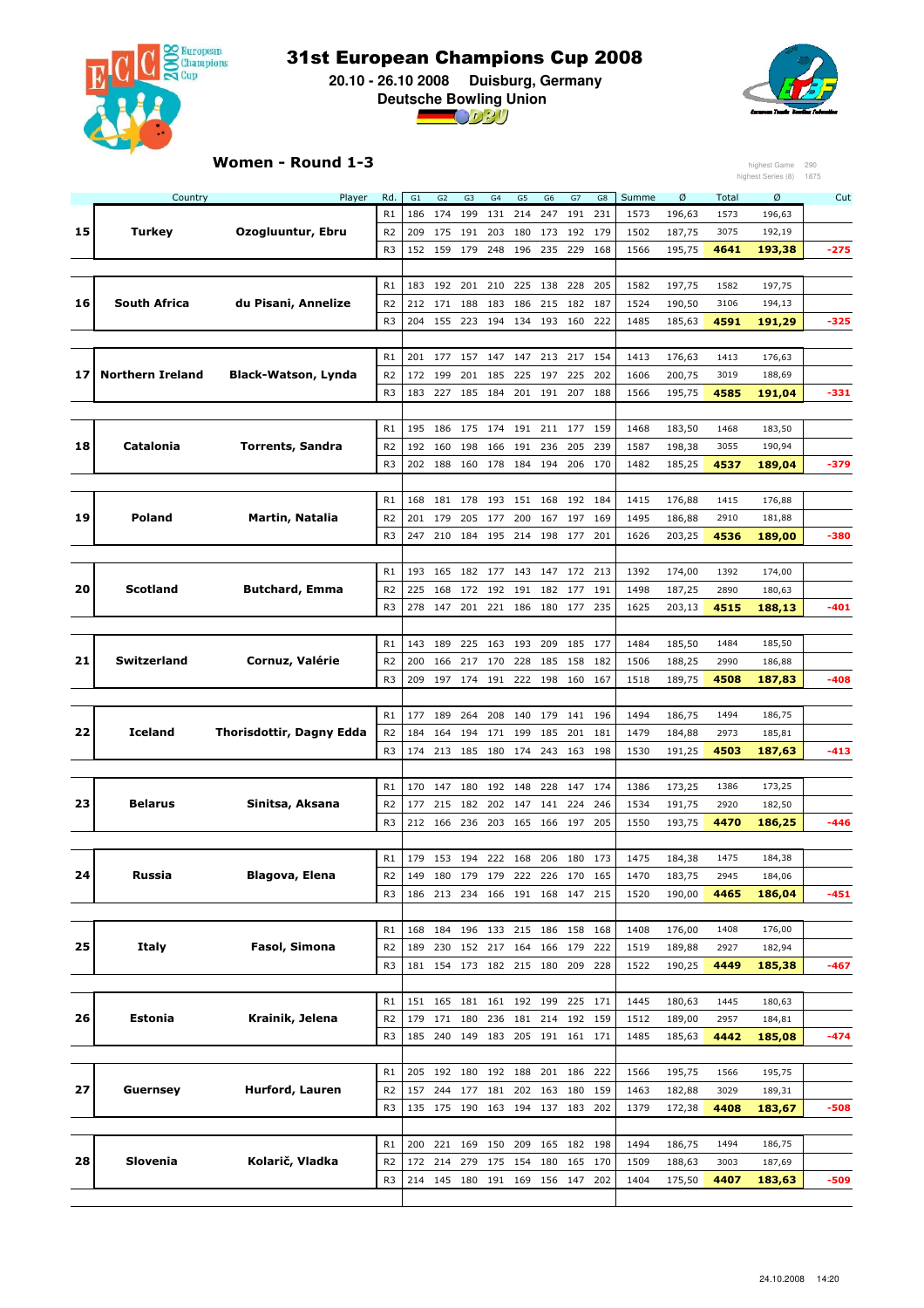

 **20.10 - 26.10 2008 Duisburg, Germany Deutsche Bowling Union**



#### Women - Round 1-3

|    |                         | Women - Round 1-3               |                |         |                |     |         |     |                         |         |     |       |        |              | highest Game       | 290    |
|----|-------------------------|---------------------------------|----------------|---------|----------------|-----|---------|-----|-------------------------|---------|-----|-------|--------|--------------|--------------------|--------|
|    |                         |                                 |                |         |                |     |         |     |                         |         |     |       |        |              | highest Series (8) | 1875   |
|    | Country                 | Player                          | Rd.            | G1      | G <sub>2</sub> | G3  | G4      | G5  | G6                      | G7      | G8  | Summe | Ø      | Total        | Ø                  | Cut    |
|    |                         |                                 | R1             | 186     | 174            | 199 | 131     | 214 | 247                     | 191     | 231 | 1573  | 196,63 | 1573         | 196,63             |        |
| 15 | <b>Turkey</b>           | Ozogluuntur, Ebru               | R <sub>2</sub> | 209     | 175            | 191 | 203     | 180 | 173                     | 192     | 179 | 1502  | 187,75 | 3075         | 192,19             |        |
|    |                         |                                 | R <sub>3</sub> | 152     | 159            | 179 | 248     | 196 | 235                     | 229     | 168 | 1566  | 195,75 | 4641         | 193,38             | -275   |
|    |                         |                                 |                |         |                |     |         |     |                         |         |     |       |        |              |                    |        |
|    |                         |                                 | R1             | 183     | 192            | 201 | 210     | 225 | 138                     | 228     | 205 | 1582  | 197,75 | 1582         | 197,75             |        |
| 16 | South Africa            | du Pisani, Annelize             | R <sub>2</sub> | 212     | 171            | 188 | 183     | 186 | 215                     | 182     | 187 | 1524  | 190,50 | 3106         | 194,13             |        |
|    |                         |                                 | R <sub>3</sub> | 204     | 155            | 223 | 194     | 134 | 193                     | 160     | 222 | 1485  | 185,63 | 4591         | 191,29             | -325   |
|    |                         |                                 |                |         |                |     |         |     |                         |         |     |       |        |              |                    |        |
|    |                         |                                 | R1             | 201     | 177            | 157 | 147     | 147 | 213                     | 217     | 154 | 1413  | 176,63 | 1413         | 176,63             |        |
| 17 | <b>Northern Ireland</b> | <b>Black-Watson, Lynda</b>      | R <sub>2</sub> | 172     | 199            | 201 | 185     | 225 | 197                     | 225     | 202 | 1606  | 200,75 | 3019         | 188,69             |        |
|    |                         |                                 | R <sub>3</sub> | 183     | 227            | 185 | 184     | 201 | 191                     | 207     | 188 | 1566  | 195,75 | 4585         | 191,04             | $-331$ |
|    |                         |                                 |                |         |                |     |         |     |                         |         |     |       |        |              |                    |        |
|    |                         |                                 | R1             | 195     | 186            | 175 | 174     | 191 |                         | 211 177 | 159 | 1468  | 183,50 | 1468         | 183,50             |        |
| 18 | Catalonia               | <b>Torrents, Sandra</b>         | R <sub>2</sub> | 192     | 160            | 198 | 166     | 191 | 236                     | 205     | 239 | 1587  | 198,38 | 3055         | 190,94             |        |
|    |                         |                                 | R <sub>3</sub> | 202     | 188            | 160 | 178     | 184 | 194                     | 206     | 170 | 1482  | 185,25 | 4537         | 189,04             | -379   |
|    |                         |                                 | R1             | 168     | 181            | 178 | 193     | 151 | 168                     | 192     | 184 | 1415  | 176,88 |              |                    |        |
| 19 | <b>Poland</b>           | <b>Martin, Natalia</b>          | R <sub>2</sub> | 201     | 179            | 205 | 177     | 200 | 167                     | 197     | 169 | 1495  | 186,88 | 1415<br>2910 | 176,88<br>181,88   |        |
|    |                         |                                 | R <sub>3</sub> |         |                |     |         |     |                         |         |     |       | 203,25 |              |                    |        |
|    |                         |                                 |                | 247     | 210            | 184 | 195     | 214 | 198                     | 177     | 201 | 1626  |        | 4536         | 189,00             | -380   |
|    |                         |                                 | R1             | 193     | 165            | 182 | 177     | 143 | 147                     | 172     | 213 | 1392  | 174,00 | 1392         | 174,00             |        |
| 20 | <b>Scotland</b>         | <b>Butchard, Emma</b>           | R <sub>2</sub> | 225     | 168            | 172 | 192     | 191 | 182 177                 |         | 191 | 1498  | 187,25 | 2890         | 180,63             |        |
|    |                         |                                 | R <sub>3</sub> | 278     | 147            | 201 | 221     | 186 |                         | 180 177 | 235 | 1625  | 203,13 | 4515         | 188,13             | -401   |
|    |                         |                                 |                |         |                |     |         |     |                         |         |     |       |        |              |                    |        |
|    |                         |                                 | R1             | 143     | 189            | 225 | 163     | 193 | 209                     | 185     | 177 | 1484  | 185,50 | 1484         | 185,50             |        |
| 21 | Switzerland             | Cornuz, Valérie                 | R <sub>2</sub> | 200     | 166            | 217 | 170     | 228 | 185                     | 158     | 182 | 1506  | 188,25 | 2990         | 186,88             |        |
|    |                         |                                 | R <sub>3</sub> | 209     | 197            | 174 | 191     | 222 | 198                     | 160     | 167 | 1518  | 189,75 | 4508         | 187,83             | -408   |
|    |                         |                                 |                |         |                |     |         |     |                         |         |     |       |        |              |                    |        |
|    |                         |                                 | R1             | 177     | 189            | 264 | 208     | 140 | 179                     | 141     | 196 | 1494  | 186,75 | 1494         | 186,75             |        |
| 22 | <b>Iceland</b>          | <b>Thorisdottir, Dagny Edda</b> | R <sub>2</sub> | 184     | 164            | 194 | 171     | 199 | 185                     | 201     | 181 | 1479  | 184,88 | 2973         | 185,81             |        |
|    |                         |                                 | R <sub>3</sub> | 174     | 213            | 185 | 180     | 174 | 243                     | 163     | 198 | 1530  | 191,25 | 4503         | 187,63             | -413   |
|    |                         |                                 |                |         |                |     |         |     |                         |         |     |       |        |              |                    |        |
|    |                         |                                 | R1             | 170     | 147            | 180 | 192     | 148 | 228                     | 147     | 174 | 1386  | 173,25 | 1386         | 173,25             |        |
| 23 | Belarus                 | Sinitsa, Aksana                 | R <sub>2</sub> | 177     | 215            | 182 | 202     | 147 | 141                     | 224     | 246 | 1534  | 191,75 | 2920         | 182,50             |        |
|    |                         |                                 | R <sub>3</sub> | 212     | 166            | 236 | 203     | 165 | 166                     | 197     | 205 | 1550  | 193,75 | 4470         | 186,25             | $-446$ |
|    |                         |                                 |                |         |                |     |         |     |                         |         |     |       |        |              |                    |        |
|    |                         |                                 | R1             | 179     | 153            | 194 | 222     | 168 | 206                     | 180     | 173 | 1475  | 184,38 | 1475         | 184,38             |        |
| 24 | Russia                  | Blagova, Elena                  | R <sub>2</sub> | 149     | 180            | 179 | 179     | 222 |                         | 226 170 | 165 | 1470  | 183,75 | 2945         | 184,06             |        |
|    |                         |                                 | R <sub>3</sub> | 186     | 213            | 234 | 166     | 191 | 168                     | 147     | 215 | 1520  | 190,00 | 4465         | 186,04             | $-451$ |
|    |                         |                                 |                |         |                |     |         |     |                         |         |     |       |        |              |                    |        |
|    |                         |                                 | R1             | 168     | 184            | 196 |         |     | 133 215 186 158         |         | 168 | 1408  | 176,00 | 1408         | 176,00             |        |
| 25 | Italy                   | Fasol, Simona                   | R <sub>2</sub> | 189     | 230            | 152 | 217     | 164 | 166                     | 179     | 222 | 1519  | 189,88 | 2927         | 182,94             |        |
|    |                         |                                 | R <sub>3</sub> |         |                |     |         |     | 181 154 173 182 215 180 | 209     | 228 | 1522  | 190,25 | 4449         | 185,38             | -467   |
|    |                         |                                 |                |         |                |     |         |     |                         |         |     |       |        |              |                    |        |
|    |                         |                                 | R1             | 151     | 165            | 181 | 161     | 192 | 199                     | 225     | 171 | 1445  | 180,63 | 1445         | 180,63             |        |
| 26 | Estonia                 | Krainik, Jelena                 | R <sub>2</sub> | 179     | 171            | 180 | 236     | 181 | 214                     | 192     | 159 | 1512  | 189,00 | 2957         | 184,81             |        |
|    |                         |                                 | R <sub>3</sub> | 185     | 240            | 149 | 183     | 205 |                         | 191 161 | 171 | 1485  | 185,63 | 4442         | 185,08             | -474   |
|    |                         |                                 |                |         |                |     |         |     |                         |         |     |       |        |              |                    |        |
|    |                         |                                 | R1             |         | 205 192 180    |     | 192 188 |     |                         | 201 186 | 222 | 1566  | 195,75 | 1566         | 195,75             |        |
| 27 | Guernsey                | Hurford, Lauren                 | R <sub>2</sub> | 157     | 244            | 177 | 181     |     | 202 163 180             |         | 159 | 1463  | 182,88 | 3029         | 189,31             |        |
|    |                         |                                 | R <sub>3</sub> | 135 175 |                | 190 | 163     | 194 | 137                     | 183     | 202 | 1379  | 172,38 | 4408         | 183,67             | -508   |
|    |                         |                                 |                |         |                |     |         |     |                         |         |     |       |        |              |                    |        |
|    |                         |                                 | R1             | 200     | 221 169        |     | 150     | 209 |                         | 165 182 | 198 | 1494  | 186,75 | 1494         | 186,75             |        |
| 28 | Slovenia                | Kolarič, Vladka                 | R <sub>2</sub> | 172     | 214            | 279 | 175     | 154 | 180                     | 165     | 170 | 1509  | 188,63 | 3003         | 187,69             |        |
|    |                         |                                 | R <sub>3</sub> |         | 214 145 180    |     | 191 169 |     |                         | 156 147 | 202 | 1404  | 175,50 | 4407         | 183,63             | -509   |
|    |                         |                                 |                |         |                |     |         |     |                         |         |     |       |        |              |                    |        |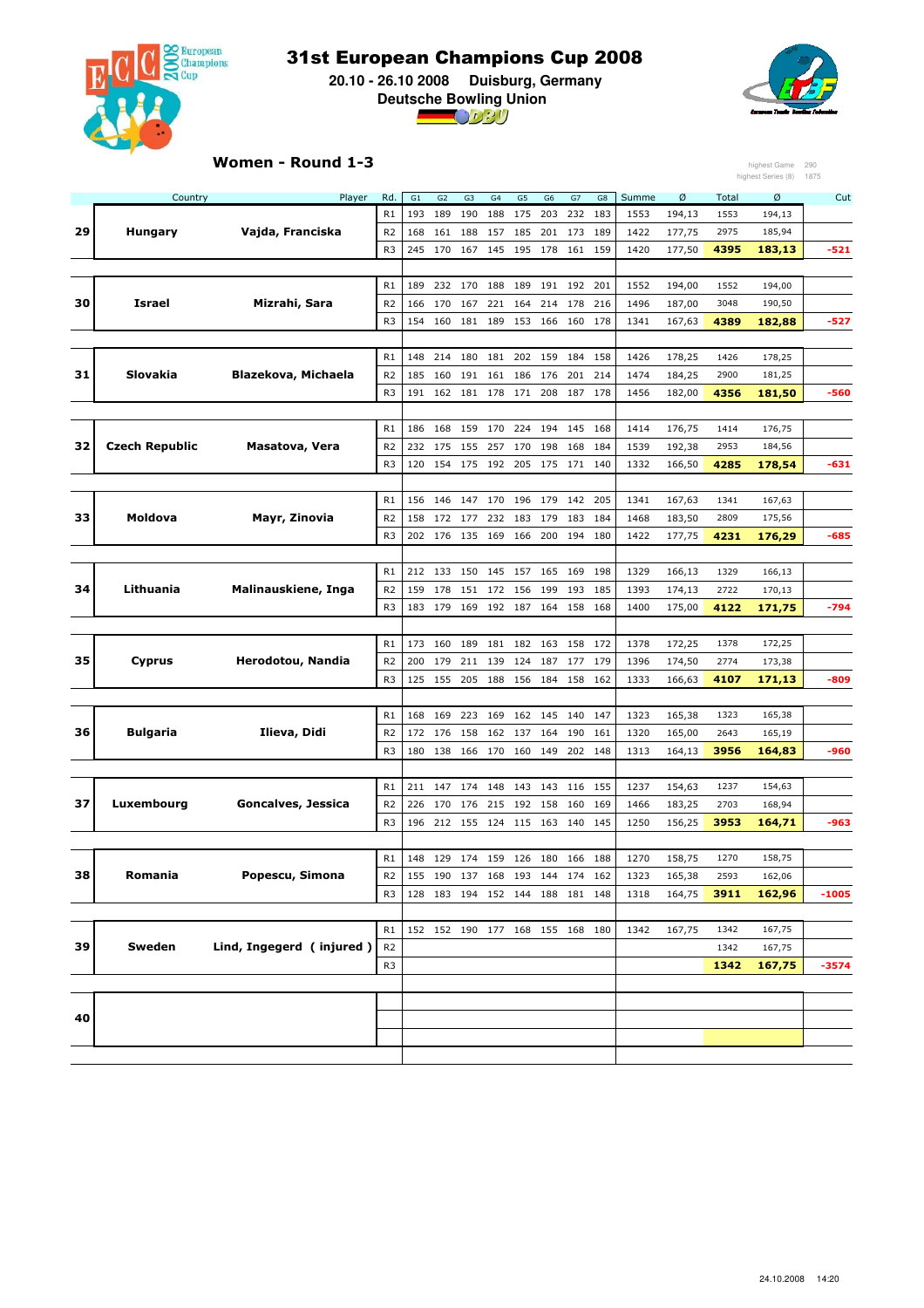

 **20.10 - 26.10 2008 Duisburg, Germany Deutsche Bowling Union**



### Women - Round 1-3

|    |                       | Women - Round 1-3        |                      |            |            |                                 |            |                |                |            |            |              |                  |              | highest Game       | 290     |
|----|-----------------------|--------------------------|----------------------|------------|------------|---------------------------------|------------|----------------|----------------|------------|------------|--------------|------------------|--------------|--------------------|---------|
|    |                       |                          |                      |            |            |                                 |            |                |                |            |            |              |                  |              | highest Series (8) | 1875    |
|    | Country               | Player                   | Rd.                  | G1         | G2         | G <sub>3</sub>                  | G4         | G <sub>5</sub> | G <sub>6</sub> | G7         | G8         | Summe        | Ø                | Total        | Ø                  | Cut     |
| 29 | Hungary               | Vajda, Franciska         | R1<br>R <sub>2</sub> | 193<br>168 | 189<br>161 | 190<br>188                      | 188<br>157 | 175<br>185     | 203<br>201     | 232<br>173 | 183<br>189 | 1553<br>1422 | 194,13<br>177,75 | 1553<br>2975 | 194,13<br>185,94   |         |
|    |                       |                          | R <sub>3</sub>       | 245        | 170        | 167                             | 145        | 195            | 178            | 161        | 159        | 1420         | 177,50           | 4395         | 183,13             | $-521$  |
|    |                       |                          |                      |            |            |                                 |            |                |                |            |            |              |                  |              |                    |         |
|    |                       |                          | R1                   | 189        |            | 232 170                         | 188        | 189            | 191            | 192        | 201        | 1552         | 194,00           | 1552         | 194,00             |         |
| 30 | Israel                | Mizrahi, Sara            | R <sub>2</sub>       | 166        | 170        | 167                             | 221        | 164            | 214            | 178        | 216        | 1496         | 187,00           | 3048         | 190,50             |         |
|    |                       |                          | R <sub>3</sub>       | 154        | 160        | 181                             | 189        | 153            | 166            | 160        | 178        | 1341         | 167,63           | 4389         | 182,88             | -527    |
|    |                       |                          |                      |            |            |                                 |            |                |                |            |            |              |                  |              |                    |         |
|    |                       |                          | R1                   | 148        | 214        | 180                             | 181        | 202            | 159            | 184        | 158        | 1426         | 178,25           | 1426         | 178,25             |         |
| 31 | Slovakia              | Blazekova, Michaela      | R <sub>2</sub>       | 185        | 160        | 191                             | 161        | 186            | 176            | 201        | 214        | 1474         | 184,25           | 2900         | 181,25             |         |
|    |                       |                          | R <sub>3</sub>       | 191        | 162        | 181                             | 178        | 171            | 208            | 187        | 178        | 1456         | 182,00           | 4356         | 181,50             | $-560$  |
|    |                       |                          |                      |            |            |                                 |            |                |                |            |            |              |                  |              |                    |         |
|    |                       |                          | R1                   | 186        | 168        | 159                             | 170        | 224            | 194            | 145        | 168        | 1414         | 176,75           | 1414         | 176,75             |         |
| 32 | <b>Czech Republic</b> | Masatova, Vera           | R <sub>2</sub>       | 232        | 175        | 155                             | 257        | 170            | 198            | 168        | 184        | 1539         | 192,38           | 2953         | 184,56             |         |
|    |                       |                          | R <sub>3</sub>       | 120        | 154 175    |                                 | 192        | 205            | 175 171 140    |            |            | 1332         | 166,50           | 4285         | 178,54             | $-631$  |
|    |                       |                          |                      |            |            |                                 |            |                |                |            |            |              |                  |              |                    |         |
|    |                       |                          | R1                   | 156        | 146        | 147                             | 170        | 196            | 179            | 142        | 205        | 1341         | 167,63           | 1341         | 167,63             |         |
| 33 | <b>Moldova</b>        | Mayr, Zinovia            | R <sub>2</sub>       | 158        | 172        | 177                             | 232        | 183            | 179            | 183        | 184        | 1468         | 183,50           | 2809         | 175,56             |         |
|    |                       |                          | R <sub>3</sub>       | 202        | 176        | 135                             | 169        | 166            | 200            | 194        | 180        | 1422         | 177,75           | 4231         | 176,29             | $-685$  |
|    |                       |                          |                      |            |            |                                 |            |                |                |            |            |              |                  |              |                    |         |
|    |                       |                          | R1                   | 212        | 133        | 150                             | 145        | 157            | 165            | 169        | 198        | 1329         | 166,13           | 1329         | 166,13             |         |
| 34 | Lithuania             | Malinauskiene, Inga      | R <sub>2</sub>       | 159        | 178        | 151                             | 172        | 156            | 199            | 193        | 185        | 1393         | 174,13           | 2722         | 170,13             |         |
|    |                       |                          | R <sub>3</sub>       | 183        | 179        | 169                             | 192        | 187            | 164            | 158        | 168        | 1400         | 175,00           | 4122         | 171,75             | -794    |
|    |                       |                          |                      |            |            |                                 |            |                |                |            |            |              |                  |              |                    |         |
|    |                       |                          | R1                   | 173        | 160        | 189                             | 181        | 182            | 163            | 158        | 172        | 1378         | 172,25           | 1378         | 172,25             |         |
| 35 | Cyprus                | Herodotou, Nandia        | R <sub>2</sub>       | 200        | 179        | 211                             | 139        | 124            | 187            | 177        | 179        | 1396         | 174,50           | 2774         | 173,38             |         |
|    |                       |                          | R <sub>3</sub>       | 125        | 155        | 205                             | 188        | 156            | 184            | 158        | 162        | 1333         | 166,63           | 4107         | 171,13             | $-809$  |
|    |                       |                          |                      |            |            |                                 |            |                |                |            |            |              |                  |              |                    |         |
|    |                       |                          | R1                   | 168        | 169        | 223                             | 169        | 162            | 145            | 140        | 147        | 1323         | 165,38           | 1323         | 165,38             |         |
| 36 | <b>Bulgaria</b>       | Ilieva, Didi             | R <sub>2</sub>       | 172        | 176        | 158                             | 162        | 137            | 164            | 190        | 161        | 1320         | 165,00           | 2643         | 165,19             |         |
|    |                       |                          | R <sub>3</sub>       | 180        | 138        | 166                             | 170        | 160            | 149            | 202        | 148        | 1313         | 164,13           | 3956         | 164,83             | $-960$  |
|    |                       |                          |                      |            |            |                                 |            |                |                |            |            |              |                  |              |                    |         |
|    |                       |                          | R1                   | 211        | 147        | 174                             | 148        | 143            | 143            | 116        | 155        | 1237         | 154,63           | 1237         | 154,63             |         |
| 37 | Luxembourg            | Goncalves, Jessica       | R <sub>2</sub>       | 226        | 170        | 176                             | 215        | 192            | 158            | 160        | 169        | 1466         | 183,25           | 2703         | 168,94             |         |
|    |                       |                          | R <sub>3</sub>       | 196        | 212        | 155                             | 124        | 115            | 163            | 140        | 145        | 1250         | 156,25           | 3953         | 164,71             | $-963$  |
|    |                       |                          |                      |            |            |                                 |            |                |                |            |            |              |                  |              |                    |         |
|    |                       |                          | R1                   | 148        |            | 129 174 159 126                 |            |                | 180            | 166 188    |            | 1270         | 158,75           | 1270         | 158,75             |         |
| 38 | Romania               | Popescu, Simona          | R <sub>2</sub>       | 155        |            | 190 137 168 193 144 174 162     |            |                |                |            |            | 1323         | 165,38           | 2593         | 162,06             |         |
|    |                       |                          | R <sub>3</sub>       |            |            | 128 183 194 152 144 188 181 148 |            |                |                |            |            | 1318         | 164,75           | 3911         | 162,96             | $-1005$ |
|    |                       |                          |                      |            |            |                                 |            |                |                |            |            |              |                  |              |                    |         |
|    |                       |                          | R1                   |            |            | 152 152 190 177 168 155 168 180 |            |                |                |            |            | 1342         | 167,75           | 1342         | 167,75             |         |
| 39 | Sweden                | Lind, Ingegerd (injured) | R <sub>2</sub>       |            |            |                                 |            |                |                |            |            |              |                  | 1342         | 167,75             |         |
|    |                       |                          | R <sub>3</sub>       |            |            |                                 |            |                |                |            |            |              |                  | 1342         | 167,75             | $-3574$ |
|    |                       |                          |                      |            |            |                                 |            |                |                |            |            |              |                  |              |                    |         |
| 40 |                       |                          |                      |            |            |                                 |            |                |                |            |            |              |                  |              |                    |         |
|    |                       |                          |                      |            |            |                                 |            |                |                |            |            |              |                  |              |                    |         |
|    |                       |                          |                      |            |            |                                 |            |                |                |            |            |              |                  |              |                    |         |
|    |                       |                          |                      |            |            |                                 |            |                |                |            |            |              |                  |              |                    |         |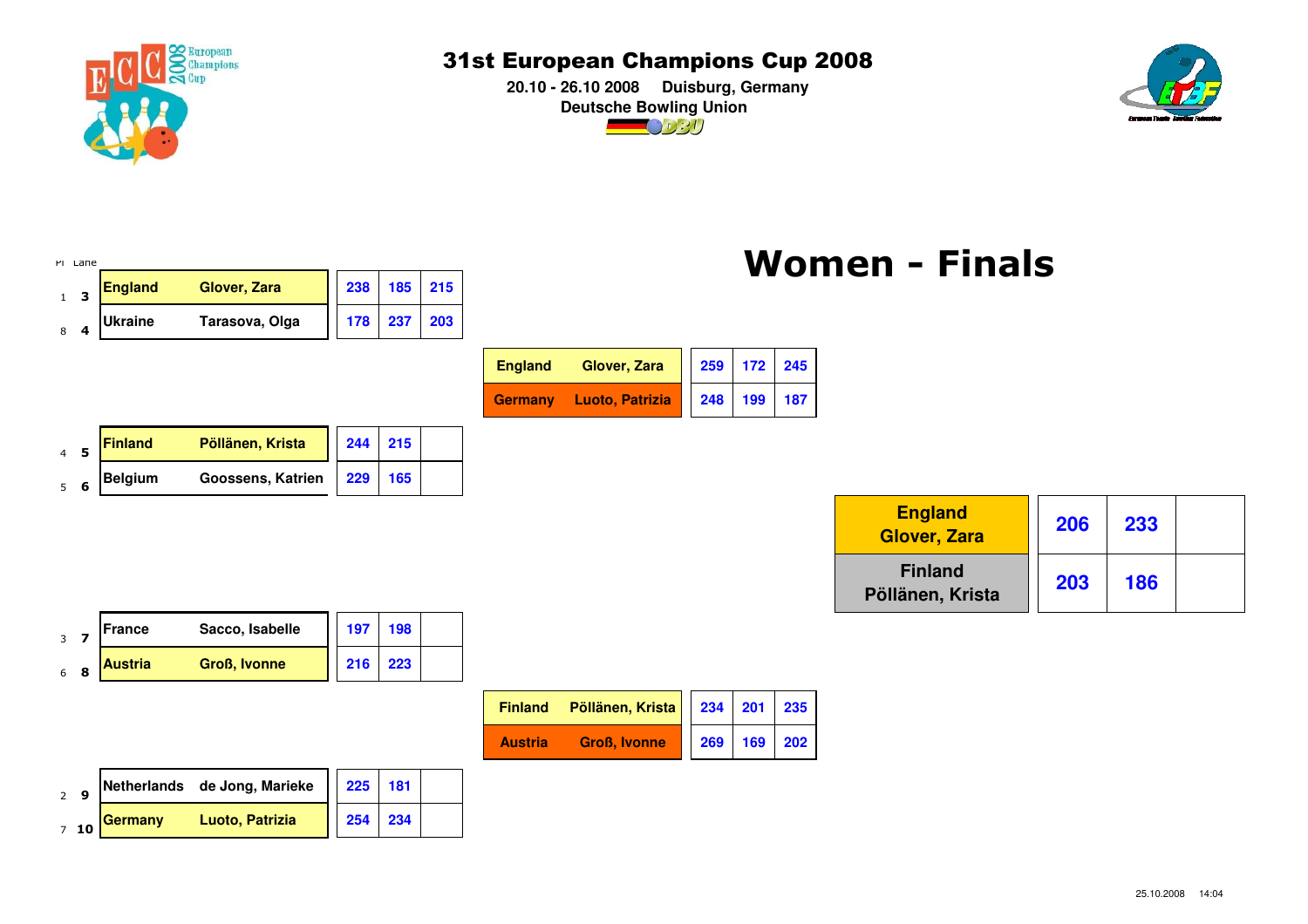

 **20.10 - 26.10 2008 Duisburg, GermanyDeutsche Bowling Union** $\bigcirc$  02U



#### Pl Lane <sup>1</sup> <sup>0</sup> <sup>1</sup> 1 <sup>3</sup> **England Glover, Zara <sup>238</sup> <sup>185</sup> <sup>215</sup>** <sup>2</sup> 8 <sup>4</sup> **Ukraine Tarasova, Olga <sup>178</sup> <sup>237</sup> <sup>203</sup>** <sup>1</sup> 0 <sup>1</sup> <sup>0</sup> <sup>1</sup> <sup>0</sup> <sup>1</sup> **England Glover, Zara <sup>259</sup> <sup>172</sup> <sup>245</sup>** <sup>2</sup> **Germany Luoto, Patrizia <sup>248</sup> <sup>199</sup> <sup>187</sup>** <sup>1</sup> 1 <sup>1</sup> <sup>0</sup> <sup>0</sup> <sup>1</sup> <sup>0</sup> 4 <sup>5</sup> **Finland Pöllänen, Krista <sup>244</sup> <sup>215</sup>** <sup>2</sup> 5 <sup>6</sup> **Belgium Goossens, Katrien 229 <sup>165</sup>** <sup>0</sup> <sup>1</sup> <sup>1</sup> <sup>0</sup> <u> 2006 | England | Ooc ooo |</u> | <sup>0</sup> <sup>0</sup> <sup>0</sup> 3 <sup>7</sup> **France Sacco, Isabelle 197 <sup>198</sup>** <sup>0</sup> <sup>0</sup> <sup>0</sup> <sup>0</sup> **Finland Pöllänen, Krista**Women - Finals**EnglandGlover, Zara**

| ـ د            |                |                     |     |     |                |                     |    |
|----------------|----------------|---------------------|-----|-----|----------------|---------------------|----|
| 6 <sub>8</sub> | <b>Austria</b> | <b>Groß, Ivonne</b> | 216 | 223 |                |                     |    |
|                |                |                     |     |     | <b>Finland</b> | Pöllänen, Krista    | 23 |
|                |                |                     |     |     | <b>Austria</b> | <b>Groß, Ivonne</b> | 26 |
|                |                |                     |     |     |                |                     |    |

|                | Finland Pöllänen, Krista   234   201   235 |             |  |
|----------------|--------------------------------------------|-------------|--|
| <b>Austria</b> | <b>Groß, Ivonne</b>                        | 269 169 202 |  |
|                |                                            |             |  |

 $\overline{\phantom{a}}$  1  $\overline{\phantom{a}}$  1  $\overline{\phantom{a}}$ 

|    |         | Netherlands de Jong, Marieke | 225 |  |
|----|---------|------------------------------|-----|--|
| 10 | Germany | Luoto, Patrizia              |     |  |

**233**

**203 186**

**<sup>206</sup>**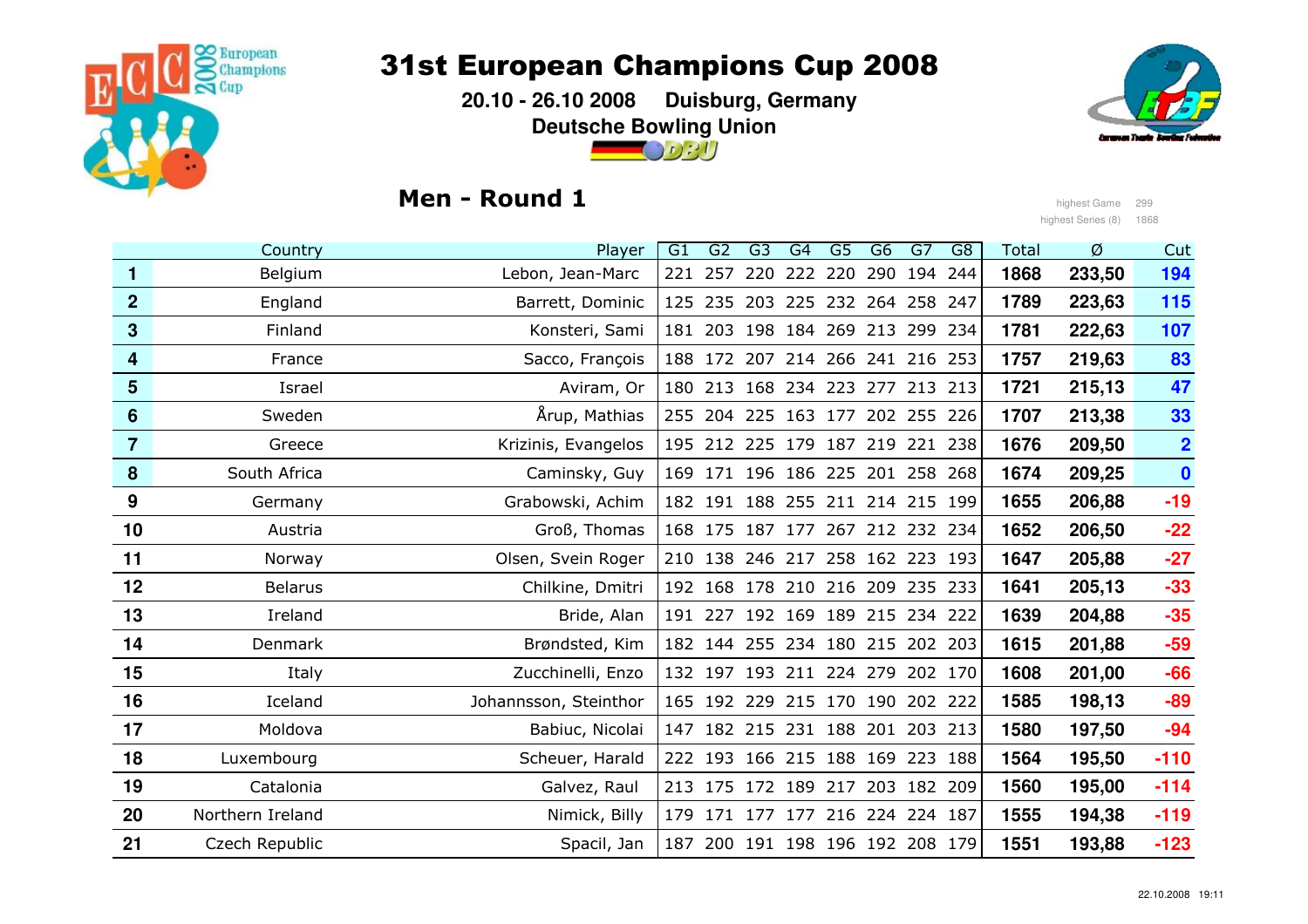

 **20.10 - 26.10 2008 Duisburg, GermanyDeutsche Bowling Union** $\bigcirc$  or  $\cdot$ 



## Men - Round 1

السابقة وhighest Game 299<br>highest Game 299<br>highest Series (8) 186 highest Series (8) 1868

|                  | Country          | Player                | G1  | G2  | G <sub>3</sub>                  | G4      | $\overline{G5}$     | G6  | G7  | G <sub>8</sub> | <b>Total</b> | Ø      | Cut                     |
|------------------|------------------|-----------------------|-----|-----|---------------------------------|---------|---------------------|-----|-----|----------------|--------------|--------|-------------------------|
| 1                | Belgium          | Lebon, Jean-Marc      | 221 | 257 | 220                             | 222 220 |                     | 290 | 194 | 244            | 1868         | 233,50 | 194                     |
| $\boldsymbol{2}$ | England          | Barrett, Dominic      |     |     | 125 235 203 225 232 264 258 247 |         |                     |     |     |                | 1789         | 223,63 | 115                     |
| 3                | Finland          | Konsteri, Sami        |     |     | 181 203 198 184 269 213 299     |         |                     |     |     | 234            | 1781         | 222,63 | 107                     |
| 4                | France           | Sacco, François       | 188 |     | 172 207                         |         | 214 266 241 216 253 |     |     |                | 1757         | 219,63 | 83                      |
| 5                | Israel           | Aviram, Or            |     |     | 180 213 168 234 223 277 213 213 |         |                     |     |     |                | 1721         | 215,13 | 47                      |
| 6                | Sweden           | Årup, Mathias         |     |     | 255 204 225 163 177 202 255 226 |         |                     |     |     |                | 1707         | 213,38 | 33                      |
| 7                | Greece           | Krizinis, Evangelos   |     |     | 195 212 225 179 187 219 221 238 |         |                     |     |     |                | 1676         | 209,50 | $\overline{\mathbf{2}}$ |
| 8                | South Africa     | Caminsky, Guy         |     |     | 169 171 196 186 225 201 258 268 |         |                     |     |     |                | 1674         | 209,25 | $\bullet$               |
| 9                | Germany          | Grabowski, Achim      |     |     | 182 191 188 255 211 214 215 199 |         |                     |     |     |                | 1655         | 206,88 | $-19$                   |
| 10               | Austria          | Groß, Thomas          |     |     | 168 175 187 177 267 212 232 234 |         |                     |     |     |                | 1652         | 206,50 | $-22$                   |
| 11               | Norway           | Olsen, Svein Roger    |     |     | 210 138 246 217 258 162 223 193 |         |                     |     |     |                | 1647         | 205,88 | $-27$                   |
| 12               | <b>Belarus</b>   | Chilkine, Dmitri      |     |     | 192 168 178 210 216 209 235 233 |         |                     |     |     |                | 1641         | 205,13 | $-33$                   |
| 13               | Ireland          | Bride, Alan           |     |     | 191 227 192 169 189 215 234 222 |         |                     |     |     |                | 1639         | 204,88 | $-35$                   |
| 14               | Denmark          | Brøndsted, Kim        | 182 |     | 144 255 234 180 215 202 203     |         |                     |     |     |                | 1615         | 201,88 | $-59$                   |
| 15               | Italy            | Zucchinelli, Enzo     |     |     | 132 197 193 211 224 279 202 170 |         |                     |     |     |                | 1608         | 201,00 | $-66$                   |
| 16               | Iceland          | Johannsson, Steinthor |     |     | 165 192 229 215 170 190 202 222 |         |                     |     |     |                | 1585         | 198,13 | $-89$                   |
| 17               | Moldova          | Babiuc, Nicolai       | 147 |     | 182 215 231 188 201 203 213     |         |                     |     |     |                | 1580         | 197,50 | $-94$                   |
| 18               | Luxembourg       | Scheuer, Harald       |     |     | 222 193 166 215 188 169 223     |         |                     |     |     | 188            | 1564         | 195,50 | $-110$                  |
| 19               | Catalonia        | Galvez, Raul          |     |     | 213 175 172 189 217 203 182 209 |         |                     |     |     |                | 1560         | 195,00 | $-114$                  |
| 20               | Northern Ireland | Nimick, Billy         |     |     | 179 171 177 177 216 224 224 187 |         |                     |     |     |                | 1555         | 194,38 | $-119$                  |
| 21               | Czech Republic   | Spacil, Jan           | 187 |     | 200 191 198 196 192 208 179     |         |                     |     |     |                | 1551         | 193,88 | $-123$                  |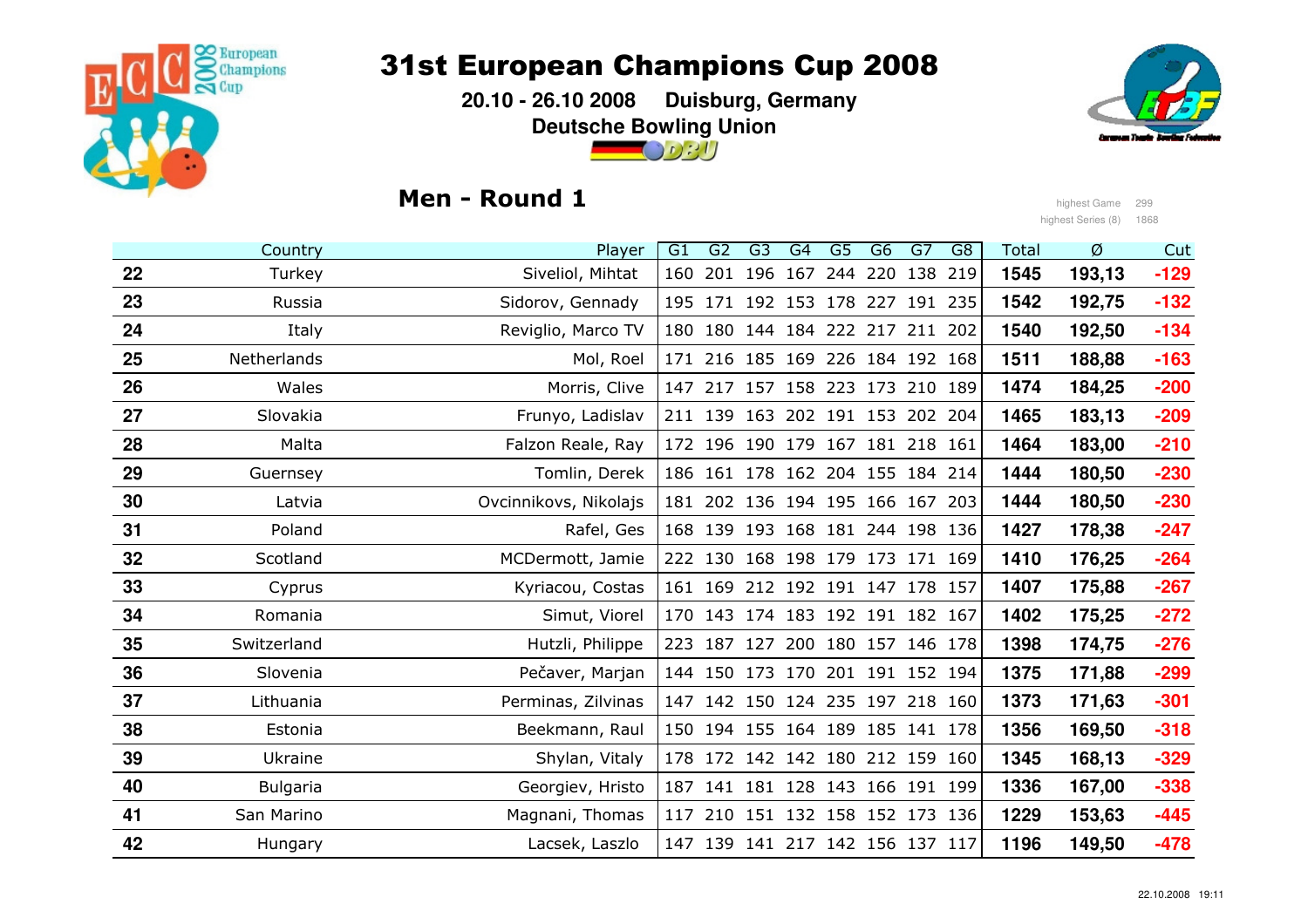

 **20.10 - 26.10 2008 Duisburg, GermanyDeutsche Bowling Union**



## Men - Round 1



السابقة وhighest Game 299<br>highest Game 299<br>highest Series (8) 186 highest Series (8) 1868

|    | Country         | Player                | $\overline{G1}$ | G <sub>2</sub>                  | G3  | G4  | $\overline{G5}$ | G6                          | G7  | G <sub>8</sub> | <b>Total</b> | Ø      | Cut    |
|----|-----------------|-----------------------|-----------------|---------------------------------|-----|-----|-----------------|-----------------------------|-----|----------------|--------------|--------|--------|
| 22 | Turkey          | Siveliol, Mihtat      | 160             | 201                             | 196 | 167 | 244             | 220                         | 138 | 219            | 1545         | 193,13 | $-129$ |
| 23 | Russia          | Sidorov, Gennady      |                 | 195 171 192 153 178 227 191 235 |     |     |                 |                             |     |                | 1542         | 192,75 | $-132$ |
| 24 | Italy           | Reviglio, Marco TV    |                 | 180 180 144 184 222 217 211 202 |     |     |                 |                             |     |                | 1540         | 192,50 | $-134$ |
| 25 | Netherlands     | Mol, Roel             | 171             |                                 |     |     |                 | 216 185 169 226 184 192 168 |     |                | 1511         | 188,88 | $-163$ |
| 26 | Wales           | Morris, Clive         |                 | 147 217 157 158 223 173 210 189 |     |     |                 |                             |     |                | 1474         | 184,25 | $-200$ |
| 27 | Slovakia        | Frunyo, Ladislav      |                 | 211 139                         |     |     |                 | 163 202 191 153 202 204     |     |                | 1465         | 183,13 | $-209$ |
| 28 | Malta           | Falzon Reale, Ray     |                 | 172 196 190 179 167 181 218 161 |     |     |                 |                             |     |                | 1464         | 183,00 | $-210$ |
| 29 | Guernsey        | Tomlin, Derek         |                 | 186 161 178 162 204 155 184 214 |     |     |                 |                             |     |                | 1444         | 180,50 | $-230$ |
| 30 | Latvia          | Ovcinnikovs, Nikolajs |                 | 181 202 136 194 195 166 167     |     |     |                 |                             |     | 203            | 1444         | 180,50 | $-230$ |
| 31 | Poland          | Rafel, Ges            |                 | 168 139 193 168 181 244 198 136 |     |     |                 |                             |     |                | 1427         | 178,38 | $-247$ |
| 32 | Scotland        | MCDermott, Jamie      |                 | 222 130                         |     |     |                 | 168 198 179 173 171 169     |     |                | 1410         | 176,25 | $-264$ |
| 33 | Cyprus          | Kyriacou, Costas      |                 | 161 169 212 192 191 147 178 157 |     |     |                 |                             |     |                | 1407         | 175,88 | $-267$ |
| 34 | Romania         | Simut, Viorel         |                 | 170 143 174 183 192 191 182 167 |     |     |                 |                             |     |                | 1402         | 175,25 | $-272$ |
| 35 | Switzerland     | Hutzli, Philippe      | 223             | 187 127                         |     |     |                 | 200 180 157 146 178         |     |                | 1398         | 174,75 | $-276$ |
| 36 | Slovenia        | Pečaver, Marjan       |                 | 144 150 173 170 201 191 152 194 |     |     |                 |                             |     |                | 1375         | 171,88 | $-299$ |
| 37 | Lithuania       | Perminas, Zilvinas    |                 | 147 142 150 124 235 197 218 160 |     |     |                 |                             |     |                | 1373         | 171,63 | $-301$ |
| 38 | Estonia         | Beekmann, Raul        |                 | 150 194 155 164 189 185 141 178 |     |     |                 |                             |     |                | 1356         | 169,50 | $-318$ |
| 39 | Ukraine         | Shylan, Vitaly        |                 | 178 172 142 142 180 212 159     |     |     |                 |                             |     | 160            | 1345         | 168,13 | $-329$ |
| 40 | <b>Bulgaria</b> | Georgiev, Hristo      |                 | 187 141 181 128 143 166 191 199 |     |     |                 |                             |     |                | 1336         | 167,00 | $-338$ |
| 41 | San Marino      | Magnani, Thomas       |                 | 117 210 151 132 158 152 173 136 |     |     |                 |                             |     |                | 1229         | 153,63 | $-445$ |
| 42 | Hungary         | Lacsek, Laszlo        |                 | 147 139                         |     |     |                 | 141 217 142 156 137 117     |     |                | 1196         | 149,50 | -478   |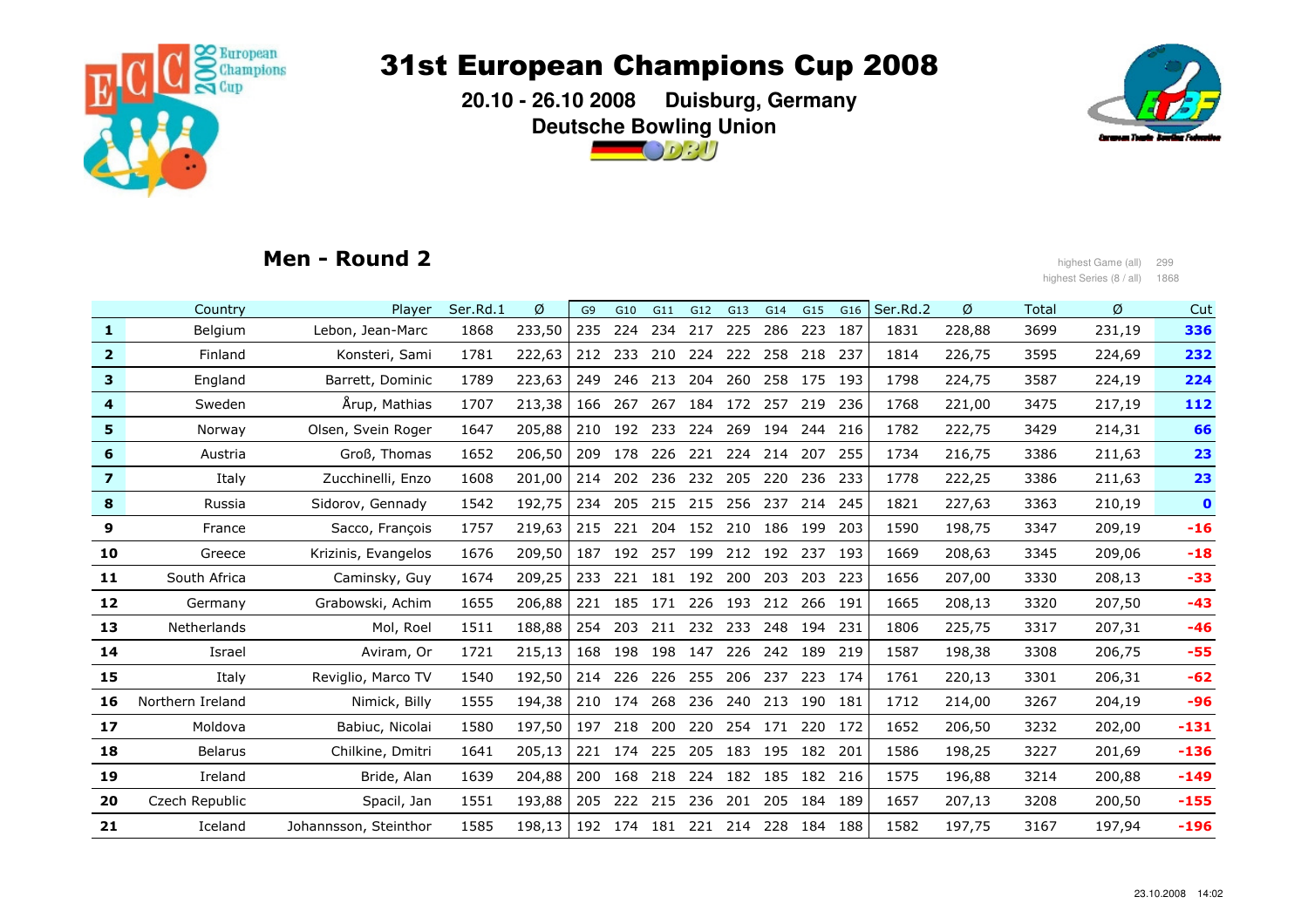

 **20.10 - 26.10 2008 Duisburg, GermanyDeutsche Bowling Union** $\bigcirc$  or  $\partial$   $\partial$ 



### Men - Round 2

highest Game (all) 299<br>highest Series (8 / all) 186 highest Series (8 / all) 1868

|                | Country          | Player                | Ser.Rd.1 | Ø      | G <sub>9</sub> | G10 | G11 | G12     | G13 | G14     | G15     | G16 | Ser.Rd.2 | Ø      | Total | Ø      | Cut          |
|----------------|------------------|-----------------------|----------|--------|----------------|-----|-----|---------|-----|---------|---------|-----|----------|--------|-------|--------|--------------|
| 1              | Belgium          | Lebon, Jean-Marc      | 1868     | 233,50 | 235            | 224 | 234 | 217     | 225 | 286     | 223     | 187 | 1831     | 228,88 | 3699  | 231,19 | 336          |
| $\overline{2}$ | Finland          | Konsteri, Sami        | 1781     | 222,63 | 212            | 233 | 210 | 224     | 222 | 258     | 218     | 237 | 1814     | 226,75 | 3595  | 224,69 | 232          |
| 3              | England          | Barrett, Dominic      | 1789     | 223,63 | 249            | 246 | 213 | 204     | 260 | 258     | 175     | 193 | 1798     | 224,75 | 3587  | 224,19 | 224          |
| 4              | Sweden           | Arup, Mathias         | 1707     | 213,38 | 166            | 267 | 267 | 184     | 172 | 257     | 219     | 236 | 1768     | 221,00 | 3475  | 217,19 | 112          |
| 5              | Norway           | Olsen, Svein Roger    | 1647     | 205,88 | 210            | 192 | 233 | 224     | 269 | 194     | 244     | 216 | 1782     | 222,75 | 3429  | 214,31 | 66           |
| 6              | Austria          | Groß, Thomas          | 1652     | 206,50 | 209            | 178 | 226 | 221     | 224 | 214     | 207     | 255 | 1734     | 216,75 | 3386  | 211,63 | 23           |
| $\overline{7}$ | Italy            | Zucchinelli, Enzo     | 1608     | 201,00 | 214            | 202 | 236 | 232     | 205 | 220     | 236     | 233 | 1778     | 222,25 | 3386  | 211,63 | 23           |
| 8              | Russia           | Sidorov, Gennady      | 1542     | 192,75 | 234            | 205 | 215 | 215     | 256 | 237     | 214     | 245 | 1821     | 227,63 | 3363  | 210,19 | $\mathbf{o}$ |
| 9              | France           | Sacco, François       | 1757     | 219,63 | 215            | 221 | 204 | 152     | 210 | 186 199 |         | 203 | 1590     | 198,75 | 3347  | 209,19 | $-16$        |
| 10             | Greece           | Krizinis, Evangelos   | 1676     | 209,50 | 187            | 192 | 257 | 199     | 212 | 192     | 237     | 193 | 1669     | 208,63 | 3345  | 209,06 | $-18$        |
| 11             | South Africa     | Caminsky, Guy         | 1674     | 209,25 | 233            | 221 | 181 | 192     | 200 | 203     | 203     | 223 | 1656     | 207,00 | 3330  | 208,13 | $-33$        |
| 12             | Germany          | Grabowski, Achim      | 1655     | 206,88 | 221            | 185 | 171 | 226     | 193 | 212     | 266 191 |     | 1665     | 208,13 | 3320  | 207,50 | $-43$        |
| 13             | Netherlands      | Mol, Roel             | 1511     | 188,88 | 254            | 203 | 211 | 232 233 |     | 248     | 194     | 231 | 1806     | 225,75 | 3317  | 207,31 | $-46$        |
| 14             | Israel           | Aviram, Or            | 1721     | 215,13 | 168            | 198 | 198 | 147     | 226 | 242     | 189     | 219 | 1587     | 198,38 | 3308  | 206,75 | $-55$        |
| 15             | Italy            | Reviglio, Marco TV    | 1540     | 192,50 | 214            | 226 | 226 | 255     | 206 | 237     | 223     | 174 | 1761     | 220,13 | 3301  | 206,31 | $-62$        |
| 16             | Northern Ireland | Nimick, Billy         | 1555     | 194,38 | 210            | 174 | 268 | 236     | 240 | 213     | 190     | 181 | 1712     | 214,00 | 3267  | 204,19 | $-96$        |
| 17             | Moldova          | Babiuc, Nicolai       | 1580     | 197,50 | 197            | 218 | 200 | 220     | 254 | 171     | 220 172 |     | 1652     | 206,50 | 3232  | 202,00 | $-131$       |
| 18             | <b>Belarus</b>   | Chilkine, Dmitri      | 1641     | 205,13 | 221            | 174 | 225 | 205     | 183 | 195     | 182     | 201 | 1586     | 198,25 | 3227  | 201,69 | $-136$       |
| 19             | Ireland          | Bride, Alan           | 1639     | 204,88 | 200            | 168 | 218 | 224     | 182 | 185     | 182     | 216 | 1575     | 196,88 | 3214  | 200,88 | $-149$       |
| 20             | Czech Republic   | Spacil, Jan           | 1551     | 193,88 | 205            | 222 | 215 | 236     | 201 | 205     | 184 189 |     | 1657     | 207,13 | 3208  | 200,50 | $-155$       |
| 21             | Iceland          | Johannsson, Steinthor | 1585     | 198,13 | 192            | 174 | 181 | 221     | 214 | 228     | 184     | 188 | 1582     | 197,75 | 3167  | 197,94 | $-196$       |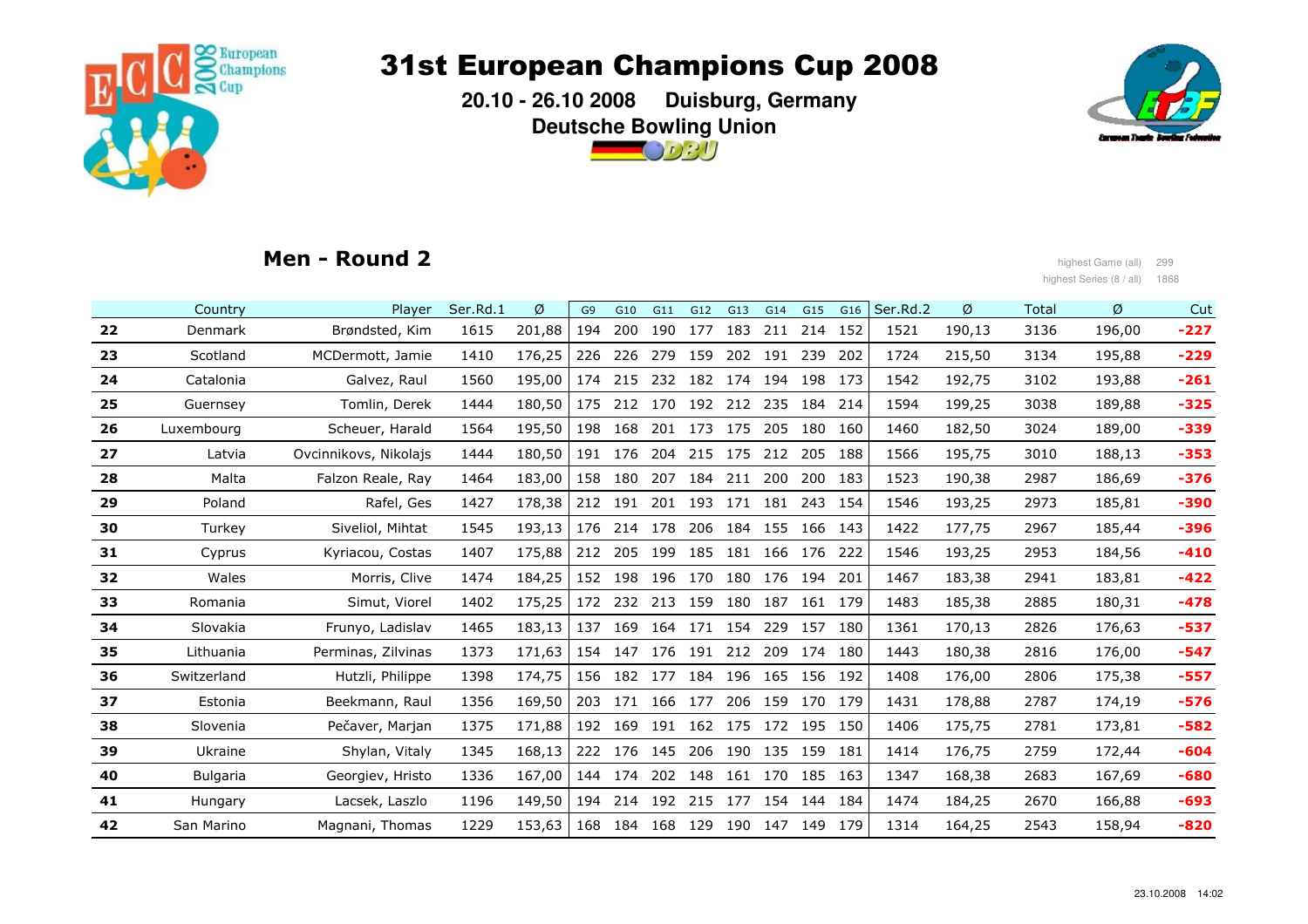

 **20.10 - 26.10 2008 Duisburg, GermanyDeutsche Bowling Union** $\bigcirc$  or  $\eta$ 



### Men - Round 2

 highest Game (all) <sup>299</sup> highest Series (8 / all) 1868

| $-227$<br>196,00           |
|----------------------------|
|                            |
| $-229$<br>195,88           |
| $-261$<br>193,88           |
| $-325$<br>189,88           |
| $-339$<br>189,00           |
| $-353$<br>188,13           |
| $-376$<br>186,69           |
| $-390$<br>185,81           |
| $-396$<br>185,44           |
| $-410$<br>184,56           |
| $-422$                     |
| $-478$                     |
| $-537$<br>176,63           |
| $-547$<br>176,00           |
| $-557$<br>175,38           |
| $-576$<br>174,19           |
| $-582$                     |
| $-604$<br>172,44           |
| $-680$<br>167,69           |
| $-693$<br>166,88           |
| $-820$<br>158,94           |
| 183,81<br>180,31<br>173,81 |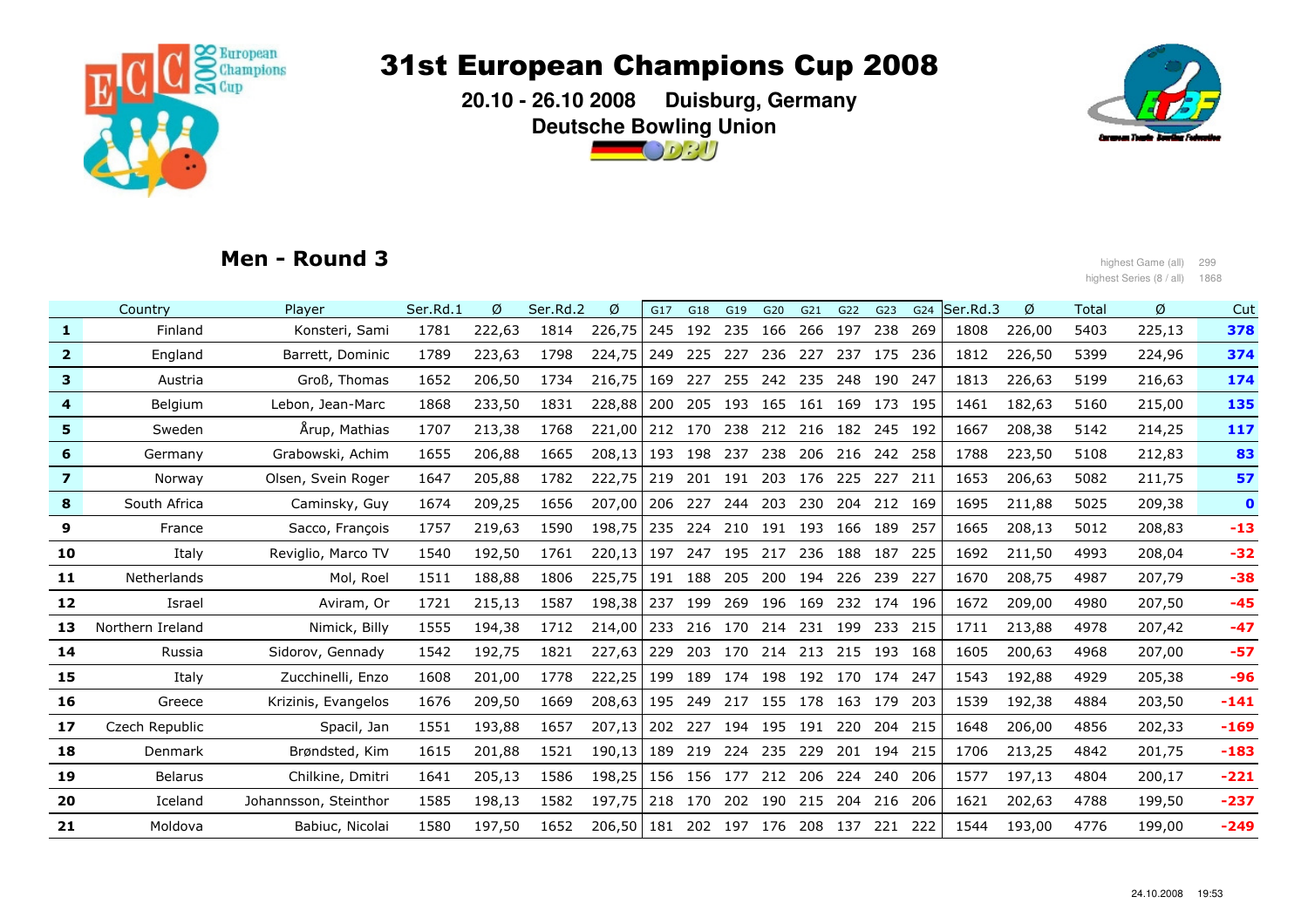

 **20.10 - 26.10 2008 Duisburg, GermanyDeutsche Bowling Union** $\bigcirc$   $\circ$   $\circ$   $\prime$   $\prime$ 



### Men - Round 3

المواضح العربية والتي تعليم المواضح المواضح المواضح المواضح المواضح المواضح المواضح المواضح المواضح المواضح ال<br>العربية المواضح المواضح المواضح المواضح المواضح المواضح المواضح المواضح المواضح المواضح المواضح المواضح الموا highest Series (8 / all) 1868

|                | Country            | Player                | Ser.Rd.1 | Ø      | Ser.Rd.2 | Ø      | G17 | G18     | G19         | G20         | G21                         | G22 | G23     | G24  | Ser.Rd.3 | Ø      | Total | Ø      | Cut         |
|----------------|--------------------|-----------------------|----------|--------|----------|--------|-----|---------|-------------|-------------|-----------------------------|-----|---------|------|----------|--------|-------|--------|-------------|
| $\mathbf{1}$   | Finland            | Konsteri, Sami        | 1781     | 222,63 | 1814     | 226,75 |     | 245 192 | 235         | 166         | 266                         | 197 | 238     | 269  | 1808     | 226,00 | 5403  | 225,13 | 378         |
| 2 <sup>1</sup> | England            | Barrett, Dominic      | 1789     | 223,63 | 1798     | 224,75 |     | 249 225 | 227         | 236         | 227                         | 237 | 175     | 236  | 1812     | 226,50 | 5399  | 224,96 | 374         |
| 3              | Austria            | Groß, Thomas          | 1652     | 206,50 | 1734     | 216,75 | 169 | 227     | 255         | 242         | 235                         | 248 | 190     | 247  | 1813     | 226,63 | 5199  | 216,63 | 174         |
| 4              | Belgium            | Lebon, Jean-Marc      | 1868     | 233,50 | 1831     | 228,88 | 200 | 205     | 193         | 165         | 161 169                     |     | 173     | 195  | 1461     | 182,63 | 5160  | 215,00 | 135         |
| 5              | Sweden             | Arup, Mathias         | 1707     | 213,38 | 1768     | 221,00 |     | 212 170 | 238         | 212         | 216                         | 182 | 245     | 192  | 1667     | 208,38 | 5142  | 214,25 | 117         |
| 6              | Germany            | Grabowski, Achim      | 1655     | 206,88 | 1665     | 208,13 |     | 193 198 | 237         | 238         | 206                         | 216 | 242     | 258  | 1788     | 223,50 | 5108  | 212,83 | 83          |
| $\overline{7}$ | Norway             | Olsen, Svein Roger    | 1647     | 205,88 | 1782     | 222,75 | 219 | 201     | 191         | 203         | 176                         | 225 | 227     | 211  | 1653     | 206,63 | 5082  | 211,75 | 57          |
| 8              | South Africa       | Caminsky, Guy         | 1674     | 209,25 | 1656     | 207,00 |     | 206 227 | 244         | 203         | 230                         |     | 204 212 | 169  | 1695     | 211,88 | 5025  | 209,38 | $\mathbf 0$ |
| 9              | France             | Sacco, François       | 1757     | 219,63 | 1590     | 198,75 |     | 235 224 |             | 210 191     | 193                         | 166 | 189     | 257  | 1665     | 208,13 | 5012  | 208,83 | $-13$       |
| 10             | Italy              | Reviglio, Marco TV    | 1540     | 192,50 | 1761     | 220,13 | 197 | 247     | 195         | 217         | 236                         | 188 | 187     | 225  | 1692     | 211,50 | 4993  | 208,04 | $-32$       |
| 11             | <b>Netherlands</b> | Mol, Roel             | 1511     | 188,88 | 1806     | 225,75 |     | 191 188 | 205         | 200         | 194                         | 226 | 239     | -227 | 1670     | 208,75 | 4987  | 207,79 | $-38$       |
| 12             | Israel             | Aviram, Or            | 1721     | 215,13 | 1587     | 198,38 |     | 237 199 | 269         | 196 169     |                             |     | 232 174 | 196  | 1672     | 209,00 | 4980  | 207,50 | $-45$       |
| 13             | Northern Ireland   | Nimick, Billy         | 1555     | 194,38 | 1712     | 214,00 |     |         | 233 216 170 |             | 214 231                     | 199 | 233     | 215  | 1711     | 213,88 | 4978  | 207,42 | $-47$       |
| 14             | Russia             | Sidorov, Gennady      | 1542     | 192,75 | 1821     | 227,63 | 229 | 203     | 170         | 214         | 213                         | 215 | 193     | 168  | 1605     | 200,63 | 4968  | 207,00 | $-57$       |
| 15             | Italy              | Zucchinelli, Enzo     | 1608     | 201,00 | 1778     | 222,25 | 199 |         | 189 174     |             | 198 192 170                 |     | 174     | 247  | 1543     | 192,88 | 4929  | 205,38 | $-96$       |
| 16             | Greece             | Krizinis, Evangelos   | 1676     | 209,50 | 1669     | 208.63 |     |         |             |             | 195 249 217 155 178 163 179 |     |         | 203  | 1539     | 192,38 | 4884  | 203,50 | $-141$      |
| 17             | Czech Republic     | Spacil, Jan           | 1551     | 193,88 | 1657     | 207,13 | 202 | 227     | 194         | 195         | 191                         | 220 | 204     | 215  | 1648     | 206,00 | 4856  | 202,33 | $-169$      |
| 18             | <b>Denmark</b>     | Brøndsted, Kim        | 1615     | 201,88 | 1521     | 190.13 | 189 | 219     | 224         | 235         | 229                         | 201 | 194     | 215  | 1706     | 213,25 | 4842  | 201,75 | $-183$      |
| 19             | <b>Belarus</b>     | Chilkine, Dmitri      | 1641     | 205,13 | 1586     | 198,25 |     | 156 156 | 177         | 212         | 206                         | 224 | 240     | 206  | 1577     | 197,13 | 4804  | 200,17 | $-221$      |
| 20             | Iceland            | Johannsson, Steinthor | 1585     | 198,13 | 1582     | 197,75 |     | 218 170 |             | 202 190 215 |                             |     | 204 216 | -206 | 1621     | 202,63 | 4788  | 199,50 | $-237$      |
| 21             | Moldova            | Babiuc, Nicolai       | 1580     | 197,50 | 1652     | 206,50 | 181 | 202     | 197         | 176         | 208                         | 137 | 221     | 222  | 1544     | 193,00 | 4776  | 199,00 | $-249$      |
|                |                    |                       |          |        |          |        |     |         |             |             |                             |     |         |      |          |        |       |        |             |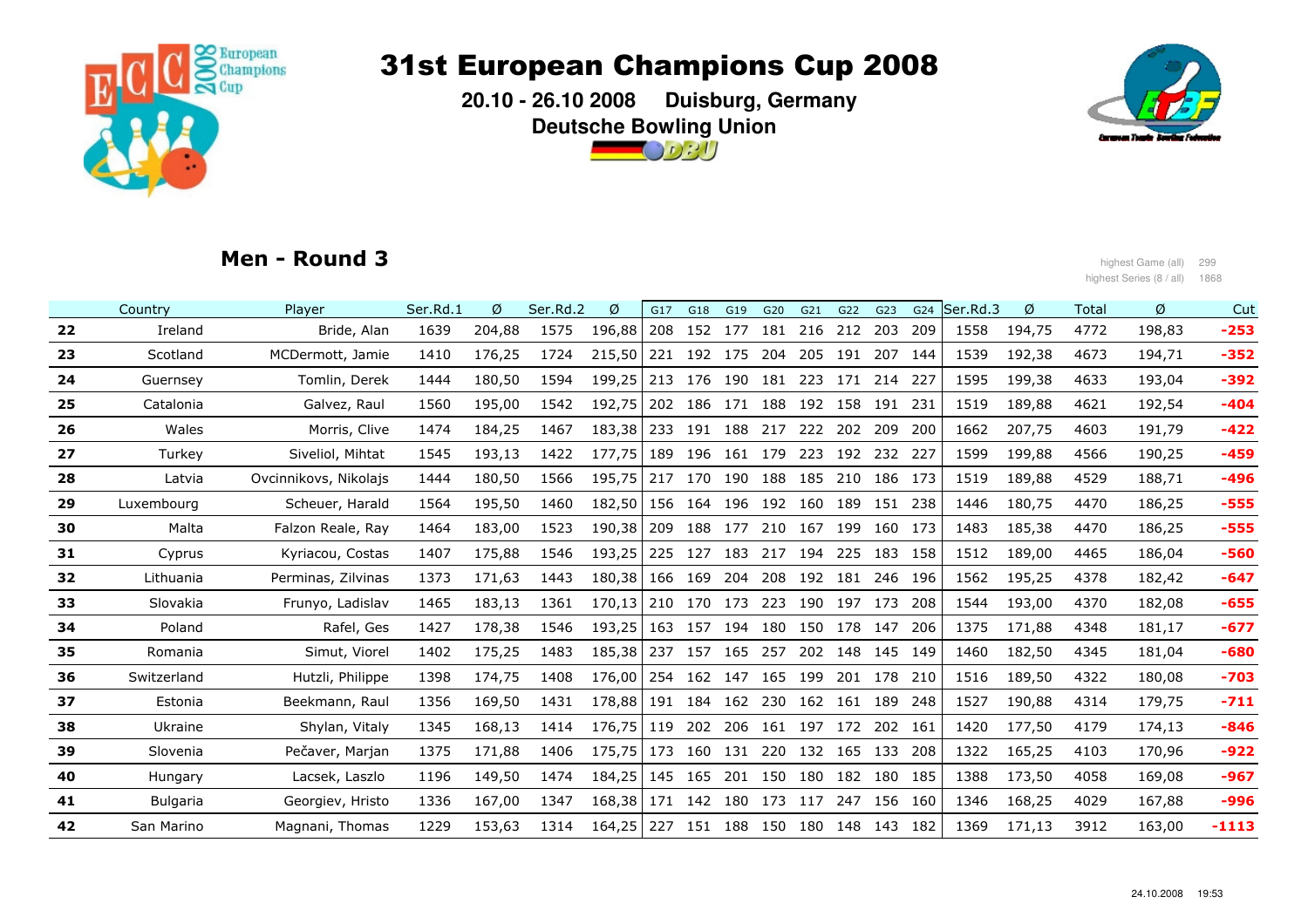

 **20.10 - 26.10 2008 Duisburg, GermanyDeutsche Bowling Union** $\bigcirc$   $\circ$   $\circ$   $\prime$   $\prime$ 



### Men - Round 3

المواضح العربية والتي تعليم المواضح المواضح المواضح المواضح المواضح المواضح المواضح المواضح المواضح المواضح ال<br>العربية المواضح المواضح المواضح المواضح المواضح المواضح المواضح المواضح المواضح المواضح المواضح المواضح الموا highest Series (8 / all) 1868

|    | Country         | Plaver                | Ser.Rd.1 | Ø      | Ser.Rd.2 | Ø       | G17 | G18 | G19             | G20 | G21 | G22     | G23     | G24 | Ser.Rd.3 | Ø      | Total | Ø      | Cut     |
|----|-----------------|-----------------------|----------|--------|----------|---------|-----|-----|-----------------|-----|-----|---------|---------|-----|----------|--------|-------|--------|---------|
| 22 | Ireland         | Bride, Alan           | 1639     | 204,88 | 1575     | 196,88  | 208 | 152 | 177             | 181 | 216 | 212 203 |         | 209 | 1558     | 194,75 | 4772  | 198,83 | $-253$  |
| 23 | Scotland        | MCDermott, Jamie      | 1410     | 176,25 | 1724     | 215,50  | 221 |     | 192 175         | 204 | 205 | 191     | 207     | 144 | 1539     | 192,38 | 4673  | 194,71 | $-352$  |
| 24 | Guernsey        | Tomlin, Derek         | 1444     | 180,50 | 1594     | 199,25  | 213 |     | 176 190         | 181 | 223 | 171     | 214     | 227 | 1595     | 199,38 | 4633  | 193,04 | $-392$  |
| 25 | Catalonia       | Galvez, Raul          | 1560     | 195,00 | 1542     | 192,75  | 202 | 186 | 171             | 188 | 192 | 158     | 191     | 231 | 1519     | 189,88 | 4621  | 192,54 | $-404$  |
| 26 | Wales           | Morris, Clive         | 1474     | 184,25 | 1467     | 183,38  | 233 |     | 191 188 217     |     | 222 | 202     | 209     | 200 | 1662     | 207.75 | 4603  | 191,79 | $-422$  |
| 27 | Turkey          | Siveliol, Mihtat      | 1545     | 193,13 | 1422     | 177,75  | 189 |     | 196 161 179     |     | 223 |         | 192 232 | 227 | 1599     | 199,88 | 4566  | 190,25 | $-459$  |
| 28 | Latvia          | Ovcinnikovs, Nikolajs | 1444     | 180,50 | 1566     | 195,75  | 217 | 170 | 190             | 188 | 185 | 210     | 186     | 173 | 1519     | 189,88 | 4529  | 188,71 | $-496$  |
| 29 | Luxembourg      | Scheuer, Harald       | 1564     | 195,50 | 1460     | 182,50  |     |     | 156 164 196 192 |     | 160 |         | 189 151 | 238 | 1446     | 180,75 | 4470  | 186,25 | $-555$  |
| 30 | Malta           | Falzon Reale, Ray     | 1464     | 183,00 | 1523     | 190,38  | 209 | 188 | 177 210         |     | 167 | 199     | 160     | 173 | 1483     | 185,38 | 4470  | 186,25 | $-555$  |
| 31 | Cyprus          | Kyriacou, Costas      | 1407     | 175,88 | 1546     | 193,25  | 225 | 127 | 183             | 217 | 194 | 225     | 183     | 158 | 1512     | 189,00 | 4465  | 186,04 | $-560$  |
| 32 | Lithuania       | Perminas, Zilvinas    | 1373     | 171,63 | 1443     | 180.38  | 166 | 169 | 204             | 208 | 192 | 181     | 246     | 196 | 1562     | 195,25 | 4378  | 182,42 | $-647$  |
| 33 | Slovakia        | Frunyo, Ladislav      | 1465     | 183,13 | 1361     | 170, 13 | 210 |     | 170 173         | 223 | 190 | 197 173 |         | 208 | 1544     | 193,00 | 4370  | 182,08 | $-655$  |
| 34 | Poland          | Rafel, Ges            | 1427     | 178,38 | 1546     | 193,25  | 163 |     | 157 194 180     |     | 150 | 178 147 |         | 206 | 1375     | 171,88 | 4348  | 181,17 | $-677$  |
| 35 | Romania         | Simut, Viorel         | 1402     | 175,25 | 1483     | 185,38  | 237 | 157 | 165             | 257 | 202 | 148     | 145     | 149 | 1460     | 182,50 | 4345  | 181,04 | $-680$  |
| 36 | Switzerland     | Hutzli, Philippe      | 1398     | 174,75 | 1408     | 176,00  | 254 |     | 162 147 165     |     | 199 |         | 201 178 | 210 | 1516     | 189,50 | 4322  | 180,08 | $-703$  |
| 37 | Estonia         | Beekmann, Raul        | 1356     | 169,50 | 1431     | 178,88  | 191 |     | 184 162 230     |     | 162 | 161 189 |         | 248 | 1527     | 190,88 | 4314  | 179,75 | $-711$  |
| 38 | Ukraine         | Shylan, Vitaly        | 1345     | 168,13 | 1414     | 176,75  | 119 | 202 | 206             | 161 | 197 | 172     | 202     | 161 | 1420     | 177,50 | 4179  | 174,13 | $-846$  |
| 39 | Slovenia        | Pečaver, Marjan       | 1375     | 171,88 | 1406     | 175,75  | 173 |     | 160 131         | 220 | 132 | 165 133 |         | 208 | 1322     | 165,25 | 4103  | 170,96 | $-922$  |
| 40 | Hungary         | Lacsek, Laszlo        | 1196     | 149,50 | 1474     | 184,25  | 145 | 165 | 201             | 150 | 180 | 182     | 180     | 185 | 1388     | 173,50 | 4058  | 169,08 | $-967$  |
| 41 | <b>Bulgaria</b> | Georgiev, Hristo      | 1336     | 167,00 | 1347     | 168,38  | 171 |     | 142 180 173     |     | 117 |         | 247 156 | 160 | 1346     | 168,25 | 4029  | 167,88 | $-996$  |
| 42 | San Marino      | Magnani, Thomas       | 1229     | 153,63 | 1314     | 164,25  | 227 | 151 | 188             | 150 | 180 | 148 143 |         | 182 | 1369     | 171,13 | 3912  | 163,00 | $-1113$ |
|    |                 |                       |          |        |          |         |     |     |                 |     |     |         |         |     |          |        |       |        |         |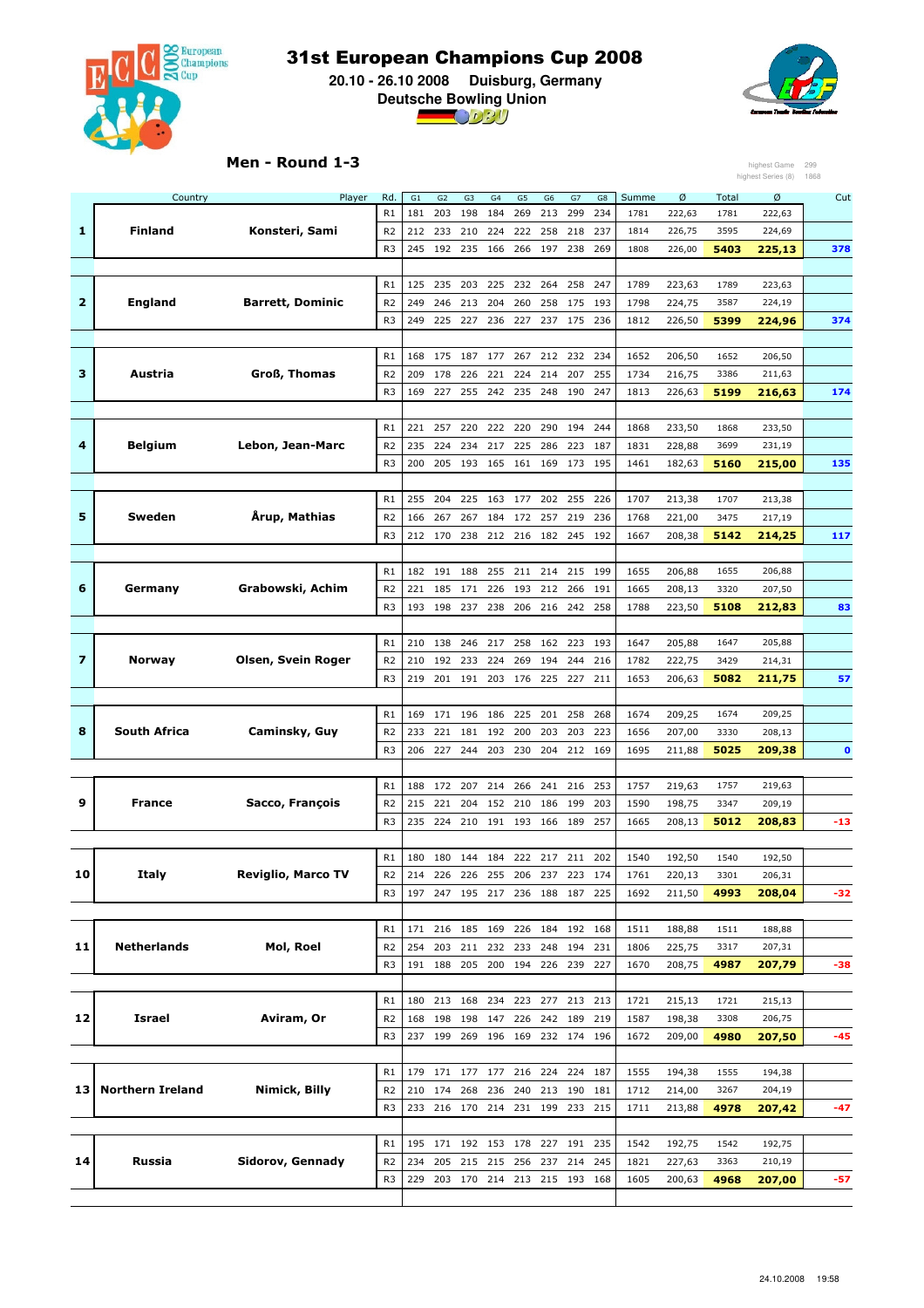

 **20.10 - 26.10 2008 Duisburg, Germany Deutsche Bowling Union**



#### Men - Round 1-3

|    |                         | Men - Round 1-3           |                |           |                       |                                 |                       |           |                       |           |           |               |             |               | highest Game<br>highest Series (8) | 299<br>1868 |
|----|-------------------------|---------------------------|----------------|-----------|-----------------------|---------------------------------|-----------------------|-----------|-----------------------|-----------|-----------|---------------|-------------|---------------|------------------------------------|-------------|
|    |                         |                           |                |           |                       |                                 |                       |           |                       |           |           |               |             |               |                                    |             |
|    | Country                 | Player                    | Rd.<br>R1      | G1<br>181 | G <sub>2</sub><br>203 | G <sub>3</sub><br>198           | G <sub>4</sub><br>184 | G5<br>269 | G <sub>6</sub><br>213 | G7<br>299 | G8<br>234 | Summe<br>1781 | Ø<br>222,63 | Total<br>1781 | Ø<br>222,63                        | Cut         |
| 1  | <b>Finland</b>          | Konsteri, Sami            | R <sub>2</sub> | 212       | 233                   | 210                             | 224                   | 222       | 258                   | 218       | 237       | 1814          | 226,75      | 3595          | 224,69                             |             |
|    |                         |                           | R <sub>3</sub> | 245       | 192                   | 235                             | 166                   | 266       | 197                   | 238       | 269       | 1808          | 226,00      | 5403          | 225,13                             | 378         |
|    |                         |                           |                |           |                       |                                 |                       |           |                       |           |           |               |             |               |                                    |             |
|    |                         |                           | R1             | 125       | 235                   | 203                             | 225                   | 232       | 264                   | 258       | 247       | 1789          | 223,63      | 1789          | 223,63                             |             |
| 2  | England                 | <b>Barrett, Dominic</b>   | R <sub>2</sub> | 249       | 246                   | 213                             | 204                   | 260       | 258                   | 175       | 193       | 1798          | 224,75      | 3587          | 224,19                             |             |
|    |                         |                           | R <sub>3</sub> | 249       | 225                   | 227                             | 236                   | 227       | 237                   | 175       | 236       | 1812          | 226,50      | 5399          | 224,96                             | 374         |
|    |                         |                           |                |           |                       |                                 |                       |           |                       |           |           |               |             |               |                                    |             |
|    |                         |                           | R1             | 168       | 175                   | 187                             | 177                   | 267       | 212                   | 232       | 234       | 1652          | 206,50      | 1652          | 206,50                             |             |
| з  | Austria                 | Groß, Thomas              | R <sub>2</sub> | 209       | 178                   | 226                             | 221                   | 224       | 214                   | 207       | 255       | 1734          | 216,75      | 3386          | 211,63                             |             |
|    |                         |                           | R <sub>3</sub> | 169       | 227                   | 255                             | 242                   | 235       | 248                   | 190       | 247       | 1813          | 226,63      | 5199          | 216,63                             | 174         |
|    |                         |                           |                |           |                       |                                 |                       |           |                       |           |           |               |             |               |                                    |             |
|    |                         |                           | R1             | 221       | 257                   | 220                             | 222                   | 220       | 290 194               |           | 244       | 1868          | 233,50      | 1868          | 233,50                             |             |
| 4  | <b>Belgium</b>          | Lebon, Jean-Marc          | R <sub>2</sub> | 235       | 224                   | 234                             | 217                   | 225       | 286                   | 223       | 187       | 1831          | 228,88      | 3699          | 231,19                             |             |
|    |                         |                           | R <sub>3</sub> | 200       | 205                   | 193                             | 165                   | 161       | 169                   | 173 195   |           | 1461          | 182,63      | 5160          | 215,00                             | 135         |
|    |                         |                           |                |           |                       |                                 |                       |           |                       |           |           |               |             |               |                                    |             |
|    |                         |                           | R1             | 255       | 204                   | 225                             | 163                   | 177       | 202 255               |           | 226       | 1707          | 213,38      | 1707          | 213,38                             |             |
| 5  | Sweden                  | Årup, Mathias             | R <sub>2</sub> | 166       | 267                   | 267                             | 184                   | 172       | 257                   | 219       | 236       | 1768          | 221,00      | 3475          | 217,19                             |             |
|    |                         |                           | R <sub>3</sub> | 212       | 170                   | 238                             | 212 216               |           | 182                   | 245       | 192       | 1667          | 208,38      | 5142          | 214,25                             | 117         |
|    |                         |                           |                |           |                       |                                 |                       |           |                       |           |           |               |             |               |                                    |             |
|    |                         |                           | R1             | 182       | 191                   | 188                             | 255                   | 211       | 214                   | 215       | 199       | 1655          | 206,88      | 1655          | 206,88                             |             |
| 6  | Germany                 | Grabowski, Achim          | R <sub>2</sub> | 221       | 185                   | 171                             | 226                   | 193       | 212                   | 266       | 191       | 1665          | 208,13      | 3320          | 207,50                             |             |
|    |                         |                           | R <sub>3</sub> | 193       | 198                   | 237                             | 238                   | 206       | 216                   | 242       | 258       | 1788          | 223,50      | 5108          | 212,83                             | 83          |
|    |                         |                           |                |           |                       |                                 |                       |           |                       |           |           |               |             |               |                                    |             |
|    |                         |                           | R1             | 210       | 138                   | 246                             | 217                   | 258       | 162                   | 223       | 193       | 1647          | 205,88      | 1647          | 205,88                             |             |
| 7  | <b>Norway</b>           | Olsen, Svein Roger        | R <sub>2</sub> | 210       | 192                   | 233                             | 224                   | 269       | 194                   | 244       | 216       | 1782          | 222,75      | 3429          | 214,31                             |             |
|    |                         |                           | R <sub>3</sub> | 219       | 201                   | 191                             | 203                   | 176       | 225                   | 227       | 211       | 1653          | 206,63      | 5082          | 211,75                             | 57          |
|    |                         |                           |                |           |                       |                                 |                       |           |                       |           |           |               |             |               |                                    |             |
|    |                         |                           | R1             | 169       | 171                   | 196                             | 186                   | 225       | 201                   | 258       | 268       | 1674          | 209,25      | 1674          | 209,25                             |             |
| 8  | South Africa            | Caminsky, Guy             | R <sub>2</sub> | 233       | 221                   | 181                             | 192                   | 200       | 203                   | 203       | 223       | 1656          | 207,00      | 3330          | 208,13                             |             |
|    |                         |                           | R <sub>3</sub> | 206       | 227                   | 244                             | 203                   | 230       | 204                   | 212       | 169       | 1695          | 211,88      | 5025          | 209,38                             | $\mathbf 0$ |
|    |                         |                           |                |           |                       |                                 |                       |           |                       |           |           |               |             |               |                                    |             |
|    |                         |                           | R1             | 188       | 172                   | 207                             | 214                   | 266       | 241                   | 216       | 253       | 1757          | 219,63      | 1757          | 219,63                             |             |
| 9  | France                  | Sacco, François           | R <sub>2</sub> | 215       | 221                   | 204                             | 152                   | 210       | 186                   | 199       | 203       | 1590          | 198,75      | 3347          | 209,19                             |             |
|    |                         |                           | R <sub>3</sub> | 235       | 224                   | 210                             | 191                   | 193       | 166                   | 189       | 257       | 1665          | 208,13      | 5012          | 208,83                             | -13         |
|    |                         |                           |                |           |                       |                                 |                       |           |                       |           |           |               |             |               |                                    |             |
|    |                         |                           | R1             | 180       | 180                   | 144                             | 184                   | 222       | 217                   | 211       | 202       | 1540          | 192,50      | 1540          | 192,50                             |             |
| 10 | Italy                   | <b>Reviglio, Marco TV</b> | R <sub>2</sub> | 214       | 226                   | 226                             | 255                   | 206       | 237                   | 223       | 174       | 1761          | 220,13      | 3301          | 206,31                             |             |
|    |                         |                           | R <sub>3</sub> |           |                       | 197 247 195 217 236 188 187 225 |                       |           |                       |           |           | 1692          | 211,50      | 4993          | 208,04                             | $-32$       |
|    |                         |                           |                |           |                       |                                 |                       |           |                       |           |           |               |             |               |                                    |             |
|    |                         |                           | R <sub>1</sub> | 171       | 216                   | 185                             | 169                   |           | 226 184 192 168       |           |           | 1511          | 188,88      | 1511          | 188,88                             |             |
| 11 | Netherlands             | Mol, Roel                 | R <sub>2</sub> | 254       | 203                   | 211                             | 232                   | 233       | 248                   | 194       | 231       | 1806          | 225,75      | 3317          | 207,31                             |             |
|    |                         |                           | R <sub>3</sub> |           | 191 188               | 205                             | 200                   | 194       | 226 239               |           | 227       | 1670          | 208,75      | 4987          | 207,79                             | -38         |
|    |                         |                           |                |           |                       |                                 |                       |           |                       |           |           |               |             |               |                                    |             |
|    |                         |                           | R1             | 180       | 213                   | 168                             | 234                   | 223       | 277                   | 213       | 213       | 1721          | 215,13      | 1721          | 215,13                             |             |
| 12 | Israel                  | Aviram, Or                | R <sub>2</sub> | 168       | 198                   | 198                             | 147                   | 226       | 242                   | 189       | 219       | 1587          | 198,38      | 3308          | 206,75                             |             |
|    |                         |                           | R <sub>3</sub> | 237       | 199                   | 269                             | 196                   | 169       | 232 174               |           | 196       | 1672          | 209,00      | 4980          | 207,50                             | -45         |
|    |                         |                           |                |           |                       |                                 |                       |           |                       |           |           |               |             |               |                                    |             |
|    |                         |                           | R1             | 179       | 171 177               |                                 | 177 216               |           | 224                   | 224       | 187       | 1555          | 194,38      | 1555          | 194,38                             |             |
| 13 | <b>Northern Ireland</b> | Nimick, Billy             | R <sub>2</sub> | 210       | 174                   | 268                             | 236                   | 240       | 213                   | 190       | 181       | 1712          | 214,00      | 3267          | 204,19                             |             |
|    |                         |                           | R <sub>3</sub> | 233       |                       | 216 170 214 231 199 233         |                       |           |                       |           | 215       | 1711          | 213,88      | 4978          | 207,42                             | $-47$       |
|    |                         |                           |                |           |                       |                                 |                       |           |                       |           |           |               |             |               |                                    |             |
|    | Russia                  |                           | R1             |           |                       | 195 171 192 153 178             |                       |           | 227 191               |           | 235       | 1542          | 192,75      | 1542          | 192,75                             |             |
| 14 |                         | Sidorov, Gennady          | R <sub>2</sub> | 234       | 205                   | 215                             | 215                   | 256       | 237                   | 214       | 245       | 1821          | 227,63      | 3363          | 210,19                             |             |
|    |                         |                           | R <sub>3</sub> | 229       | 203                   | 170                             | 214 213               |           | 215 193 168           |           |           | 1605          | 200,63      | 4968          | 207,00                             | -57         |
|    |                         |                           |                |           |                       |                                 |                       |           |                       |           |           |               |             |               |                                    |             |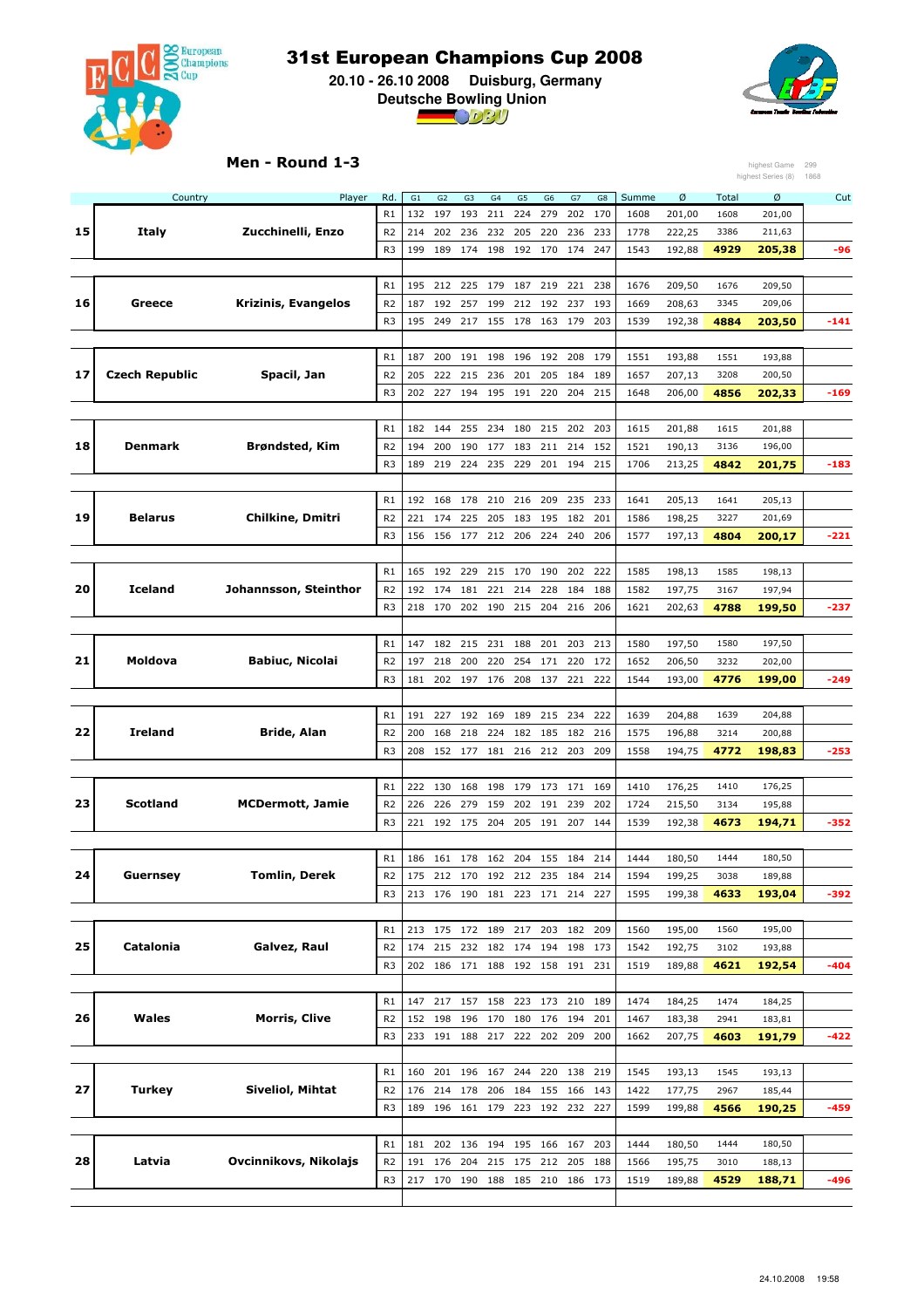

 **20.10 - 26.10 2008 Duisburg, Germany Deutsche Bowling Union**



#### Men - Round 1-3

|    |                       | Men - Round 1-3         |                |         |                |                 |         |         |                 |         |     |       |        |              | highest Game       | 299    |
|----|-----------------------|-------------------------|----------------|---------|----------------|-----------------|---------|---------|-----------------|---------|-----|-------|--------|--------------|--------------------|--------|
|    |                       |                         |                |         |                |                 |         |         |                 |         |     |       |        |              | highest Series (8) | 1868   |
|    | Country               | Player                  | Rd.            | G1      | G <sub>2</sub> | G3              | G4      | G5      | G6              | G7      | G8  | Summe | Ø      | Total        | Ø                  | Cut    |
|    |                       |                         | R1             | 132     | 197            | 193             | 211     | 224     | 279             | 202     | 170 | 1608  | 201,00 | 1608         | 201,00             |        |
| 15 | Italy                 | Zucchinelli, Enzo       | R <sub>2</sub> | 214     | 202            | 236             | 232     | 205     | 220             | 236     | 233 | 1778  | 222,25 | 3386         | 211,63             |        |
|    |                       |                         | R <sub>3</sub> | 199     | 189            | 174             | 198     | 192     | 170             | 174     | 247 | 1543  | 192,88 | 4929         | 205,38             | -96    |
|    |                       |                         |                |         |                |                 |         |         |                 |         |     |       |        |              |                    |        |
|    |                       |                         | R1             | 195     | 212            | 225             | 179     | 187     | 219             | 221     | 238 | 1676  | 209,50 | 1676         | 209,50             |        |
| 16 | Greece                | Krizinis, Evangelos     | R <sub>2</sub> | 187     | 192            | 257             | 199     | 212     | 192             | 237     | 193 | 1669  | 208,63 | 3345         | 209,06             |        |
|    |                       |                         | R <sub>3</sub> | 195     | 249            | 217             | 155     | 178     | 163             | 179     | 203 | 1539  | 192,38 | 4884         | 203,50             | -141   |
|    |                       |                         |                |         |                |                 |         |         |                 |         |     |       |        |              |                    |        |
|    |                       |                         | R1             | 187     | 200            | 191             | 198     | 196     | 192             | 208     | 179 | 1551  | 193,88 | 1551         | 193,88             |        |
| 17 | <b>Czech Republic</b> | Spacil, Jan             | R <sub>2</sub> | 205     | 222            | 215             | 236     | 201     | 205             | 184     | 189 | 1657  | 207,13 | 3208         | 200,50             |        |
|    |                       |                         | R <sub>3</sub> | 202     | 227            | 194             | 195     | 191     | 220             | 204     | 215 | 1648  | 206,00 | 4856         | 202,33             | -169   |
|    |                       |                         | R1             |         |                |                 |         |         |                 |         |     |       |        |              |                    |        |
| 18 | Denmark               |                         |                | 182 144 |                | 255             | 234     | 180     | 215             | 202     | 203 | 1615  | 201,88 | 1615         | 201,88             |        |
|    |                       | <b>Brøndsted, Kim</b>   | R <sub>2</sub> | 194     | 200            | 190             | 177     | 183     | 211             | 214     | 152 | 1521  | 190,13 | 3136<br>4842 | 196,00             |        |
|    |                       |                         | R <sub>3</sub> | 189     | 219            | 224             | 235     | 229     |                 | 201 194 | 215 | 1706  | 213,25 |              | 201,75             | -183   |
|    |                       |                         | R1             | 192     | 168            | 178             | 210     | 216     | 209             | 235     | 233 | 1641  | 205,13 | 1641         | 205,13             |        |
| 19 | <b>Belarus</b>        | <b>Chilkine, Dmitri</b> | R <sub>2</sub> | 221     | 174            | 225             | 205     | 183     | 195             | 182     | 201 | 1586  | 198,25 | 3227         | 201,69             |        |
|    |                       |                         | R <sub>3</sub> |         | 156            |                 |         |         | 224             | 240     | 206 | 1577  |        | 4804         | 200,17             |        |
|    |                       |                         |                | 156     |                | 177             | 212     | 206     |                 |         |     |       | 197,13 |              |                    | -221   |
|    |                       |                         | R1             | 165     | 192            | 229             | 215     | 170     | 190             | 202     | 222 | 1585  | 198,13 | 1585         | 198,13             |        |
| 20 | <b>Iceland</b>        | Johannsson, Steinthor   | R <sub>2</sub> | 192     | 174            | 181             | 221     | 214     | 228             | 184     | 188 | 1582  | 197,75 | 3167         | 197,94             |        |
|    |                       |                         | R <sub>3</sub> | 218     | 170            | 202             | 190     | 215     | 204             | 216     | 206 | 1621  | 202,63 | 4788         | 199,50             | -237   |
|    |                       |                         |                |         |                |                 |         |         |                 |         |     |       |        |              |                    |        |
|    |                       |                         | R1             | 147     | 182            | 215             | 231     | 188     | 201             | 203     | 213 | 1580  | 197,50 | 1580         | 197,50             |        |
| 21 | Moldova               | <b>Babiuc, Nicolai</b>  | R <sub>2</sub> | 197     | 218            | 200             | 220     | 254     | 171             | 220     | 172 | 1652  | 206,50 | 3232         | 202,00             |        |
|    |                       |                         | R <sub>3</sub> | 181     | 202            | 197             | 176     | 208     | 137             | 221     | 222 | 1544  | 193,00 | 4776         | 199,00             | $-249$ |
|    |                       |                         |                |         |                |                 |         |         |                 |         |     |       |        |              |                    |        |
|    |                       |                         | R1             | 191     | 227            | 192             | 169     | 189     | 215             | 234     | 222 | 1639  | 204,88 | 1639         | 204,88             |        |
| 22 | Ireland               | Bride, Alan             | R <sub>2</sub> | 200     | 168            | 218             | 224     | 182     | 185             | 182     | 216 | 1575  | 196,88 | 3214         | 200,88             |        |
|    |                       |                         | R <sub>3</sub> | 208     | 152            | 177             | 181     | 216     | 212             | 203     | 209 | 1558  | 194,75 | 4772         | 198,83             | $-253$ |
|    |                       |                         |                |         |                |                 |         |         |                 |         |     |       |        |              |                    |        |
|    |                       |                         | R1             | 222     | 130            | 168             | 198     | 179     | 173             | 171     | 169 | 1410  | 176,25 | 1410         | 176,25             |        |
| 23 | <b>Scotland</b>       | <b>MCDermott, Jamie</b> | R <sub>2</sub> | 226     | 226            | 279             | 159     | 202     | 191             | 239     | 202 | 1724  | 215,50 | 3134         | 195,88             |        |
|    |                       |                         | R <sub>3</sub> | 221     | 192            | 175             | 204     | 205     | 191             | 207     | 144 | 1539  | 192,38 | 4673         | 194,71             | $-352$ |
|    |                       |                         |                |         |                |                 |         |         |                 |         |     |       |        |              |                    |        |
|    |                       |                         | R1             | 186     | 161            | 178             | 162     | 204     | 155             | 184     | 214 | 1444  | 180,50 | 1444         | 180,50             |        |
| 24 | Guernsey              | <b>Tomlin, Derek</b>    | R <sub>2</sub> | 175     | 212 170        |                 |         |         | 192 212 235 184 |         | 214 | 1594  | 199,25 | 3038         | 189,88             |        |
|    |                       |                         | R <sub>3</sub> | 213     | 176            | 190             | 181     | 223     | 171             | 214     | 227 | 1595  | 199,38 | 4633         | 193,04             | -392   |
|    |                       |                         |                |         |                |                 |         |         |                 |         |     |       |        |              |                    |        |
|    |                       |                         | R1             | 213 175 |                | 172             | 189     | 217     |                 | 203 182 | 209 | 1560  | 195,00 | 1560         | 195,00             |        |
| 25 | Catalonia             | Galvez, Raul            | R <sub>2</sub> | 174     | 215            | 232             | 182     | 174     | 194             | 198     | 173 | 1542  | 192,75 | 3102         | 193,88             |        |
|    |                       |                         | R <sub>3</sub> |         |                | 202 186 171     |         |         | 188 192 158 191 |         | 231 | 1519  | 189,88 | 4621         | 192,54             | $-404$ |
|    |                       |                         |                |         |                |                 |         |         |                 |         |     |       |        |              |                    |        |
|    |                       |                         | R1             | 147     | 217            | 157             | 158     | 223     | 173             | 210     | 189 | 1474  | 184,25 | 1474         | 184,25             |        |
| 26 | Wales                 | <b>Morris, Clive</b>    | R <sub>2</sub> | 152     | 198            | 196             | 170     | 180     | 176             | 194     | 201 | 1467  | 183,38 | 2941         | 183,81             |        |
|    |                       |                         | R <sub>3</sub> |         | 233 191 188    |                 | 217     | 222     | 202             | 209     | 200 | 1662  | 207,75 | 4603         | 191,79             | $-422$ |
|    |                       |                         |                |         |                |                 |         |         |                 |         |     |       |        |              |                    |        |
|    |                       |                         | R1             | 160     |                | 201 196 167 244 |         |         |                 | 220 138 | 219 | 1545  | 193,13 | 1545         | 193,13             |        |
| 27 | <b>Turkey</b>         | Siveliol, Mihtat        | R <sub>2</sub> | 176     | 214            | 178             | 206     | 184     |                 | 155 166 | 143 | 1422  | 177,75 | 2967         | 185,44             |        |
|    |                       |                         | R <sub>3</sub> | 189     | 196            | 161             | 179     | 223     | 192 232 227     |         |     | 1599  | 199,88 | 4566         | 190,25             | -459   |
|    |                       |                         |                |         |                |                 |         |         |                 |         |     |       |        |              |                    |        |
|    |                       |                         | R1             | 181     | 202 136        |                 | 194 195 |         | 166 167         |         | 203 | 1444  | 180,50 | 1444         | 180,50             |        |
| 28 | Latvia                | Ovcinnikovs, Nikolajs   | R <sub>2</sub> | 191 176 |                | 204             |         | 215 175 | 212             | 205     | 188 | 1566  | 195,75 | 3010         | 188,13             |        |
|    |                       |                         | R <sub>3</sub> |         | 217 170 190    |                 | 188     | 185     |                 | 210 186 | 173 | 1519  | 189,88 | 4529         | 188,71             | -496   |
|    |                       |                         |                |         |                |                 |         |         |                 |         |     |       |        |              |                    |        |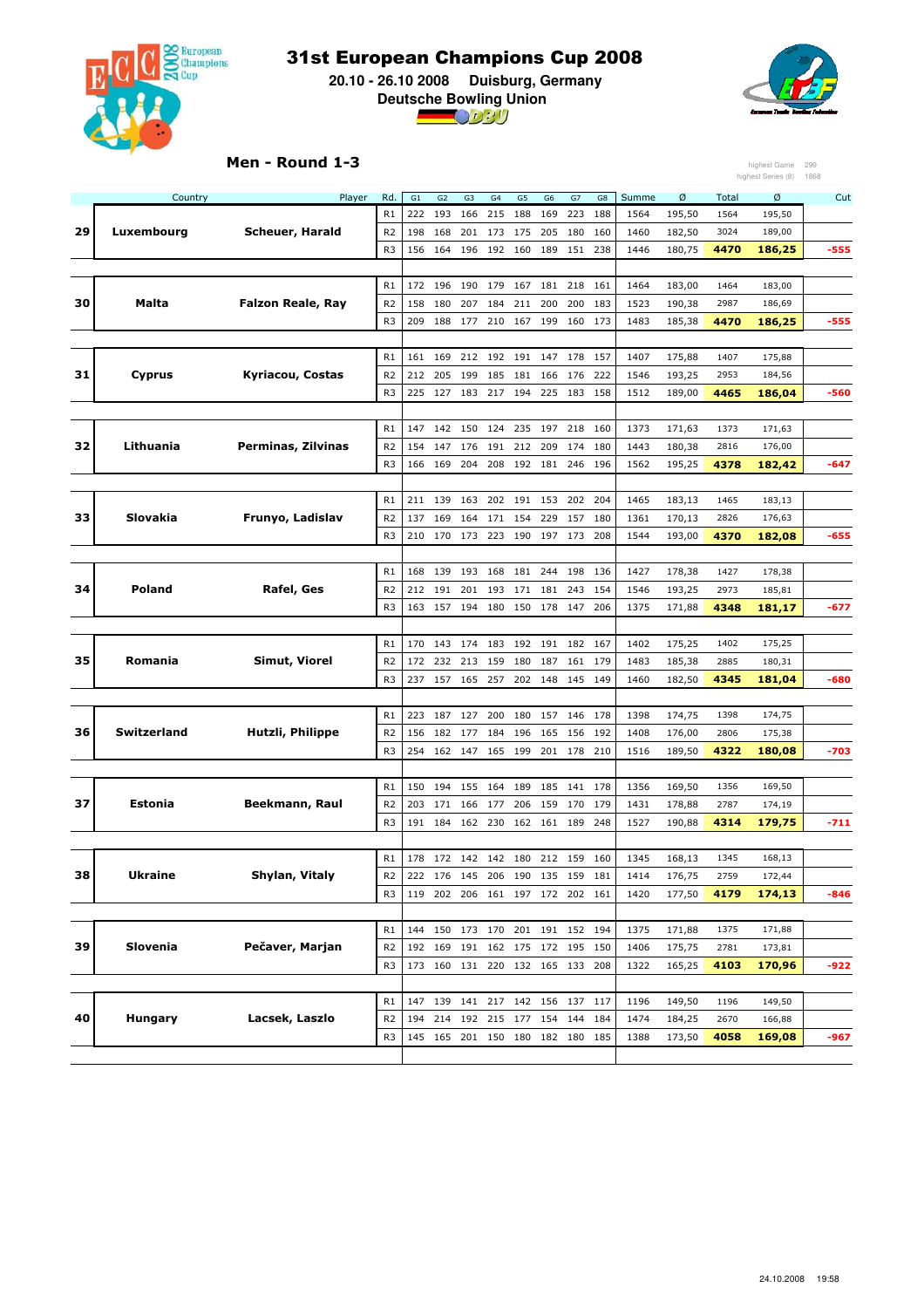

 **20.10 - 26.10 2008 Duisburg, Germany Deutsche Bowling Union**



#### Men - Round 1-3

| highest Series (8)<br>Rd.<br>Ø<br>Country<br>Player<br>G1<br>G2<br>G <sub>3</sub><br>G4<br>G5<br>G <sub>6</sub><br>G7<br>${\sf G8}$<br>Summe<br>Total<br>Ø<br>R1<br>195,50<br>222<br>193<br>166<br>215<br>188<br>169<br>223<br>188<br>1564<br>1564<br>195,50<br>29<br>Luxembourg<br>Scheuer, Harald<br>R <sub>2</sub><br>198<br>168<br>201<br>173 175<br>205<br>180<br>160<br>1460<br>182,50<br>3024<br>189,00<br>R <sub>3</sub><br>156<br>164<br>196<br>192 160<br>189<br>151<br>238<br>1446<br>180,75<br>4470<br>$-555$<br>186,25<br>R1<br>172<br>196<br>190 179<br>167<br>181<br>218<br>161<br>1464<br>183,00<br>1464<br>183,00<br>30<br>Malta<br><b>Falzon Reale, Ray</b><br>R <sub>2</sub><br>158<br>180<br>207<br>184<br>211<br>200<br>200<br>183<br>1523<br>190,38<br>2987<br>186,69<br>R <sub>3</sub><br>209<br>188<br>177<br>210<br>167<br>199<br>160<br>173<br>1483<br>185,38<br>4470<br>186,25<br>$-555$<br>169<br>212<br>192<br>191<br>147<br>178<br>157<br>1407<br>175,88<br>R1<br>161<br>1407<br>175,88<br>31<br>Kyriacou, Costas<br>Cyprus<br>R <sub>2</sub><br>205<br>199<br>185<br>166<br>176<br>222<br>193,25<br>2953<br>212<br>181<br>1546<br>184,56<br>R <sub>3</sub><br>127<br>225<br>158<br>1512<br>189,00<br>4465<br>186,04<br>-560<br>225<br>183<br>217<br>194<br>183<br>R1<br>147<br>142 150<br>235<br>197<br>218<br>160<br>1373<br>171,63<br>124<br>1373<br>171,63<br>Lithuania<br>32<br>Perminas, Zilvinas<br>R <sub>2</sub><br>209<br>180<br>154<br>147<br>176<br>191<br>212<br>174<br>1443<br>180,38<br>2816<br>176,00<br>R <sub>3</sub><br>166 169<br>204<br>208 192 181<br>246<br>196<br>1562<br>195,25<br>4378<br>182,42<br>-647<br>R1<br>211<br>139<br>163<br>202 191<br>153<br>202<br>204<br>1465<br>183,13<br>183,13<br>1465<br>33<br><b>Slovakia</b><br>Frunyo, Ladislav<br>R <sub>2</sub><br>137<br>169<br>164<br>171<br>154<br>229<br>157<br>180<br>1361<br>170,13<br>2826<br>176,63<br>R <sub>3</sub><br>210<br>170<br>173<br>223<br>190<br>197<br>173<br>208<br>1544<br>193,00<br>4370<br>182,08<br>$-655$<br>R1<br>139<br>193<br>168<br>181<br>244<br>198<br>136<br>1427<br>178,38<br>1427<br>178,38<br>168<br>34<br><b>Poland</b><br>Rafel, Ges<br>212<br>191<br>201<br>193<br>181<br>243<br>154<br>1546<br>193,25<br>2973<br>185,81<br>R <sub>2</sub><br>171<br>R <sub>3</sub><br>157<br>178<br>206<br>4348<br>163<br>194<br>180<br>150<br>147<br>1375<br>171,88<br>181,17<br>-677<br>182<br>1402<br>175,25<br>R1<br>170<br>143<br>174<br>183<br>192<br>191<br>167<br>1402<br>175,25<br>35<br>Romania<br>Simut, Viorel<br>R <sub>2</sub><br>232<br>179<br>185,38<br>180,31<br>172<br>213<br>159<br>180<br>187<br>161<br>1483<br>2885<br>R <sub>3</sub><br>237<br>157 165<br>257<br>202<br>148<br>145<br>149<br>1460<br>182,50<br>4345<br>181,04<br>-680<br>R1<br>223<br>187<br>127<br>200<br>180<br>157<br>146<br>178<br>174,75<br>174,75<br>1398<br>1398<br>Switzerland<br>Hutzli, Philippe<br>36<br>R <sub>2</sub><br>182<br>177<br>184<br>196<br>165<br>156<br>192<br>1408<br>175,38<br>156<br>176,00<br>2806<br>R <sub>3</sub><br>254<br>162<br>147<br>199<br>201<br>178<br>210<br>1516<br>189,50<br>$-703$<br>165<br>4322<br>180,08<br>R1<br>150<br>194<br>155<br>164<br>189<br>185<br>141<br>178<br>1356<br>169,50<br>1356<br>169,50<br>37<br>Estonia<br>Beekmann, Raul<br>R <sub>2</sub><br>203<br>171<br>177<br>206<br>159<br>170<br>179<br>1431<br>178,88<br>2787<br>174,19<br>166<br>R <sub>3</sub><br>248<br>179,75<br>191<br>184<br>162<br>230<br>162<br>161<br>189<br>1527<br>190,88<br>4314<br>$-711$<br>168,13<br>1345<br>168,13<br>172 142 142 180<br>212 159<br>160<br>1345<br>R1<br>178<br>38<br><b>Ukraine</b><br>Shylan, Vitaly<br>176,75<br>R <sub>2</sub><br>222<br>176 145<br>206 190 135 159<br>181<br>1414<br>2759<br>172,44<br>R <sub>3</sub><br>119 202 206 161 197 172 202 161<br>1420<br>177,50<br>4179<br>174,13<br>-846<br>R1<br>144 150 173 170<br>201 191 152 194<br>1375<br>171,88<br>1375<br>171,88 |    |          | Men - Round 1-3 |                |  |  |  |     |      |        |      | highest Game | 299  |
|-----------------------------------------------------------------------------------------------------------------------------------------------------------------------------------------------------------------------------------------------------------------------------------------------------------------------------------------------------------------------------------------------------------------------------------------------------------------------------------------------------------------------------------------------------------------------------------------------------------------------------------------------------------------------------------------------------------------------------------------------------------------------------------------------------------------------------------------------------------------------------------------------------------------------------------------------------------------------------------------------------------------------------------------------------------------------------------------------------------------------------------------------------------------------------------------------------------------------------------------------------------------------------------------------------------------------------------------------------------------------------------------------------------------------------------------------------------------------------------------------------------------------------------------------------------------------------------------------------------------------------------------------------------------------------------------------------------------------------------------------------------------------------------------------------------------------------------------------------------------------------------------------------------------------------------------------------------------------------------------------------------------------------------------------------------------------------------------------------------------------------------------------------------------------------------------------------------------------------------------------------------------------------------------------------------------------------------------------------------------------------------------------------------------------------------------------------------------------------------------------------------------------------------------------------------------------------------------------------------------------------------------------------------------------------------------------------------------------------------------------------------------------------------------------------------------------------------------------------------------------------------------------------------------------------------------------------------------------------------------------------------------------------------------------------------------------------------------------------------------------------------------------------------------------------------------------------------------------------------------------------------------------------------------------------------------------------------------------------------------------------------------------------------------------------------------------------------------------------------------------------------------------------------------------------------------------------------------------------------------------------------------------------------------------------------------------------------------------------------------------------------------------------------------------------------------------------------------------------------------------------------------------------------------------------------------------------------------------------------|----|----------|-----------------|----------------|--|--|--|-----|------|--------|------|--------------|------|
|                                                                                                                                                                                                                                                                                                                                                                                                                                                                                                                                                                                                                                                                                                                                                                                                                                                                                                                                                                                                                                                                                                                                                                                                                                                                                                                                                                                                                                                                                                                                                                                                                                                                                                                                                                                                                                                                                                                                                                                                                                                                                                                                                                                                                                                                                                                                                                                                                                                                                                                                                                                                                                                                                                                                                                                                                                                                                                                                                                                                                                                                                                                                                                                                                                                                                                                                                                                                                                                                                                                                                                                                                                                                                                                                                                                                                                                                                                                                                                                   |    |          |                 |                |  |  |  |     |      |        |      |              | 1868 |
|                                                                                                                                                                                                                                                                                                                                                                                                                                                                                                                                                                                                                                                                                                                                                                                                                                                                                                                                                                                                                                                                                                                                                                                                                                                                                                                                                                                                                                                                                                                                                                                                                                                                                                                                                                                                                                                                                                                                                                                                                                                                                                                                                                                                                                                                                                                                                                                                                                                                                                                                                                                                                                                                                                                                                                                                                                                                                                                                                                                                                                                                                                                                                                                                                                                                                                                                                                                                                                                                                                                                                                                                                                                                                                                                                                                                                                                                                                                                                                                   |    |          |                 |                |  |  |  |     |      |        |      |              | Cut  |
|                                                                                                                                                                                                                                                                                                                                                                                                                                                                                                                                                                                                                                                                                                                                                                                                                                                                                                                                                                                                                                                                                                                                                                                                                                                                                                                                                                                                                                                                                                                                                                                                                                                                                                                                                                                                                                                                                                                                                                                                                                                                                                                                                                                                                                                                                                                                                                                                                                                                                                                                                                                                                                                                                                                                                                                                                                                                                                                                                                                                                                                                                                                                                                                                                                                                                                                                                                                                                                                                                                                                                                                                                                                                                                                                                                                                                                                                                                                                                                                   |    |          |                 |                |  |  |  |     |      |        |      |              |      |
|                                                                                                                                                                                                                                                                                                                                                                                                                                                                                                                                                                                                                                                                                                                                                                                                                                                                                                                                                                                                                                                                                                                                                                                                                                                                                                                                                                                                                                                                                                                                                                                                                                                                                                                                                                                                                                                                                                                                                                                                                                                                                                                                                                                                                                                                                                                                                                                                                                                                                                                                                                                                                                                                                                                                                                                                                                                                                                                                                                                                                                                                                                                                                                                                                                                                                                                                                                                                                                                                                                                                                                                                                                                                                                                                                                                                                                                                                                                                                                                   |    |          |                 |                |  |  |  |     |      |        |      |              |      |
|                                                                                                                                                                                                                                                                                                                                                                                                                                                                                                                                                                                                                                                                                                                                                                                                                                                                                                                                                                                                                                                                                                                                                                                                                                                                                                                                                                                                                                                                                                                                                                                                                                                                                                                                                                                                                                                                                                                                                                                                                                                                                                                                                                                                                                                                                                                                                                                                                                                                                                                                                                                                                                                                                                                                                                                                                                                                                                                                                                                                                                                                                                                                                                                                                                                                                                                                                                                                                                                                                                                                                                                                                                                                                                                                                                                                                                                                                                                                                                                   |    |          |                 |                |  |  |  |     |      |        |      |              |      |
|                                                                                                                                                                                                                                                                                                                                                                                                                                                                                                                                                                                                                                                                                                                                                                                                                                                                                                                                                                                                                                                                                                                                                                                                                                                                                                                                                                                                                                                                                                                                                                                                                                                                                                                                                                                                                                                                                                                                                                                                                                                                                                                                                                                                                                                                                                                                                                                                                                                                                                                                                                                                                                                                                                                                                                                                                                                                                                                                                                                                                                                                                                                                                                                                                                                                                                                                                                                                                                                                                                                                                                                                                                                                                                                                                                                                                                                                                                                                                                                   |    |          |                 |                |  |  |  |     |      |        |      |              |      |
|                                                                                                                                                                                                                                                                                                                                                                                                                                                                                                                                                                                                                                                                                                                                                                                                                                                                                                                                                                                                                                                                                                                                                                                                                                                                                                                                                                                                                                                                                                                                                                                                                                                                                                                                                                                                                                                                                                                                                                                                                                                                                                                                                                                                                                                                                                                                                                                                                                                                                                                                                                                                                                                                                                                                                                                                                                                                                                                                                                                                                                                                                                                                                                                                                                                                                                                                                                                                                                                                                                                                                                                                                                                                                                                                                                                                                                                                                                                                                                                   |    |          |                 |                |  |  |  |     |      |        |      |              |      |
|                                                                                                                                                                                                                                                                                                                                                                                                                                                                                                                                                                                                                                                                                                                                                                                                                                                                                                                                                                                                                                                                                                                                                                                                                                                                                                                                                                                                                                                                                                                                                                                                                                                                                                                                                                                                                                                                                                                                                                                                                                                                                                                                                                                                                                                                                                                                                                                                                                                                                                                                                                                                                                                                                                                                                                                                                                                                                                                                                                                                                                                                                                                                                                                                                                                                                                                                                                                                                                                                                                                                                                                                                                                                                                                                                                                                                                                                                                                                                                                   |    |          |                 |                |  |  |  |     |      |        |      |              |      |
|                                                                                                                                                                                                                                                                                                                                                                                                                                                                                                                                                                                                                                                                                                                                                                                                                                                                                                                                                                                                                                                                                                                                                                                                                                                                                                                                                                                                                                                                                                                                                                                                                                                                                                                                                                                                                                                                                                                                                                                                                                                                                                                                                                                                                                                                                                                                                                                                                                                                                                                                                                                                                                                                                                                                                                                                                                                                                                                                                                                                                                                                                                                                                                                                                                                                                                                                                                                                                                                                                                                                                                                                                                                                                                                                                                                                                                                                                                                                                                                   |    |          |                 |                |  |  |  |     |      |        |      |              |      |
|                                                                                                                                                                                                                                                                                                                                                                                                                                                                                                                                                                                                                                                                                                                                                                                                                                                                                                                                                                                                                                                                                                                                                                                                                                                                                                                                                                                                                                                                                                                                                                                                                                                                                                                                                                                                                                                                                                                                                                                                                                                                                                                                                                                                                                                                                                                                                                                                                                                                                                                                                                                                                                                                                                                                                                                                                                                                                                                                                                                                                                                                                                                                                                                                                                                                                                                                                                                                                                                                                                                                                                                                                                                                                                                                                                                                                                                                                                                                                                                   |    |          |                 |                |  |  |  |     |      |        |      |              |      |
|                                                                                                                                                                                                                                                                                                                                                                                                                                                                                                                                                                                                                                                                                                                                                                                                                                                                                                                                                                                                                                                                                                                                                                                                                                                                                                                                                                                                                                                                                                                                                                                                                                                                                                                                                                                                                                                                                                                                                                                                                                                                                                                                                                                                                                                                                                                                                                                                                                                                                                                                                                                                                                                                                                                                                                                                                                                                                                                                                                                                                                                                                                                                                                                                                                                                                                                                                                                                                                                                                                                                                                                                                                                                                                                                                                                                                                                                                                                                                                                   |    |          |                 |                |  |  |  |     |      |        |      |              |      |
|                                                                                                                                                                                                                                                                                                                                                                                                                                                                                                                                                                                                                                                                                                                                                                                                                                                                                                                                                                                                                                                                                                                                                                                                                                                                                                                                                                                                                                                                                                                                                                                                                                                                                                                                                                                                                                                                                                                                                                                                                                                                                                                                                                                                                                                                                                                                                                                                                                                                                                                                                                                                                                                                                                                                                                                                                                                                                                                                                                                                                                                                                                                                                                                                                                                                                                                                                                                                                                                                                                                                                                                                                                                                                                                                                                                                                                                                                                                                                                                   |    |          |                 |                |  |  |  |     |      |        |      |              |      |
|                                                                                                                                                                                                                                                                                                                                                                                                                                                                                                                                                                                                                                                                                                                                                                                                                                                                                                                                                                                                                                                                                                                                                                                                                                                                                                                                                                                                                                                                                                                                                                                                                                                                                                                                                                                                                                                                                                                                                                                                                                                                                                                                                                                                                                                                                                                                                                                                                                                                                                                                                                                                                                                                                                                                                                                                                                                                                                                                                                                                                                                                                                                                                                                                                                                                                                                                                                                                                                                                                                                                                                                                                                                                                                                                                                                                                                                                                                                                                                                   |    |          |                 |                |  |  |  |     |      |        |      |              |      |
|                                                                                                                                                                                                                                                                                                                                                                                                                                                                                                                                                                                                                                                                                                                                                                                                                                                                                                                                                                                                                                                                                                                                                                                                                                                                                                                                                                                                                                                                                                                                                                                                                                                                                                                                                                                                                                                                                                                                                                                                                                                                                                                                                                                                                                                                                                                                                                                                                                                                                                                                                                                                                                                                                                                                                                                                                                                                                                                                                                                                                                                                                                                                                                                                                                                                                                                                                                                                                                                                                                                                                                                                                                                                                                                                                                                                                                                                                                                                                                                   |    |          |                 |                |  |  |  |     |      |        |      |              |      |
|                                                                                                                                                                                                                                                                                                                                                                                                                                                                                                                                                                                                                                                                                                                                                                                                                                                                                                                                                                                                                                                                                                                                                                                                                                                                                                                                                                                                                                                                                                                                                                                                                                                                                                                                                                                                                                                                                                                                                                                                                                                                                                                                                                                                                                                                                                                                                                                                                                                                                                                                                                                                                                                                                                                                                                                                                                                                                                                                                                                                                                                                                                                                                                                                                                                                                                                                                                                                                                                                                                                                                                                                                                                                                                                                                                                                                                                                                                                                                                                   |    |          |                 |                |  |  |  |     |      |        |      |              |      |
|                                                                                                                                                                                                                                                                                                                                                                                                                                                                                                                                                                                                                                                                                                                                                                                                                                                                                                                                                                                                                                                                                                                                                                                                                                                                                                                                                                                                                                                                                                                                                                                                                                                                                                                                                                                                                                                                                                                                                                                                                                                                                                                                                                                                                                                                                                                                                                                                                                                                                                                                                                                                                                                                                                                                                                                                                                                                                                                                                                                                                                                                                                                                                                                                                                                                                                                                                                                                                                                                                                                                                                                                                                                                                                                                                                                                                                                                                                                                                                                   |    |          |                 |                |  |  |  |     |      |        |      |              |      |
|                                                                                                                                                                                                                                                                                                                                                                                                                                                                                                                                                                                                                                                                                                                                                                                                                                                                                                                                                                                                                                                                                                                                                                                                                                                                                                                                                                                                                                                                                                                                                                                                                                                                                                                                                                                                                                                                                                                                                                                                                                                                                                                                                                                                                                                                                                                                                                                                                                                                                                                                                                                                                                                                                                                                                                                                                                                                                                                                                                                                                                                                                                                                                                                                                                                                                                                                                                                                                                                                                                                                                                                                                                                                                                                                                                                                                                                                                                                                                                                   |    |          |                 |                |  |  |  |     |      |        |      |              |      |
|                                                                                                                                                                                                                                                                                                                                                                                                                                                                                                                                                                                                                                                                                                                                                                                                                                                                                                                                                                                                                                                                                                                                                                                                                                                                                                                                                                                                                                                                                                                                                                                                                                                                                                                                                                                                                                                                                                                                                                                                                                                                                                                                                                                                                                                                                                                                                                                                                                                                                                                                                                                                                                                                                                                                                                                                                                                                                                                                                                                                                                                                                                                                                                                                                                                                                                                                                                                                                                                                                                                                                                                                                                                                                                                                                                                                                                                                                                                                                                                   |    |          |                 |                |  |  |  |     |      |        |      |              |      |
|                                                                                                                                                                                                                                                                                                                                                                                                                                                                                                                                                                                                                                                                                                                                                                                                                                                                                                                                                                                                                                                                                                                                                                                                                                                                                                                                                                                                                                                                                                                                                                                                                                                                                                                                                                                                                                                                                                                                                                                                                                                                                                                                                                                                                                                                                                                                                                                                                                                                                                                                                                                                                                                                                                                                                                                                                                                                                                                                                                                                                                                                                                                                                                                                                                                                                                                                                                                                                                                                                                                                                                                                                                                                                                                                                                                                                                                                                                                                                                                   |    |          |                 |                |  |  |  |     |      |        |      |              |      |
|                                                                                                                                                                                                                                                                                                                                                                                                                                                                                                                                                                                                                                                                                                                                                                                                                                                                                                                                                                                                                                                                                                                                                                                                                                                                                                                                                                                                                                                                                                                                                                                                                                                                                                                                                                                                                                                                                                                                                                                                                                                                                                                                                                                                                                                                                                                                                                                                                                                                                                                                                                                                                                                                                                                                                                                                                                                                                                                                                                                                                                                                                                                                                                                                                                                                                                                                                                                                                                                                                                                                                                                                                                                                                                                                                                                                                                                                                                                                                                                   |    |          |                 |                |  |  |  |     |      |        |      |              |      |
|                                                                                                                                                                                                                                                                                                                                                                                                                                                                                                                                                                                                                                                                                                                                                                                                                                                                                                                                                                                                                                                                                                                                                                                                                                                                                                                                                                                                                                                                                                                                                                                                                                                                                                                                                                                                                                                                                                                                                                                                                                                                                                                                                                                                                                                                                                                                                                                                                                                                                                                                                                                                                                                                                                                                                                                                                                                                                                                                                                                                                                                                                                                                                                                                                                                                                                                                                                                                                                                                                                                                                                                                                                                                                                                                                                                                                                                                                                                                                                                   |    |          |                 |                |  |  |  |     |      |        |      |              |      |
|                                                                                                                                                                                                                                                                                                                                                                                                                                                                                                                                                                                                                                                                                                                                                                                                                                                                                                                                                                                                                                                                                                                                                                                                                                                                                                                                                                                                                                                                                                                                                                                                                                                                                                                                                                                                                                                                                                                                                                                                                                                                                                                                                                                                                                                                                                                                                                                                                                                                                                                                                                                                                                                                                                                                                                                                                                                                                                                                                                                                                                                                                                                                                                                                                                                                                                                                                                                                                                                                                                                                                                                                                                                                                                                                                                                                                                                                                                                                                                                   |    |          |                 |                |  |  |  |     |      |        |      |              |      |
|                                                                                                                                                                                                                                                                                                                                                                                                                                                                                                                                                                                                                                                                                                                                                                                                                                                                                                                                                                                                                                                                                                                                                                                                                                                                                                                                                                                                                                                                                                                                                                                                                                                                                                                                                                                                                                                                                                                                                                                                                                                                                                                                                                                                                                                                                                                                                                                                                                                                                                                                                                                                                                                                                                                                                                                                                                                                                                                                                                                                                                                                                                                                                                                                                                                                                                                                                                                                                                                                                                                                                                                                                                                                                                                                                                                                                                                                                                                                                                                   |    |          |                 |                |  |  |  |     |      |        |      |              |      |
|                                                                                                                                                                                                                                                                                                                                                                                                                                                                                                                                                                                                                                                                                                                                                                                                                                                                                                                                                                                                                                                                                                                                                                                                                                                                                                                                                                                                                                                                                                                                                                                                                                                                                                                                                                                                                                                                                                                                                                                                                                                                                                                                                                                                                                                                                                                                                                                                                                                                                                                                                                                                                                                                                                                                                                                                                                                                                                                                                                                                                                                                                                                                                                                                                                                                                                                                                                                                                                                                                                                                                                                                                                                                                                                                                                                                                                                                                                                                                                                   |    |          |                 |                |  |  |  |     |      |        |      |              |      |
|                                                                                                                                                                                                                                                                                                                                                                                                                                                                                                                                                                                                                                                                                                                                                                                                                                                                                                                                                                                                                                                                                                                                                                                                                                                                                                                                                                                                                                                                                                                                                                                                                                                                                                                                                                                                                                                                                                                                                                                                                                                                                                                                                                                                                                                                                                                                                                                                                                                                                                                                                                                                                                                                                                                                                                                                                                                                                                                                                                                                                                                                                                                                                                                                                                                                                                                                                                                                                                                                                                                                                                                                                                                                                                                                                                                                                                                                                                                                                                                   |    |          |                 |                |  |  |  |     |      |        |      |              |      |
|                                                                                                                                                                                                                                                                                                                                                                                                                                                                                                                                                                                                                                                                                                                                                                                                                                                                                                                                                                                                                                                                                                                                                                                                                                                                                                                                                                                                                                                                                                                                                                                                                                                                                                                                                                                                                                                                                                                                                                                                                                                                                                                                                                                                                                                                                                                                                                                                                                                                                                                                                                                                                                                                                                                                                                                                                                                                                                                                                                                                                                                                                                                                                                                                                                                                                                                                                                                                                                                                                                                                                                                                                                                                                                                                                                                                                                                                                                                                                                                   |    |          |                 |                |  |  |  |     |      |        |      |              |      |
|                                                                                                                                                                                                                                                                                                                                                                                                                                                                                                                                                                                                                                                                                                                                                                                                                                                                                                                                                                                                                                                                                                                                                                                                                                                                                                                                                                                                                                                                                                                                                                                                                                                                                                                                                                                                                                                                                                                                                                                                                                                                                                                                                                                                                                                                                                                                                                                                                                                                                                                                                                                                                                                                                                                                                                                                                                                                                                                                                                                                                                                                                                                                                                                                                                                                                                                                                                                                                                                                                                                                                                                                                                                                                                                                                                                                                                                                                                                                                                                   |    |          |                 |                |  |  |  |     |      |        |      |              |      |
|                                                                                                                                                                                                                                                                                                                                                                                                                                                                                                                                                                                                                                                                                                                                                                                                                                                                                                                                                                                                                                                                                                                                                                                                                                                                                                                                                                                                                                                                                                                                                                                                                                                                                                                                                                                                                                                                                                                                                                                                                                                                                                                                                                                                                                                                                                                                                                                                                                                                                                                                                                                                                                                                                                                                                                                                                                                                                                                                                                                                                                                                                                                                                                                                                                                                                                                                                                                                                                                                                                                                                                                                                                                                                                                                                                                                                                                                                                                                                                                   |    |          |                 |                |  |  |  |     |      |        |      |              |      |
|                                                                                                                                                                                                                                                                                                                                                                                                                                                                                                                                                                                                                                                                                                                                                                                                                                                                                                                                                                                                                                                                                                                                                                                                                                                                                                                                                                                                                                                                                                                                                                                                                                                                                                                                                                                                                                                                                                                                                                                                                                                                                                                                                                                                                                                                                                                                                                                                                                                                                                                                                                                                                                                                                                                                                                                                                                                                                                                                                                                                                                                                                                                                                                                                                                                                                                                                                                                                                                                                                                                                                                                                                                                                                                                                                                                                                                                                                                                                                                                   |    |          |                 |                |  |  |  |     |      |        |      |              |      |
|                                                                                                                                                                                                                                                                                                                                                                                                                                                                                                                                                                                                                                                                                                                                                                                                                                                                                                                                                                                                                                                                                                                                                                                                                                                                                                                                                                                                                                                                                                                                                                                                                                                                                                                                                                                                                                                                                                                                                                                                                                                                                                                                                                                                                                                                                                                                                                                                                                                                                                                                                                                                                                                                                                                                                                                                                                                                                                                                                                                                                                                                                                                                                                                                                                                                                                                                                                                                                                                                                                                                                                                                                                                                                                                                                                                                                                                                                                                                                                                   |    |          |                 |                |  |  |  |     |      |        |      |              |      |
|                                                                                                                                                                                                                                                                                                                                                                                                                                                                                                                                                                                                                                                                                                                                                                                                                                                                                                                                                                                                                                                                                                                                                                                                                                                                                                                                                                                                                                                                                                                                                                                                                                                                                                                                                                                                                                                                                                                                                                                                                                                                                                                                                                                                                                                                                                                                                                                                                                                                                                                                                                                                                                                                                                                                                                                                                                                                                                                                                                                                                                                                                                                                                                                                                                                                                                                                                                                                                                                                                                                                                                                                                                                                                                                                                                                                                                                                                                                                                                                   |    |          |                 |                |  |  |  |     |      |        |      |              |      |
|                                                                                                                                                                                                                                                                                                                                                                                                                                                                                                                                                                                                                                                                                                                                                                                                                                                                                                                                                                                                                                                                                                                                                                                                                                                                                                                                                                                                                                                                                                                                                                                                                                                                                                                                                                                                                                                                                                                                                                                                                                                                                                                                                                                                                                                                                                                                                                                                                                                                                                                                                                                                                                                                                                                                                                                                                                                                                                                                                                                                                                                                                                                                                                                                                                                                                                                                                                                                                                                                                                                                                                                                                                                                                                                                                                                                                                                                                                                                                                                   |    |          |                 |                |  |  |  |     |      |        |      |              |      |
|                                                                                                                                                                                                                                                                                                                                                                                                                                                                                                                                                                                                                                                                                                                                                                                                                                                                                                                                                                                                                                                                                                                                                                                                                                                                                                                                                                                                                                                                                                                                                                                                                                                                                                                                                                                                                                                                                                                                                                                                                                                                                                                                                                                                                                                                                                                                                                                                                                                                                                                                                                                                                                                                                                                                                                                                                                                                                                                                                                                                                                                                                                                                                                                                                                                                                                                                                                                                                                                                                                                                                                                                                                                                                                                                                                                                                                                                                                                                                                                   |    |          |                 |                |  |  |  |     |      |        |      |              |      |
|                                                                                                                                                                                                                                                                                                                                                                                                                                                                                                                                                                                                                                                                                                                                                                                                                                                                                                                                                                                                                                                                                                                                                                                                                                                                                                                                                                                                                                                                                                                                                                                                                                                                                                                                                                                                                                                                                                                                                                                                                                                                                                                                                                                                                                                                                                                                                                                                                                                                                                                                                                                                                                                                                                                                                                                                                                                                                                                                                                                                                                                                                                                                                                                                                                                                                                                                                                                                                                                                                                                                                                                                                                                                                                                                                                                                                                                                                                                                                                                   |    |          |                 |                |  |  |  |     |      |        |      |              |      |
|                                                                                                                                                                                                                                                                                                                                                                                                                                                                                                                                                                                                                                                                                                                                                                                                                                                                                                                                                                                                                                                                                                                                                                                                                                                                                                                                                                                                                                                                                                                                                                                                                                                                                                                                                                                                                                                                                                                                                                                                                                                                                                                                                                                                                                                                                                                                                                                                                                                                                                                                                                                                                                                                                                                                                                                                                                                                                                                                                                                                                                                                                                                                                                                                                                                                                                                                                                                                                                                                                                                                                                                                                                                                                                                                                                                                                                                                                                                                                                                   |    |          |                 |                |  |  |  |     |      |        |      |              |      |
|                                                                                                                                                                                                                                                                                                                                                                                                                                                                                                                                                                                                                                                                                                                                                                                                                                                                                                                                                                                                                                                                                                                                                                                                                                                                                                                                                                                                                                                                                                                                                                                                                                                                                                                                                                                                                                                                                                                                                                                                                                                                                                                                                                                                                                                                                                                                                                                                                                                                                                                                                                                                                                                                                                                                                                                                                                                                                                                                                                                                                                                                                                                                                                                                                                                                                                                                                                                                                                                                                                                                                                                                                                                                                                                                                                                                                                                                                                                                                                                   |    |          |                 |                |  |  |  |     |      |        |      |              |      |
|                                                                                                                                                                                                                                                                                                                                                                                                                                                                                                                                                                                                                                                                                                                                                                                                                                                                                                                                                                                                                                                                                                                                                                                                                                                                                                                                                                                                                                                                                                                                                                                                                                                                                                                                                                                                                                                                                                                                                                                                                                                                                                                                                                                                                                                                                                                                                                                                                                                                                                                                                                                                                                                                                                                                                                                                                                                                                                                                                                                                                                                                                                                                                                                                                                                                                                                                                                                                                                                                                                                                                                                                                                                                                                                                                                                                                                                                                                                                                                                   |    |          |                 |                |  |  |  |     |      |        |      |              |      |
|                                                                                                                                                                                                                                                                                                                                                                                                                                                                                                                                                                                                                                                                                                                                                                                                                                                                                                                                                                                                                                                                                                                                                                                                                                                                                                                                                                                                                                                                                                                                                                                                                                                                                                                                                                                                                                                                                                                                                                                                                                                                                                                                                                                                                                                                                                                                                                                                                                                                                                                                                                                                                                                                                                                                                                                                                                                                                                                                                                                                                                                                                                                                                                                                                                                                                                                                                                                                                                                                                                                                                                                                                                                                                                                                                                                                                                                                                                                                                                                   |    |          |                 |                |  |  |  |     |      |        |      |              |      |
|                                                                                                                                                                                                                                                                                                                                                                                                                                                                                                                                                                                                                                                                                                                                                                                                                                                                                                                                                                                                                                                                                                                                                                                                                                                                                                                                                                                                                                                                                                                                                                                                                                                                                                                                                                                                                                                                                                                                                                                                                                                                                                                                                                                                                                                                                                                                                                                                                                                                                                                                                                                                                                                                                                                                                                                                                                                                                                                                                                                                                                                                                                                                                                                                                                                                                                                                                                                                                                                                                                                                                                                                                                                                                                                                                                                                                                                                                                                                                                                   |    |          |                 |                |  |  |  |     |      |        |      |              |      |
|                                                                                                                                                                                                                                                                                                                                                                                                                                                                                                                                                                                                                                                                                                                                                                                                                                                                                                                                                                                                                                                                                                                                                                                                                                                                                                                                                                                                                                                                                                                                                                                                                                                                                                                                                                                                                                                                                                                                                                                                                                                                                                                                                                                                                                                                                                                                                                                                                                                                                                                                                                                                                                                                                                                                                                                                                                                                                                                                                                                                                                                                                                                                                                                                                                                                                                                                                                                                                                                                                                                                                                                                                                                                                                                                                                                                                                                                                                                                                                                   |    |          |                 |                |  |  |  |     |      |        |      |              |      |
|                                                                                                                                                                                                                                                                                                                                                                                                                                                                                                                                                                                                                                                                                                                                                                                                                                                                                                                                                                                                                                                                                                                                                                                                                                                                                                                                                                                                                                                                                                                                                                                                                                                                                                                                                                                                                                                                                                                                                                                                                                                                                                                                                                                                                                                                                                                                                                                                                                                                                                                                                                                                                                                                                                                                                                                                                                                                                                                                                                                                                                                                                                                                                                                                                                                                                                                                                                                                                                                                                                                                                                                                                                                                                                                                                                                                                                                                                                                                                                                   |    |          |                 |                |  |  |  |     |      |        |      |              |      |
|                                                                                                                                                                                                                                                                                                                                                                                                                                                                                                                                                                                                                                                                                                                                                                                                                                                                                                                                                                                                                                                                                                                                                                                                                                                                                                                                                                                                                                                                                                                                                                                                                                                                                                                                                                                                                                                                                                                                                                                                                                                                                                                                                                                                                                                                                                                                                                                                                                                                                                                                                                                                                                                                                                                                                                                                                                                                                                                                                                                                                                                                                                                                                                                                                                                                                                                                                                                                                                                                                                                                                                                                                                                                                                                                                                                                                                                                                                                                                                                   |    |          |                 |                |  |  |  |     |      |        |      |              |      |
| 192 169<br>191 162 175 172 195                                                                                                                                                                                                                                                                                                                                                                                                                                                                                                                                                                                                                                                                                                                                                                                                                                                                                                                                                                                                                                                                                                                                                                                                                                                                                                                                                                                                                                                                                                                                                                                                                                                                                                                                                                                                                                                                                                                                                                                                                                                                                                                                                                                                                                                                                                                                                                                                                                                                                                                                                                                                                                                                                                                                                                                                                                                                                                                                                                                                                                                                                                                                                                                                                                                                                                                                                                                                                                                                                                                                                                                                                                                                                                                                                                                                                                                                                                                                                    | 39 | Slovenia | Pečaver, Marjan | R <sub>2</sub> |  |  |  | 150 | 1406 | 175,75 | 2781 | 173,81       |      |
| R <sub>3</sub><br>173 160 131 220 132 165 133 208<br>1322<br>165,25<br>4103<br>170,96                                                                                                                                                                                                                                                                                                                                                                                                                                                                                                                                                                                                                                                                                                                                                                                                                                                                                                                                                                                                                                                                                                                                                                                                                                                                                                                                                                                                                                                                                                                                                                                                                                                                                                                                                                                                                                                                                                                                                                                                                                                                                                                                                                                                                                                                                                                                                                                                                                                                                                                                                                                                                                                                                                                                                                                                                                                                                                                                                                                                                                                                                                                                                                                                                                                                                                                                                                                                                                                                                                                                                                                                                                                                                                                                                                                                                                                                                             |    |          |                 |                |  |  |  |     |      |        |      |              | -922 |
|                                                                                                                                                                                                                                                                                                                                                                                                                                                                                                                                                                                                                                                                                                                                                                                                                                                                                                                                                                                                                                                                                                                                                                                                                                                                                                                                                                                                                                                                                                                                                                                                                                                                                                                                                                                                                                                                                                                                                                                                                                                                                                                                                                                                                                                                                                                                                                                                                                                                                                                                                                                                                                                                                                                                                                                                                                                                                                                                                                                                                                                                                                                                                                                                                                                                                                                                                                                                                                                                                                                                                                                                                                                                                                                                                                                                                                                                                                                                                                                   |    |          |                 |                |  |  |  |     |      |        |      |              |      |
| R1<br>147<br>141<br>217 142 156<br>137<br>117<br>149,50<br>149,50<br>139<br>1196<br>1196                                                                                                                                                                                                                                                                                                                                                                                                                                                                                                                                                                                                                                                                                                                                                                                                                                                                                                                                                                                                                                                                                                                                                                                                                                                                                                                                                                                                                                                                                                                                                                                                                                                                                                                                                                                                                                                                                                                                                                                                                                                                                                                                                                                                                                                                                                                                                                                                                                                                                                                                                                                                                                                                                                                                                                                                                                                                                                                                                                                                                                                                                                                                                                                                                                                                                                                                                                                                                                                                                                                                                                                                                                                                                                                                                                                                                                                                                          |    |          |                 |                |  |  |  |     |      |        |      |              |      |
| 40<br>Hungary<br>Lacsek, Laszlo<br>214<br>215 177<br>154 144<br>184<br>184,25<br>R <sub>2</sub><br>194<br>192<br>1474<br>2670<br>166,88                                                                                                                                                                                                                                                                                                                                                                                                                                                                                                                                                                                                                                                                                                                                                                                                                                                                                                                                                                                                                                                                                                                                                                                                                                                                                                                                                                                                                                                                                                                                                                                                                                                                                                                                                                                                                                                                                                                                                                                                                                                                                                                                                                                                                                                                                                                                                                                                                                                                                                                                                                                                                                                                                                                                                                                                                                                                                                                                                                                                                                                                                                                                                                                                                                                                                                                                                                                                                                                                                                                                                                                                                                                                                                                                                                                                                                           |    |          |                 |                |  |  |  |     |      |        |      |              |      |
| R <sub>3</sub><br>145 165<br>201<br>150 180<br>182 180<br>185<br>1388<br>173,50<br>4058<br>169,08                                                                                                                                                                                                                                                                                                                                                                                                                                                                                                                                                                                                                                                                                                                                                                                                                                                                                                                                                                                                                                                                                                                                                                                                                                                                                                                                                                                                                                                                                                                                                                                                                                                                                                                                                                                                                                                                                                                                                                                                                                                                                                                                                                                                                                                                                                                                                                                                                                                                                                                                                                                                                                                                                                                                                                                                                                                                                                                                                                                                                                                                                                                                                                                                                                                                                                                                                                                                                                                                                                                                                                                                                                                                                                                                                                                                                                                                                 |    |          |                 |                |  |  |  |     |      |        |      |              | -967 |
|                                                                                                                                                                                                                                                                                                                                                                                                                                                                                                                                                                                                                                                                                                                                                                                                                                                                                                                                                                                                                                                                                                                                                                                                                                                                                                                                                                                                                                                                                                                                                                                                                                                                                                                                                                                                                                                                                                                                                                                                                                                                                                                                                                                                                                                                                                                                                                                                                                                                                                                                                                                                                                                                                                                                                                                                                                                                                                                                                                                                                                                                                                                                                                                                                                                                                                                                                                                                                                                                                                                                                                                                                                                                                                                                                                                                                                                                                                                                                                                   |    |          |                 |                |  |  |  |     |      |        |      |              |      |